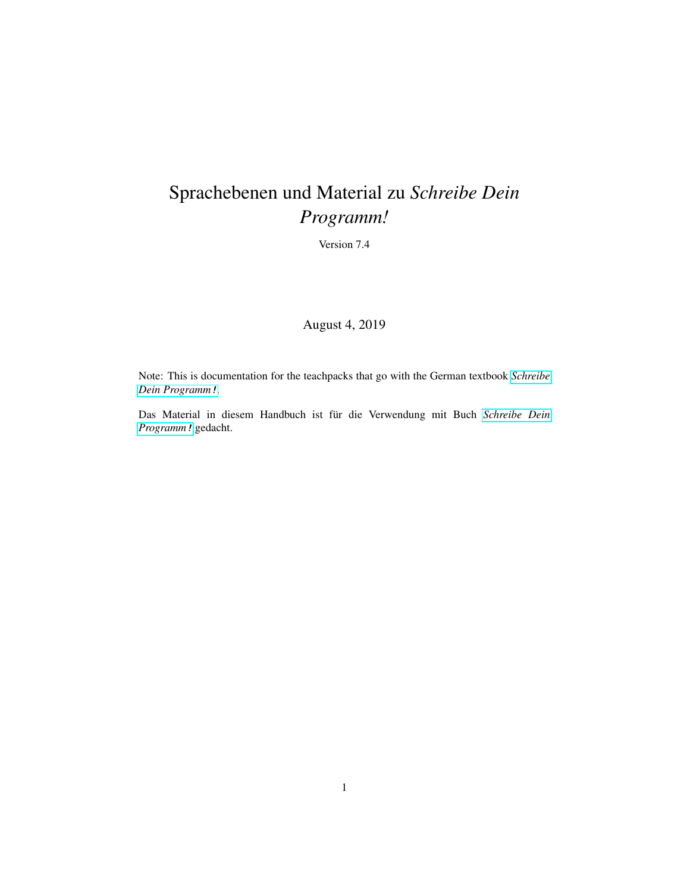# <span id="page-0-0"></span>Sprachebenen und Material zu *Schreibe Dein Programm!*

Version 7.4

August 4, 2019

Note: This is documentation for the teachpacks that go with the German textbook *[Schreibe](http://www.deinprogramm.de/sdp/) [Dein Programm](http://www.deinprogramm.de/sdp/)*!.

Das Material in diesem Handbuch ist für die Verwendung mit Buch *[Schreibe Dein](http://www.deinprogramm.de/sdp/) [Programm](http://www.deinprogramm.de/sdp/)*! gedacht.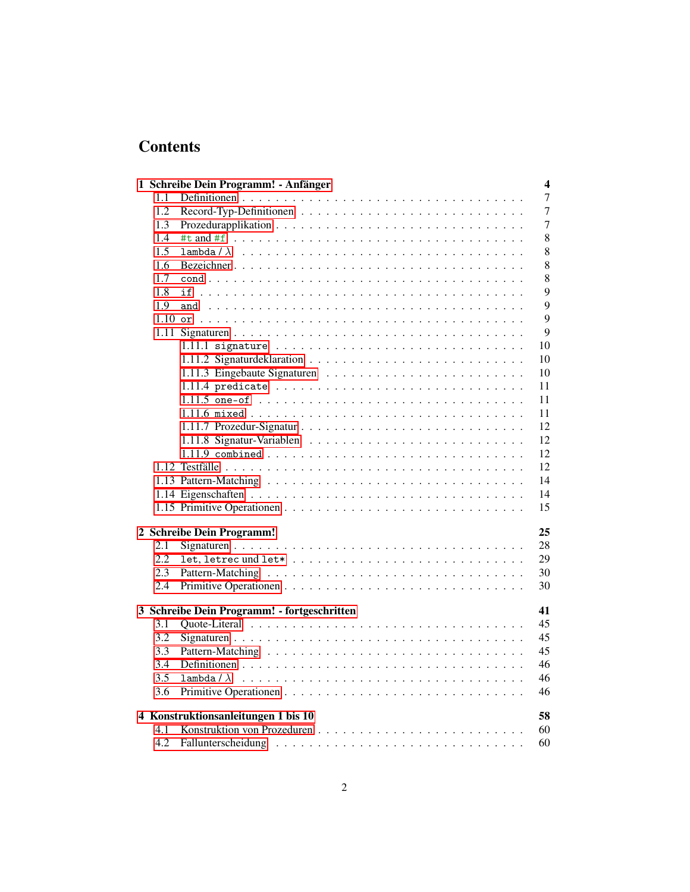# **Contents**

|                                     |     | 1 Schreibe Dein Programm! - Anfänger<br>4         |  |  |
|-------------------------------------|-----|---------------------------------------------------|--|--|
|                                     | 1.1 | 7                                                 |  |  |
|                                     | 1.2 | $\overline{7}$                                    |  |  |
|                                     | 1.3 | 7                                                 |  |  |
|                                     | 1.4 | 8                                                 |  |  |
|                                     | 1.5 | 8                                                 |  |  |
|                                     | 1.6 | 8                                                 |  |  |
|                                     | 1.7 | 8                                                 |  |  |
|                                     | 1.8 | 9<br>if                                           |  |  |
|                                     | 1.9 | 9                                                 |  |  |
|                                     |     | $\overline{Q}$                                    |  |  |
|                                     |     | 9                                                 |  |  |
|                                     |     | 10                                                |  |  |
|                                     |     | 10                                                |  |  |
|                                     |     | 10                                                |  |  |
|                                     |     | 11                                                |  |  |
|                                     |     | 11                                                |  |  |
|                                     |     | 11                                                |  |  |
|                                     |     | 12                                                |  |  |
|                                     |     | 12                                                |  |  |
|                                     |     | 12                                                |  |  |
|                                     |     | 12                                                |  |  |
|                                     |     | 14                                                |  |  |
|                                     |     | 14                                                |  |  |
|                                     |     | 15                                                |  |  |
|                                     |     |                                                   |  |  |
|                                     |     | 2 Schreibe Dein Programm!<br>25                   |  |  |
|                                     | 2.1 | 28                                                |  |  |
|                                     | 2.2 | 29                                                |  |  |
|                                     | 2.3 | 30                                                |  |  |
|                                     | 2.4 | 30                                                |  |  |
|                                     |     | 3 Schreibe Dein Programm! - fortgeschritten<br>41 |  |  |
|                                     | 3.1 | 45                                                |  |  |
|                                     | 3.2 | 45                                                |  |  |
|                                     | 3.3 | 45                                                |  |  |
|                                     | 3.4 | 46                                                |  |  |
|                                     | 3.5 | 46<br>lambda/ $\lambda$                           |  |  |
|                                     | 3.6 | 46                                                |  |  |
|                                     |     |                                                   |  |  |
| 4 Konstruktionsanleitungen 1 bis 10 |     |                                                   |  |  |
|                                     | 4.1 | 60                                                |  |  |
|                                     | 4.2 | 60                                                |  |  |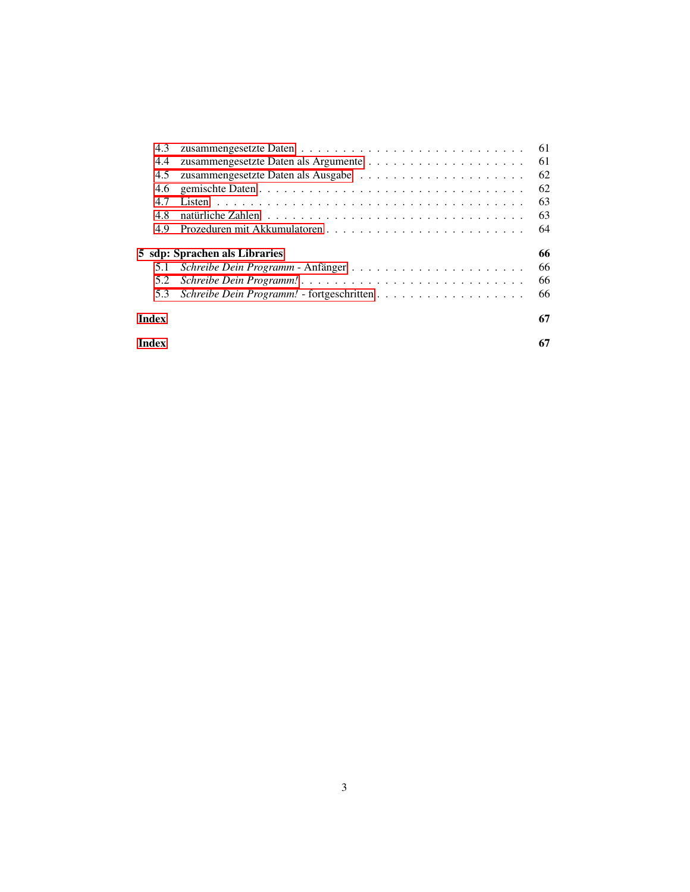| 4.3                                 |  | 61 |  |  |  |  |
|-------------------------------------|--|----|--|--|--|--|
| 4.4                                 |  | 61 |  |  |  |  |
| 4.5                                 |  | 62 |  |  |  |  |
| 4.6                                 |  | 62 |  |  |  |  |
| 4.7                                 |  | 63 |  |  |  |  |
| 4.8                                 |  | 63 |  |  |  |  |
| 4.9                                 |  | 64 |  |  |  |  |
| 66<br>5 sdp: Sprachen als Libraries |  |    |  |  |  |  |
| 5.1                                 |  | 66 |  |  |  |  |
| 5.2                                 |  | 66 |  |  |  |  |
| 5.3                                 |  | 66 |  |  |  |  |
| Index                               |  |    |  |  |  |  |
| Index                               |  |    |  |  |  |  |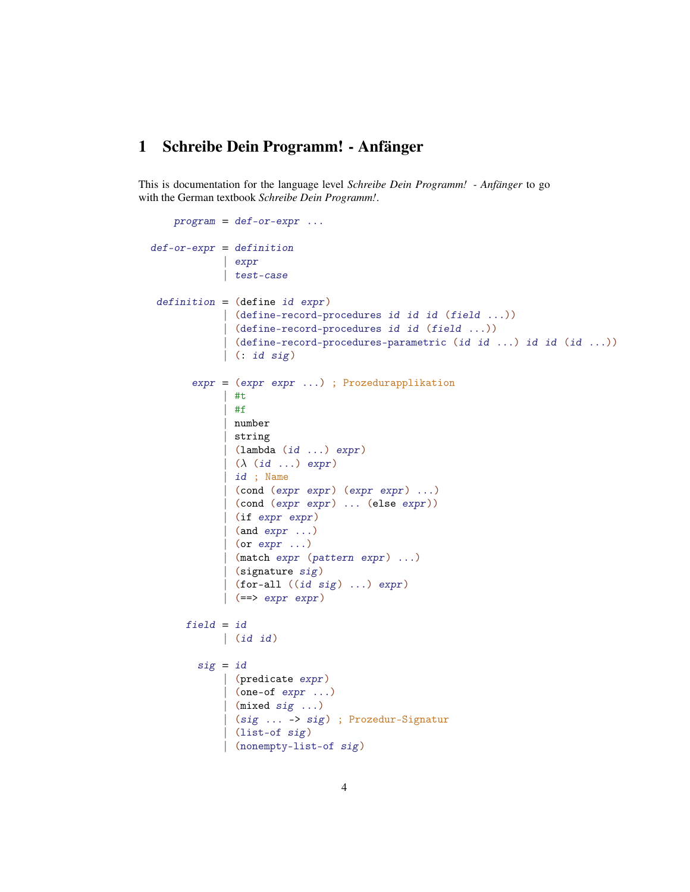## <span id="page-3-0"></span>1 Schreibe Dein Programm! - Anfänger

This is documentation for the language level *Schreibe Dein Programm! - Anfänger* to go with the German textbook *Schreibe Dein Programm!*.

```
program = def-or-expr ...def-cr-expr = definition| expr
             | test-case
 definition = (define id expr)(define-record-procedures id id id (field ...))
             | (define-record-procedures id id (field ...))
             | (define-record-procedures-parametric (id id ...) id id (id ...))
             | (: id sig)
       expr = (expr expr ...) ; Prozedurapplikation
             | #t
             | #f
             | number
             | string
             \vert (lambda (id ...) expr)
             | (\lambda (id ...) \exp r)| id ; Name
             | (cond (expr expr) (expr expr) ...)
             | (cond (expr expr) ... (else expr))
             | (if expr expr)
             (and expr \ldots)\vert (or expr \ldots)
             | (match expr (pattern expr) ...)
              (signature sig)
              (for-all ((id sig) ...) expr)( == > expr expr)field = id| (id id)
        sig = id| (predicate expr)
             | (one-of expr ...)
             | (mixed sig ...)
              | (sig ... -> sig) ; Prozedur-Signatur
              | (list-of sig)
             | (nonempty-list-of sig)
```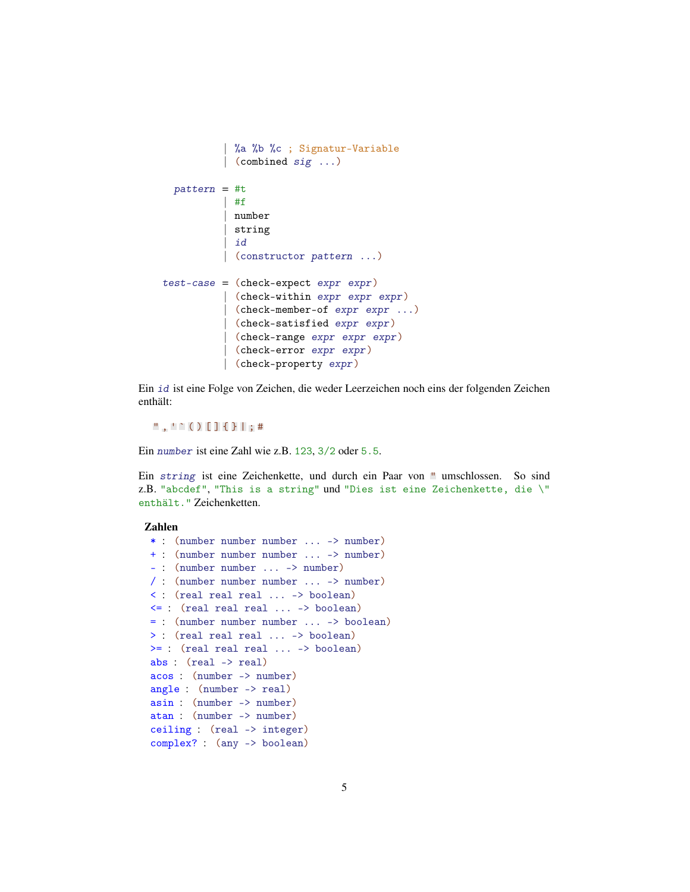```
| %a %b %c ; Signatur-Variable
          | (combined sig ...)
 pattern = #t| #f
          | number
          | string
          | id
          | (constructor pattern ...)
test-case = (check-expect expr expr)| (check-within expr expr expr)
          | (check-member-of expr expr ...)
          | (check-satisfied expr expr)
          | (check-range expr expr expr)
          | (check-error expr expr)
          | (check-property expr)
```
Ein id ist eine Folge von Zeichen, die weder Leerzeichen noch eins der folgenden Zeichen enthält:

 $" , ' ' ( ) [ ] { } \} ] ; #$ 

Ein number ist eine Zahl wie z.B. 123, 3/2 oder 5.5.

Ein string ist eine Zeichenkette, und durch ein Paar von " umschlossen. So sind z.B. "abcdef", "This is a string" und "Dies ist eine Zeichenkette, die \" enthält." Zeichenketten.

#### Zahlen

```
* : (number number number ... -> number)
+ : (number number number ... -> number)
- : (number number ... -> number)
/ : (number number number ... -> number)
< : (real real real ... -> boolean)
<= : (real real real ... -> boolean)
= : (number number number ... -> boolean)
> : (real real real ... -> boolean)
>= : (real real real ... -> boolean)
abs : (real -> real)
acos : (number -> number)
angle : (number -> real)
asin : (number -> number)
atan : (number -> number)
ceiling : (real -> integer)
complex? : (any -> boolean)
```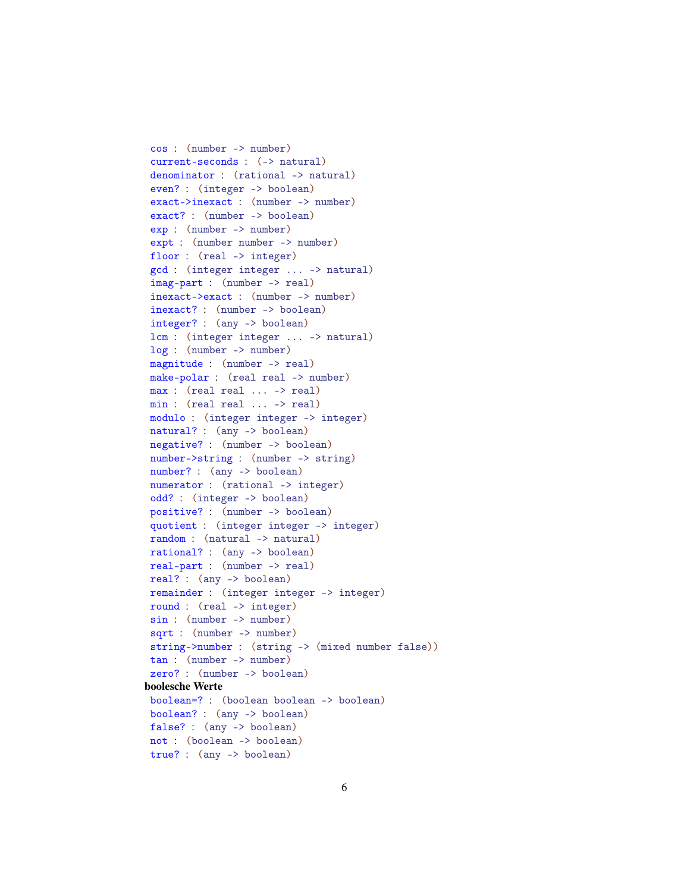```
cos : (number -> number)
 current-seconds : (-> natural)
 denominator : (rational -> natural)
 even? : (integer -> boolean)
 exact->inexact : (number -> number)
 exact? : (number -> boolean)
 exp : (number -> number)
 expt : (number number -> number)
 floor : (real -> integer)
 gcd : (integer integer ... -> natural)
 imag-part : (number -> real)
 inexact->exact : (number -> number)
 inexact? : (number -> boolean)
 integer? : (any -> boolean)
lcm : (integer integer ... -> natural)
 log : (number -> number)
 magnitude : (number -> real)
make-polar : (real real -> number)
max : (real real ... -> real)
min : (real real ... -> real)
modulo : (integer integer -> integer)
natural? : (any -> boolean)
negative? : (number -> boolean)
 number->string : (number -> string)
 number? : (any -> boolean)
 numerator : (rational -> integer)
 odd? : (integer -> boolean)
 positive? : (number -> boolean)
 quotient : (integer integer -> integer)
random : (natural -> natural)
rational? : (any -> boolean)
real-part : (number -> real)
real? : (any -> boolean)
remainder : (integer integer -> integer)
 round : (real -> integer)
 sin : (number -> number)
 sqrt : (number -> number)
string->number : (string -> (mixed number false))
tan : (number -> number)
 zero? : (number -> boolean)
boolesche Werte
 boolean=? : (boolean boolean -> boolean)
boolean? : (any -> boolean)
false? : (any -> boolean)
not : (boolean -> boolean)
 true? : (any -> boolean)
```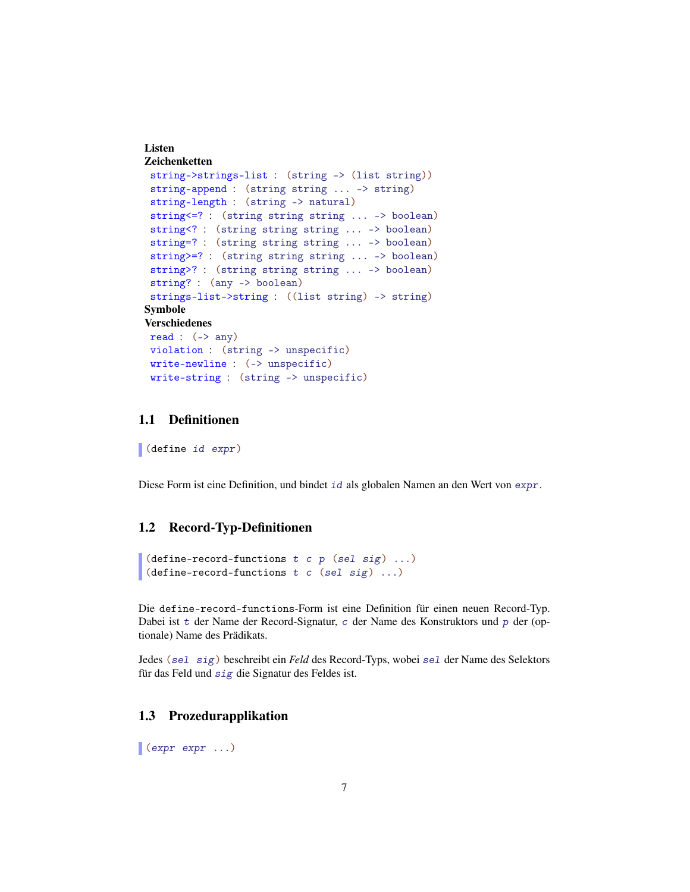#### Listen Zeichenketten

```
string->strings-list : (string -> (list string))
 string-append : (string string ... -> string)
 string-length : (string -> natural)
 string<=? : (string string string ... -> boolean)
 string<? : (string string string ... -> boolean)
 string=? : (string string string ... -> boolean)
 string>=? : (string string string ... -> boolean)
 string>? : (string string string ... -> boolean)
 string? : (any -> boolean)
 strings-list->string : ((list string) -> string)
Symbole
Verschiedenes
read : (-) any)
 violation : (string -> unspecific)
 write-newline : (-> unspecific)
 write-string : (string -> unspecific)
```
#### <span id="page-6-0"></span>1.1 Definitionen

(define id expr)

Diese Form ist eine Definition, und bindet id als globalen Namen an den Wert von expr.

## <span id="page-6-1"></span>1.2 Record-Typ-Definitionen

```
(define-record-functions t c p (sel sig) ...)
(define-record-functions t c (sel sig) ...)
```
Die define-record-functions-Form ist eine Definition für einen neuen Record-Typ. Dabei ist t der Name der Record-Signatur, c der Name des Konstruktors und p der (optionale) Name des Prädikats.

Jedes (sel sig) beschreibt ein *Feld* des Record-Typs, wobei sel der Name des Selektors für das Feld und sig die Signatur des Feldes ist.

#### <span id="page-6-2"></span>1.3 Prozedurapplikation

 $\bullet$  (expr expr ...)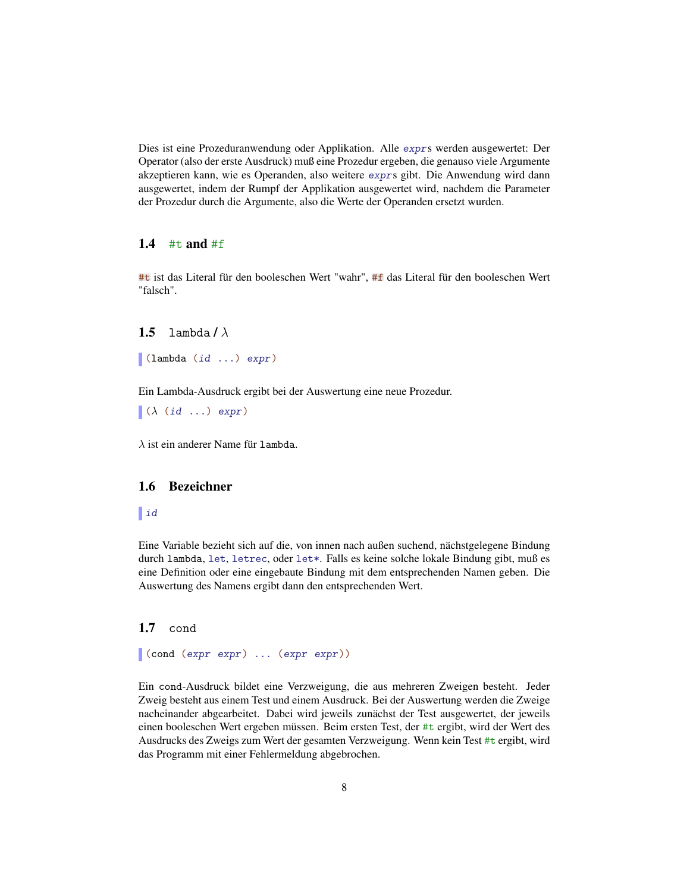Dies ist eine Prozeduranwendung oder Applikation. Alle exprs werden ausgewertet: Der Operator (also der erste Ausdruck) muß eine Prozedur ergeben, die genauso viele Argumente akzeptieren kann, wie es Operanden, also weitere exprs gibt. Die Anwendung wird dann ausgewertet, indem der Rumpf der Applikation ausgewertet wird, nachdem die Parameter der Prozedur durch die Argumente, also die Werte der Operanden ersetzt wurden.

#### <span id="page-7-0"></span>1.4  $#t$  and  $#f$

#t ist das Literal für den booleschen Wert "wahr", #f das Literal für den booleschen Wert "falsch".

#### <span id="page-7-1"></span>1.5 lambda/ $\lambda$

(lambda (id ...) expr)

Ein Lambda-Ausdruck ergibt bei der Auswertung eine neue Prozedur.

 $\Lambda$  (id ...) expr)

 $\lambda$  ist ein anderer Name für lambda.

#### <span id="page-7-2"></span>1.6 Bezeichner

#### $\vert$  id

Eine Variable bezieht sich auf die, von innen nach außen suchend, nächstgelegene Bindung durch lambda, let, letrec, oder let\*. Falls es keine solche lokale Bindung gibt, muß es eine Definition oder eine eingebaute Bindung mit dem entsprechenden Namen geben. Die Auswertung des Namens ergibt dann den entsprechenden Wert.

#### <span id="page-7-3"></span>1.7 cond

(cond (expr expr) ... (expr expr))

Ein cond-Ausdruck bildet eine Verzweigung, die aus mehreren Zweigen besteht. Jeder Zweig besteht aus einem Test und einem Ausdruck. Bei der Auswertung werden die Zweige nacheinander abgearbeitet. Dabei wird jeweils zunächst der Test ausgewertet, der jeweils einen booleschen Wert ergeben müssen. Beim ersten Test, der #t ergibt, wird der Wert des Ausdrucks des Zweigs zum Wert der gesamten Verzweigung. Wenn kein Test #t ergibt, wird das Programm mit einer Fehlermeldung abgebrochen.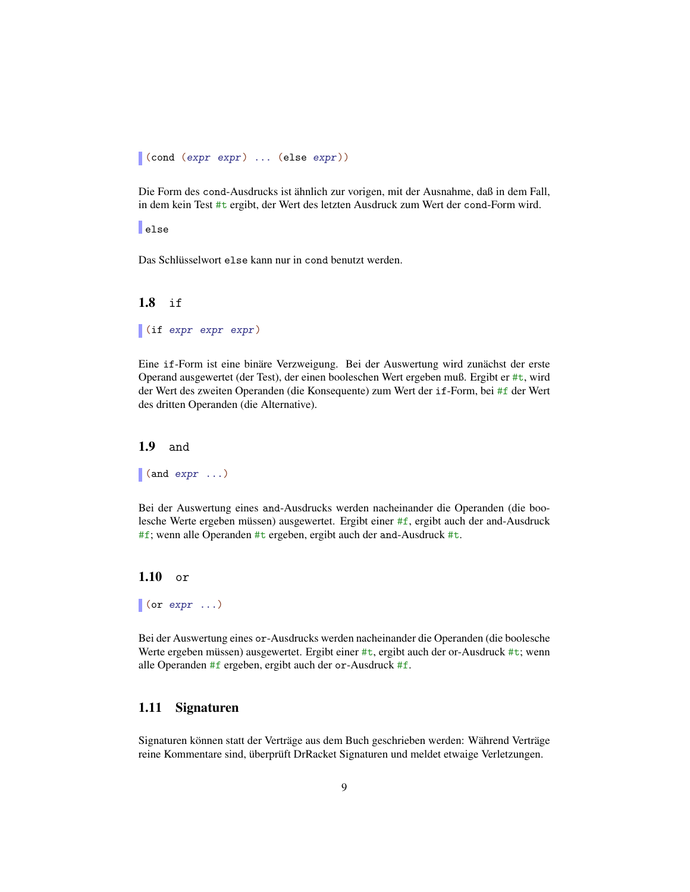```
(cond (expr expr) ... (else expr))
```
Die Form des cond-Ausdrucks ist ähnlich zur vorigen, mit der Ausnahme, daß in dem Fall, in dem kein Test #t ergibt, der Wert des letzten Ausdruck zum Wert der cond-Form wird.

else

Das Schlüsselwort else kann nur in cond benutzt werden.

### <span id="page-8-0"></span>1.8 if

```
(if expr expr expr)
```
Eine if-Form ist eine binäre Verzweigung. Bei der Auswertung wird zunächst der erste Operand ausgewertet (der Test), der einen booleschen Wert ergeben muß. Ergibt er #t, wird der Wert des zweiten Operanden (die Konsequente) zum Wert der if-Form, bei #f der Wert des dritten Operanden (die Alternative).

<span id="page-8-1"></span>1.9 and

 $\vert$  (and expr  $\ldots$  )

Bei der Auswertung eines and-Ausdrucks werden nacheinander die Operanden (die boolesche Werte ergeben müssen) ausgewertet. Ergibt einer #f, ergibt auch der and-Ausdruck #f; wenn alle Operanden #t ergeben, ergibt auch der and-Ausdruck #t.

<span id="page-8-2"></span>1.10 or

 $\vert$  (or expr  $\ldots$ )

Bei der Auswertung eines or-Ausdrucks werden nacheinander die Operanden (die boolesche Werte ergeben müssen) ausgewertet. Ergibt einer #t, ergibt auch der or-Ausdruck #t; wenn alle Operanden #f ergeben, ergibt auch der or-Ausdruck #f.

#### <span id="page-8-3"></span>1.11 Signaturen

Signaturen können statt der Verträge aus dem Buch geschrieben werden: Während Verträge reine Kommentare sind, überprüft DrRacket Signaturen und meldet etwaige Verletzungen.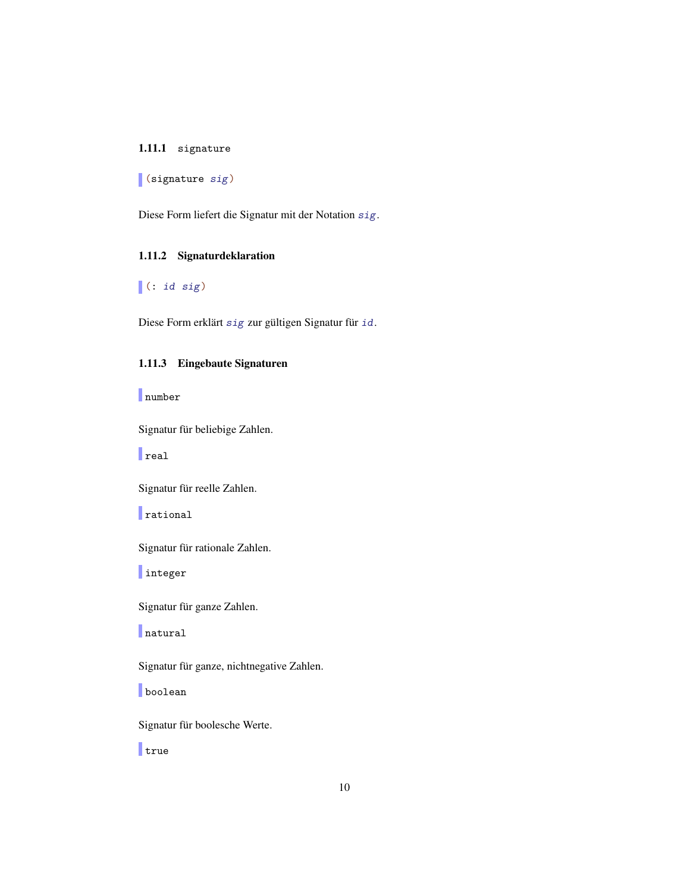#### <span id="page-9-0"></span>1.11.1 signature

(signature sig)

Diese Form liefert die Signatur mit der Notation sig.

#### <span id="page-9-1"></span>1.11.2 Signaturdeklaration

 $\vert$  (: id sig)

Diese Form erklärt sig zur gültigen Signatur für id.

#### <span id="page-9-2"></span>1.11.3 Eingebaute Signaturen

number

Signatur für beliebige Zahlen.

 $\|$ real

Signatur für reelle Zahlen.

rational

Signatur für rationale Zahlen.

integer

Signatur für ganze Zahlen.

natural

Signatur für ganze, nichtnegative Zahlen.

**boolean** 

Signatur für boolesche Werte.

true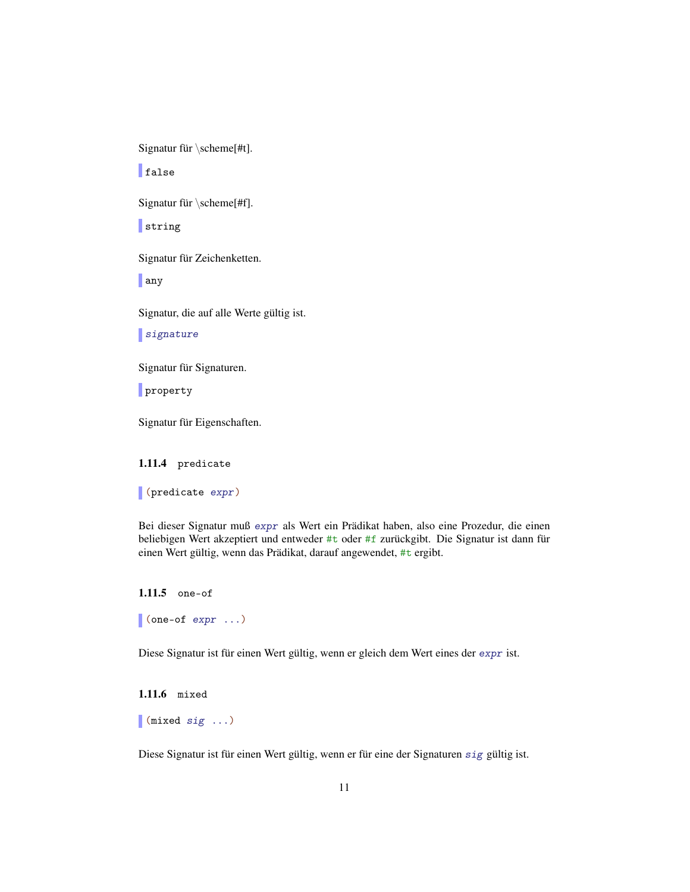Signatur für  $\scheme[#t]$ .

| false

Signatur für \scheme[#f].

string

Signatur für Zeichenketten.

any

Signatur, die auf alle Werte gültig ist.

signature

Signatur für Signaturen.

property

Signatur für Eigenschaften.

<span id="page-10-0"></span>1.11.4 predicate

(predicate expr)

Bei dieser Signatur muß expr als Wert ein Prädikat haben, also eine Prozedur, die einen beliebigen Wert akzeptiert und entweder #t oder #f zurückgibt. Die Signatur ist dann für einen Wert gültig, wenn das Prädikat, darauf angewendet, #t ergibt.

```
1.11.5 one-of
(one-of expr ...)
```
Diese Signatur ist für einen Wert gültig, wenn er gleich dem Wert eines der expr ist.

```
1.11.6 mixed
(mixed sig ...)
```
Diese Signatur ist für einen Wert gültig, wenn er für eine der Signaturen sig gültig ist.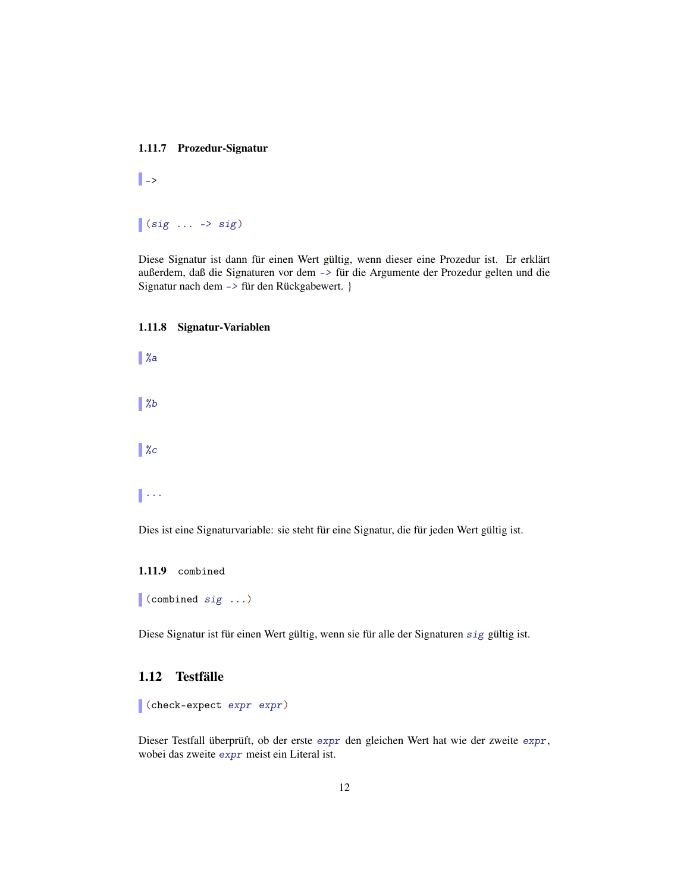#### <span id="page-11-0"></span>1.11.7 Prozedur-Signatur

 $\|$  ->

## $\vert$  (sig  $\ldots$  -> sig)

Diese Signatur ist dann für einen Wert gültig, wenn dieser eine Prozedur ist. Er erklärt außerdem, daß die Signaturen vor dem -> für die Argumente der Prozedur gelten und die Signatur nach dem -> für den Rückgabewert. }

#### <span id="page-11-1"></span>1.11.8 Signatur-Variablen

 $\mathscr{C}$  $\| \gamma_b$  $\mathscr{C}$ 

 $\mathbb{R}$ 

Dies ist eine Signaturvariable: sie steht für eine Signatur, die für jeden Wert gültig ist.

<span id="page-11-2"></span>1.11.9 combined

(combined sig ...)

Diese Signatur ist für einen Wert gültig, wenn sie für alle der Signaturen sig gültig ist.

## <span id="page-11-3"></span>1.12 Testfälle

```
(check-expect expr expr)
```
Dieser Testfall überprüft, ob der erste expr den gleichen Wert hat wie der zweite expr, wobei das zweite expr meist ein Literal ist.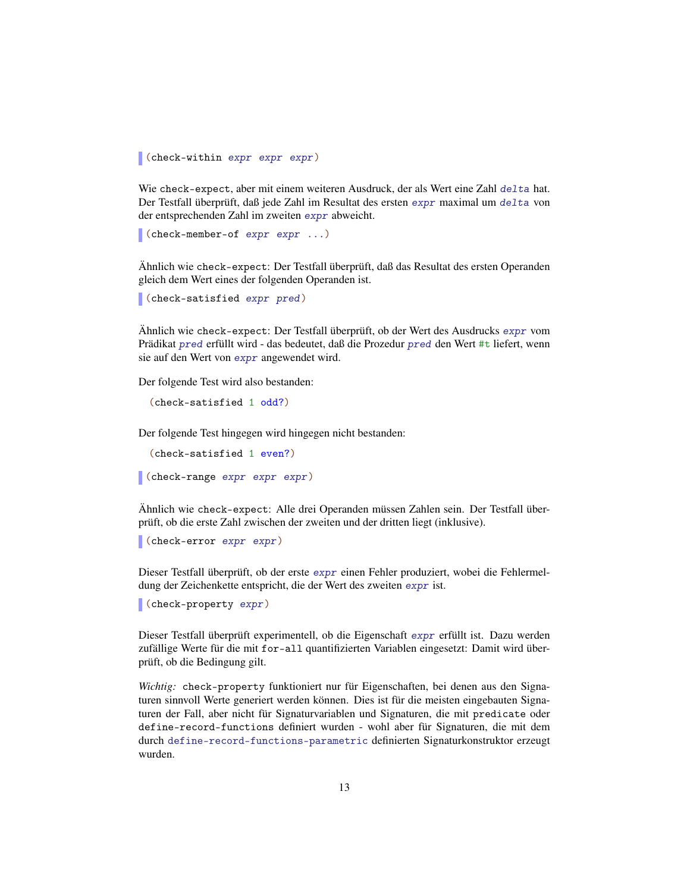(check-within expr expr expr)

Wie check-expect, aber mit einem weiteren Ausdruck, der als Wert eine Zahl delta hat. Der Testfall überprüft, daß jede Zahl im Resultat des ersten expr maximal um delta von der entsprechenden Zahl im zweiten expr abweicht.

```
(check-member-of expr expr ...)
```
Ähnlich wie check-expect: Der Testfall überprüft, daß das Resultat des ersten Operanden gleich dem Wert eines der folgenden Operanden ist.

```
(check-satisfied expr pred)
```
Ähnlich wie check-expect: Der Testfall überprüft, ob der Wert des Ausdrucks expr vom Prädikat pred erfüllt wird - das bedeutet, daß die Prozedur pred den Wert #t liefert, wenn sie auf den Wert von expr angewendet wird.

Der folgende Test wird also bestanden:

```
(check-satisfied 1 odd?)
```
Der folgende Test hingegen wird hingegen nicht bestanden:

(check-satisfied 1 even?)

(check-range expr expr expr)

Ähnlich wie check-expect: Alle drei Operanden müssen Zahlen sein. Der Testfall überprüft, ob die erste Zahl zwischen der zweiten und der dritten liegt (inklusive).

```
(check-error expr expr)
```
Dieser Testfall überprüft, ob der erste expr einen Fehler produziert, wobei die Fehlermeldung der Zeichenkette entspricht, die der Wert des zweiten expr ist.

```
(check-property expr)
```
Dieser Testfall überprüft experimentell, ob die Eigenschaft expr erfüllt ist. Dazu werden zufällige Werte für die mit for-all quantifizierten Variablen eingesetzt: Damit wird überprüft, ob die Bedingung gilt.

*Wichtig:* check-property funktioniert nur für Eigenschaften, bei denen aus den Signaturen sinnvoll Werte generiert werden können. Dies ist für die meisten eingebauten Signaturen der Fall, aber nicht für Signaturvariablen und Signaturen, die mit predicate oder define-record-functions definiert wurden - wohl aber für Signaturen, die mit dem durch define-record-functions-parametric definierten Signaturkonstruktor erzeugt wurden.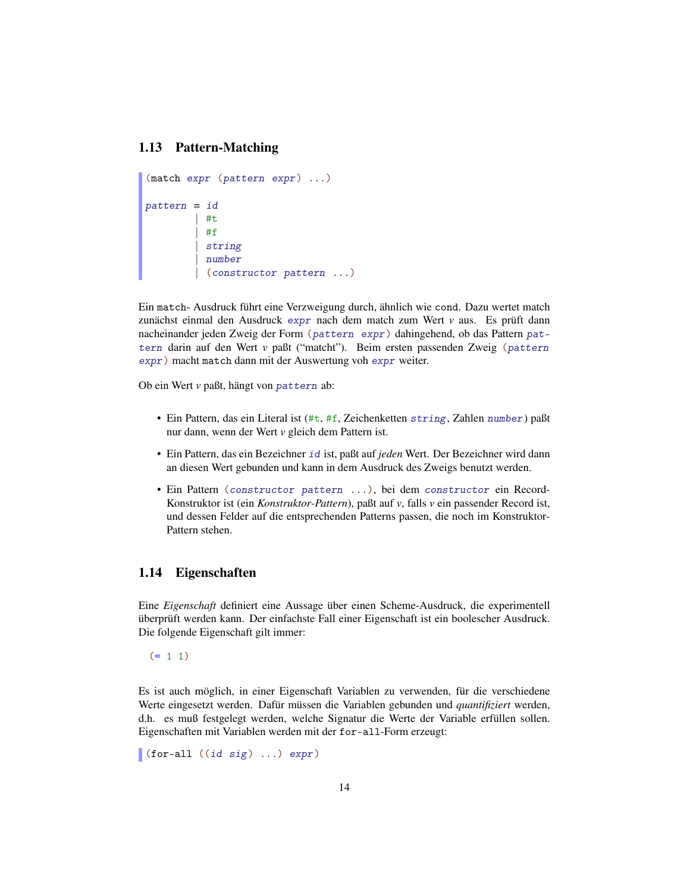### <span id="page-13-0"></span>1.13 Pattern-Matching

```
(match expr (pattern expr) ...)
pattern = id
         | #t
          | #f
          string
          | number
          | (constructor pattern ...)
```
Ein match- Ausdruck führt eine Verzweigung durch, ähnlich wie cond. Dazu wertet match zunächst einmal den Ausdruck expr nach dem match zum Wert *v* aus. Es prüft dann nacheinander jeden Zweig der Form (pattern expr) dahingehend, ob das Pattern pattern darin auf den Wert *v* paßt ("matcht"). Beim ersten passenden Zweig (pattern expr) macht match dann mit der Auswertung voh expr weiter.

Ob ein Wert *v* paßt, hängt von pattern ab:

- Ein Pattern, das ein Literal ist (#t, #f, Zeichenketten string, Zahlen number) paßt nur dann, wenn der Wert *v* gleich dem Pattern ist.
- Ein Pattern, das ein Bezeichner id ist, paßt auf *jeden* Wert. Der Bezeichner wird dann an diesen Wert gebunden und kann in dem Ausdruck des Zweigs benutzt werden.
- Ein Pattern (constructor pattern ...), bei dem constructor ein Record-Konstruktor ist (ein *Konstruktor-Pattern*), paßt auf *v*, falls *v* ein passender Record ist, und dessen Felder auf die entsprechenden Patterns passen, die noch im Konstruktor-Pattern stehen.

## <span id="page-13-1"></span>1.14 Eigenschaften

Eine *Eigenschaft* definiert eine Aussage über einen Scheme-Ausdruck, die experimentell überprüft werden kann. Der einfachste Fall einer Eigenschaft ist ein boolescher Ausdruck. Die folgende Eigenschaft gilt immer:

 $(= 1 1)$ 

Es ist auch möglich, in einer Eigenschaft Variablen zu verwenden, für die verschiedene Werte eingesetzt werden. Dafür müssen die Variablen gebunden und *quantifiziert* werden, d.h. es muß festgelegt werden, welche Signatur die Werte der Variable erfüllen sollen. Eigenschaften mit Variablen werden mit der for-all-Form erzeugt:

(for-all  $((id sig) ... ) expr)$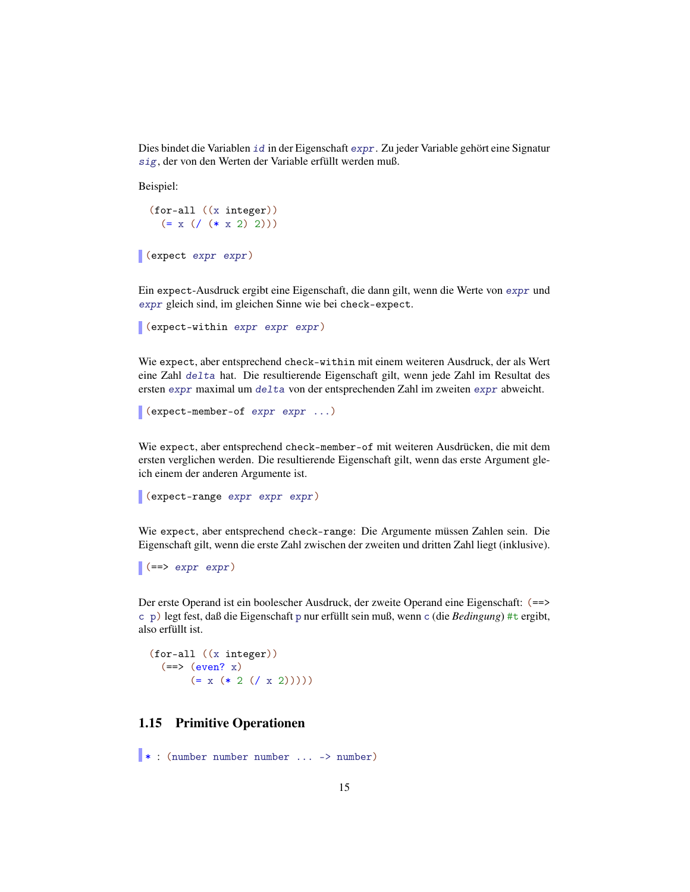Dies bindet die Variablen id in der Eigenschaft expr. Zu jeder Variable gehört eine Signatur sig, der von den Werten der Variable erfüllt werden muß.

Beispiel:

```
(for-all ((x integer))
  (= x (\; (* x 2) 2)))
```

```
(expect expr expr)
```
Ein expect-Ausdruck ergibt eine Eigenschaft, die dann gilt, wenn die Werte von expr und expr gleich sind, im gleichen Sinne wie bei check-expect.

```
(expect-within expr expr expr)
```
Wie expect, aber entsprechend check-within mit einem weiteren Ausdruck, der als Wert eine Zahl delta hat. Die resultierende Eigenschaft gilt, wenn jede Zahl im Resultat des ersten expr maximal um delta von der entsprechenden Zahl im zweiten expr abweicht.

```
(expect-member-of expr expr ...)
```
Wie expect, aber entsprechend check-member-of mit weiteren Ausdrücken, die mit dem ersten verglichen werden. Die resultierende Eigenschaft gilt, wenn das erste Argument gleich einem der anderen Argumente ist.

```
(expect-range expr expr expr)
```
Wie expect, aber entsprechend check-range: Die Argumente müssen Zahlen sein. Die Eigenschaft gilt, wenn die erste Zahl zwischen der zweiten und dritten Zahl liegt (inklusive).

```
| (==> expr expr)
```
Der erste Operand ist ein boolescher Ausdruck, der zweite Operand eine Eigenschaft: (==> c p) legt fest, daß die Eigenschaft p nur erfüllt sein muß, wenn c (die *Bedingung*) #t ergibt, also erfüllt ist.

(for-all ((x integer))  $(==> (even? x))$  $(= x (* 2 (( x 2))))$ 

### <span id="page-14-0"></span>1.15 Primitive Operationen

\* : (number number number ... -> number)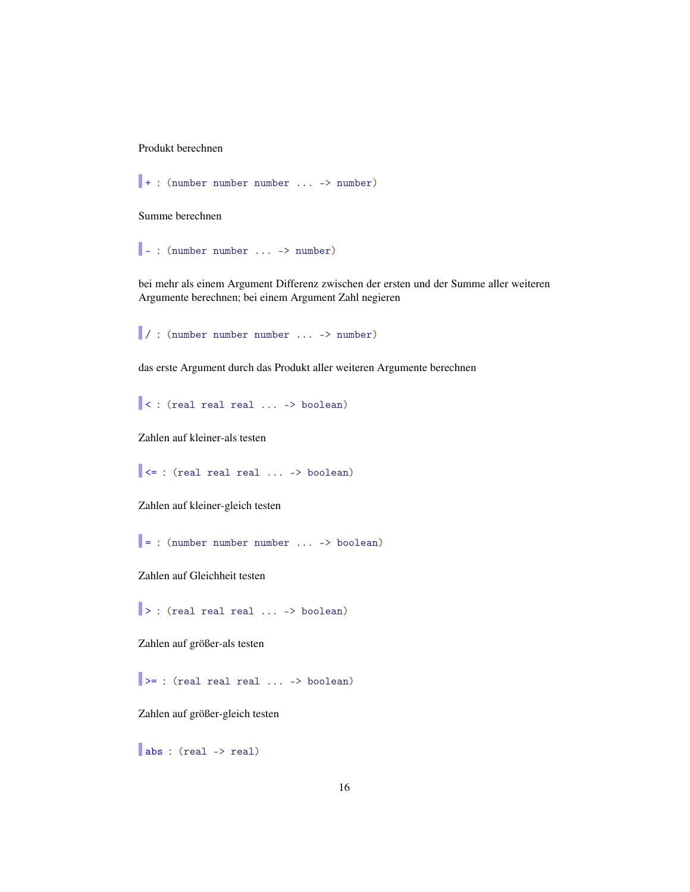Produkt berechnen

```
+ : (number number number ... -> number)
```
Summe berechnen

 $\vert \cdot \vert$  (number number ... -> number)

bei mehr als einem Argument Differenz zwischen der ersten und der Summe aller weiteren Argumente berechnen; bei einem Argument Zahl negieren

/ : (number number number ... -> number)

das erste Argument durch das Produkt aller weiteren Argumente berechnen

 $\vert$  < : (real real real ... -> boolean)

Zahlen auf kleiner-als testen

 $\prec$ = : (real real real ... -> boolean)

Zahlen auf kleiner-gleich testen

 $\vert$  = : (number number number ... -> boolean)

Zahlen auf Gleichheit testen

|> : (real real real ... -> boolean)

Zahlen auf größer-als testen

 $\Rightarrow$  : (real real real ... -> boolean)

Zahlen auf größer-gleich testen

abs : (real -> real)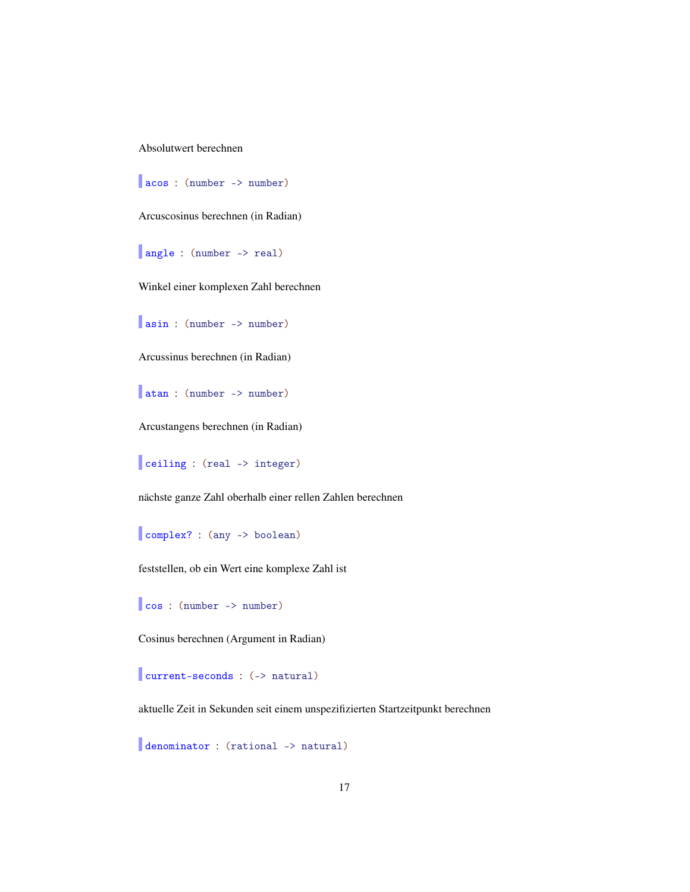Absolutwert berechnen

acos : (number -> number)

Arcuscosinus berechnen (in Radian)

angle : (number -> real)

Winkel einer komplexen Zahl berechnen

asin : (number -> number)

Arcussinus berechnen (in Radian)

atan : (number -> number)

Arcustangens berechnen (in Radian)

ceiling : (real -> integer)

nächste ganze Zahl oberhalb einer rellen Zahlen berechnen

complex? : (any -> boolean)

feststellen, ob ein Wert eine komplexe Zahl ist

cos : (number -> number)

Cosinus berechnen (Argument in Radian)

current-seconds : (-> natural)

aktuelle Zeit in Sekunden seit einem unspezifizierten Startzeitpunkt berechnen

denominator : (rational -> natural)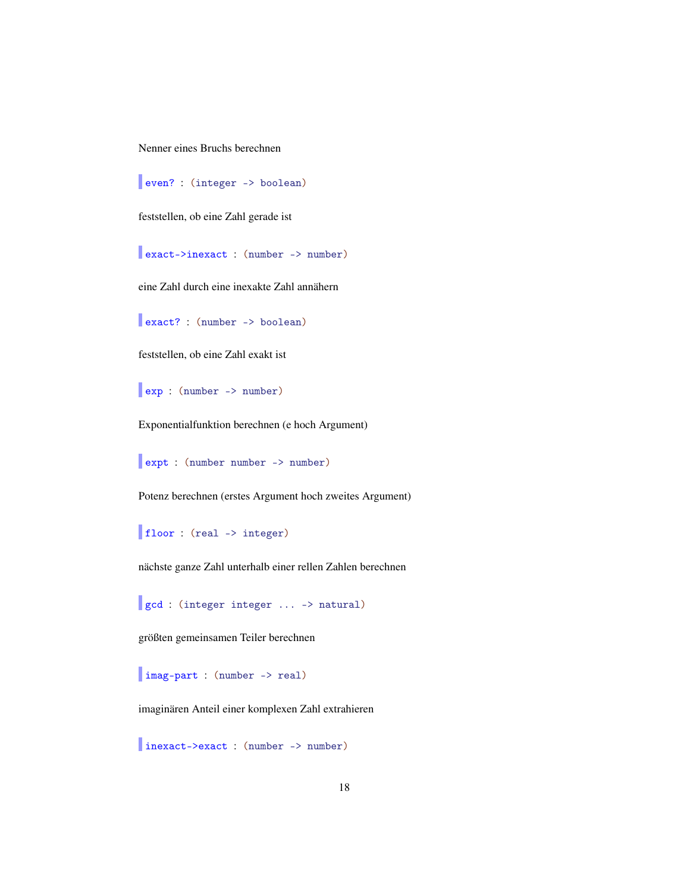Nenner eines Bruchs berechnen

even? : (integer -> boolean)

feststellen, ob eine Zahl gerade ist

exact->inexact : (number -> number)

eine Zahl durch eine inexakte Zahl annähern

exact? : (number -> boolean)

feststellen, ob eine Zahl exakt ist

exp : (number -> number)

Exponentialfunktion berechnen (e hoch Argument)

expt : (number number -> number)

Potenz berechnen (erstes Argument hoch zweites Argument)

floor : (real -> integer)

nächste ganze Zahl unterhalb einer rellen Zahlen berechnen

gcd : (integer integer ... -> natural)

größten gemeinsamen Teiler berechnen

imag-part : (number -> real)

imaginären Anteil einer komplexen Zahl extrahieren

inexact->exact : (number -> number)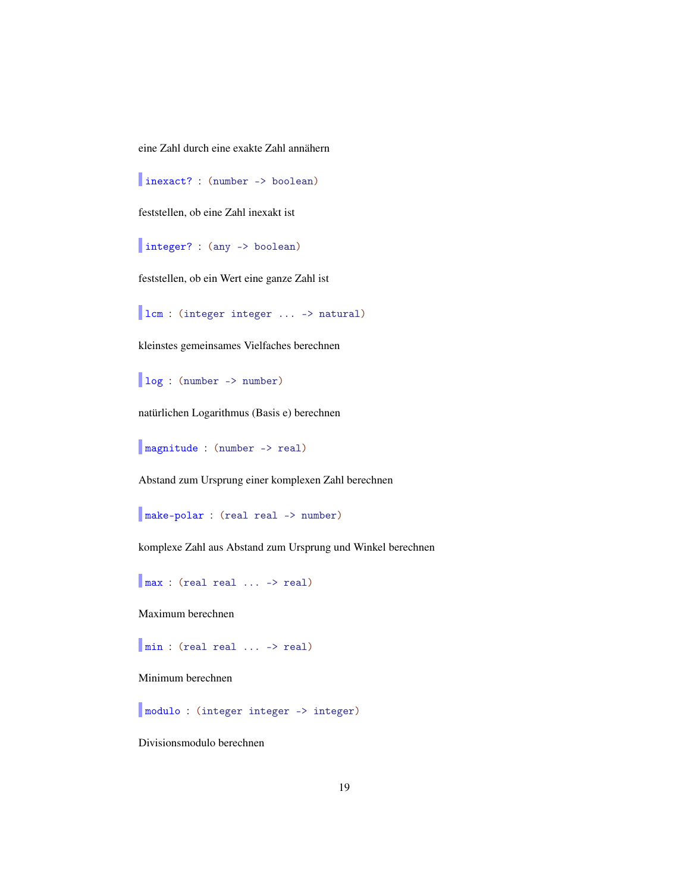eine Zahl durch eine exakte Zahl annähern

inexact? : (number -> boolean)

feststellen, ob eine Zahl inexakt ist

integer? : (any -> boolean)

feststellen, ob ein Wert eine ganze Zahl ist

lcm : (integer integer ... -> natural)

kleinstes gemeinsames Vielfaches berechnen

log : (number -> number)

natürlichen Logarithmus (Basis e) berechnen

magnitude : (number -> real)

Abstand zum Ursprung einer komplexen Zahl berechnen

make-polar : (real real -> number)

komplexe Zahl aus Abstand zum Ursprung und Winkel berechnen

max : (real real ... -> real)

Maximum berechnen

min : (real real ... -> real)

Minimum berechnen

modulo : (integer integer -> integer)

Divisionsmodulo berechnen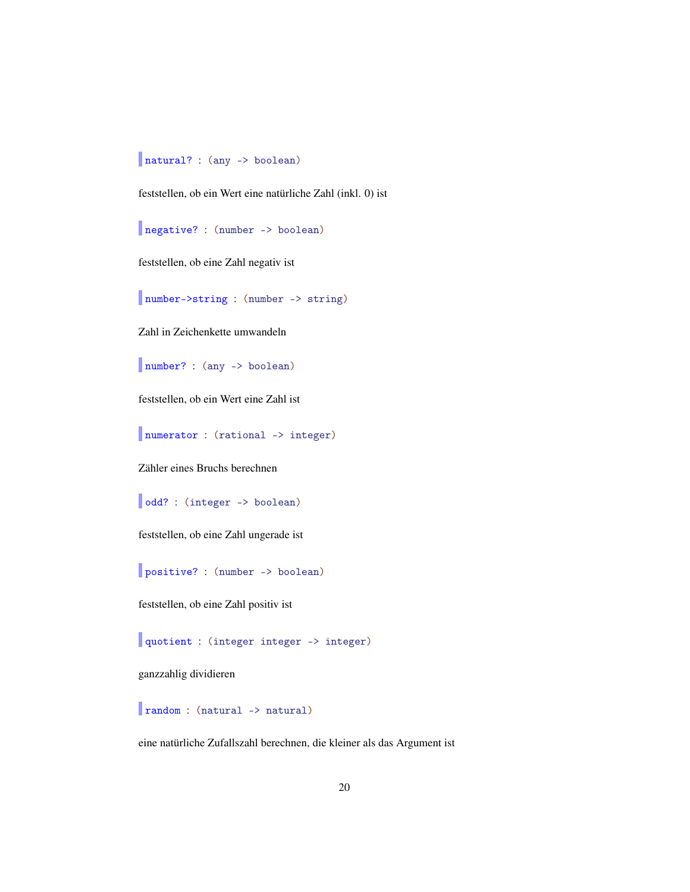## natural? : (any -> boolean)

feststellen, ob ein Wert eine natürliche Zahl (inkl. 0) ist

negative? : (number -> boolean)

feststellen, ob eine Zahl negativ ist

number->string : (number -> string)

Zahl in Zeichenkette umwandeln

number? : (any -> boolean)

feststellen, ob ein Wert eine Zahl ist

numerator : (rational -> integer)

Zähler eines Bruchs berechnen

odd? : (integer -> boolean)

feststellen, ob eine Zahl ungerade ist

positive? : (number -> boolean)

feststellen, ob eine Zahl positiv ist

quotient : (integer integer -> integer)

ganzzahlig dividieren

random : (natural -> natural)

eine natürliche Zufallszahl berechnen, die kleiner als das Argument ist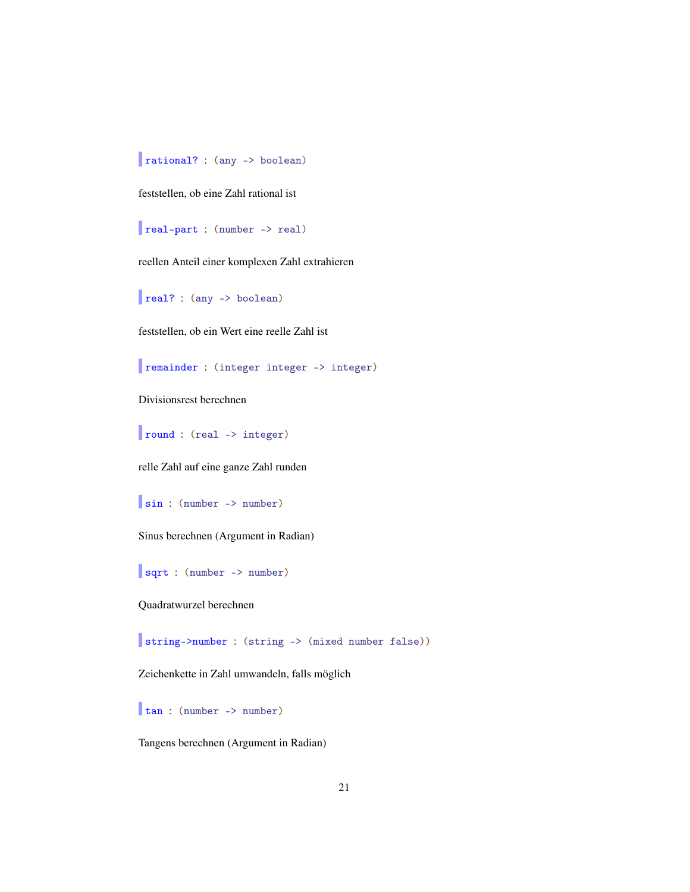rational? : (any -> boolean)

feststellen, ob eine Zahl rational ist

real-part : (number -> real)

reellen Anteil einer komplexen Zahl extrahieren

real? : (any -> boolean)

feststellen, ob ein Wert eine reelle Zahl ist

remainder : (integer integer -> integer)

Divisionsrest berechnen

round : (real -> integer)

relle Zahl auf eine ganze Zahl runden

sin : (number -> number)

Sinus berechnen (Argument in Radian)

sqrt : (number -> number)

Quadratwurzel berechnen

string->number : (string -> (mixed number false))

Zeichenkette in Zahl umwandeln, falls möglich

tan : (number -> number)

Tangens berechnen (Argument in Radian)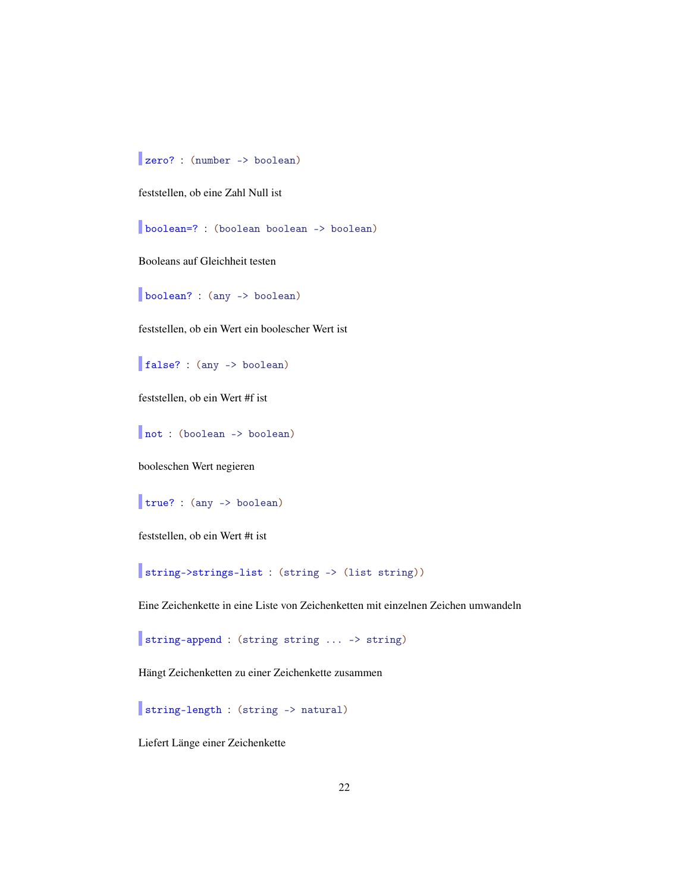zero? : (number -> boolean)

feststellen, ob eine Zahl Null ist

boolean=? : (boolean boolean -> boolean)

Booleans auf Gleichheit testen

boolean? : (any -> boolean)

feststellen, ob ein Wert ein boolescher Wert ist

false? : (any -> boolean)

feststellen, ob ein Wert #f ist

not : (boolean -> boolean)

booleschen Wert negieren

true? : (any -> boolean)

feststellen, ob ein Wert #t ist

string->strings-list : (string -> (list string))

Eine Zeichenkette in eine Liste von Zeichenketten mit einzelnen Zeichen umwandeln

string-append : (string string ... -> string)

Hängt Zeichenketten zu einer Zeichenkette zusammen

string-length : (string -> natural)

Liefert Länge einer Zeichenkette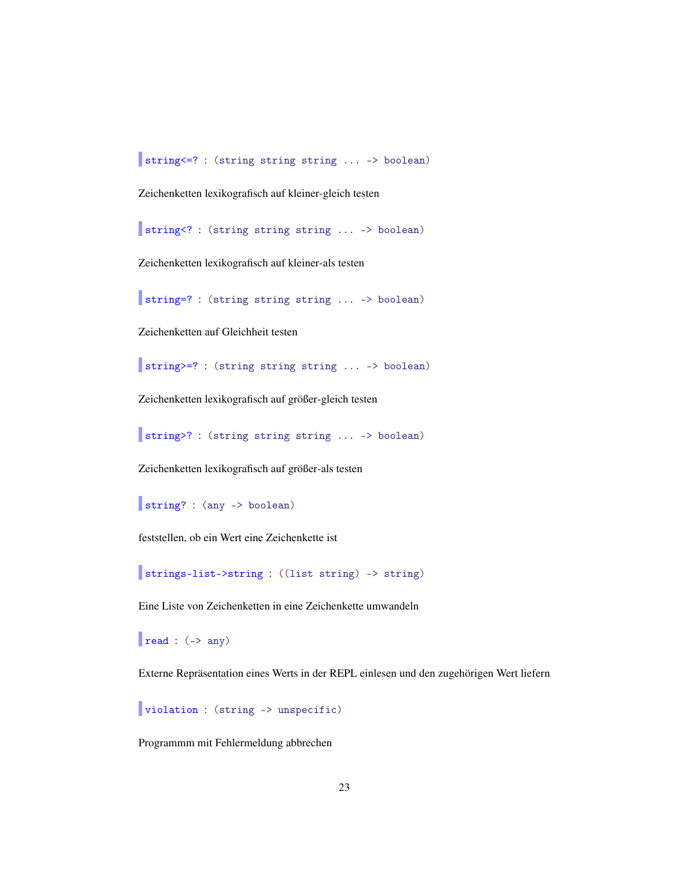string<=? : (string string string ... -> boolean)

Zeichenketten lexikografisch auf kleiner-gleich testen

string<? : (string string string ... -> boolean)

Zeichenketten lexikografisch auf kleiner-als testen

string=? : (string string string ... -> boolean)

Zeichenketten auf Gleichheit testen

string>=? : (string string string ... -> boolean)

Zeichenketten lexikografisch auf größer-gleich testen

string>? : (string string string ... -> boolean)

Zeichenketten lexikografisch auf größer-als testen

```
string? : (any -> boolean)
```
feststellen, ob ein Wert eine Zeichenkette ist

strings-list->string : ((list string) -> string)

Eine Liste von Zeichenketten in eine Zeichenkette umwandeln

 $\vert$  read : (-> any)

Externe Repräsentation eines Werts in der REPL einlesen und den zugehörigen Wert liefern

violation : (string -> unspecific)

Programmm mit Fehlermeldung abbrechen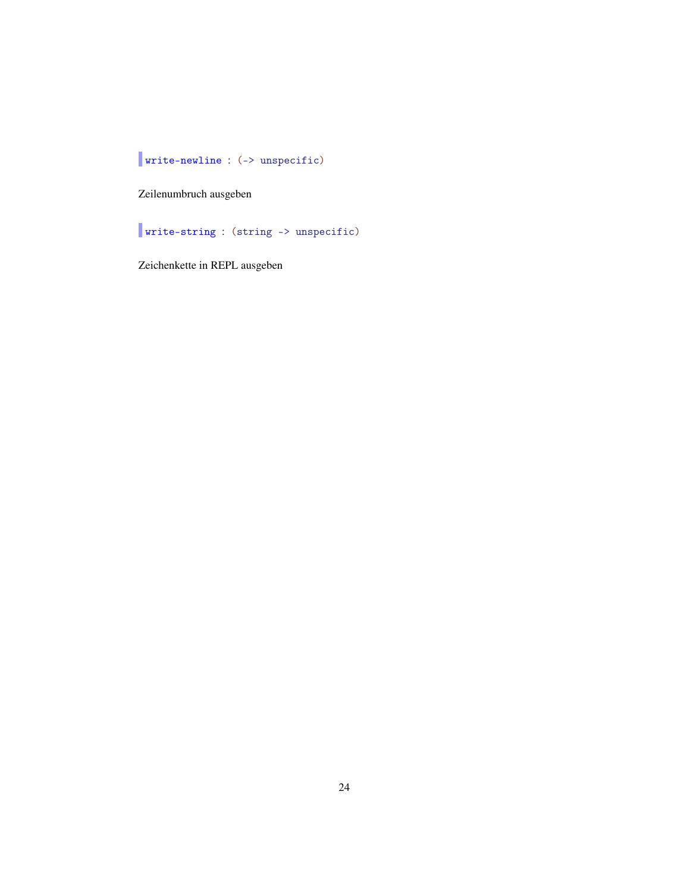write-newline : (-> unspecific)

Zeilenumbruch ausgeben

write-string : (string -> unspecific)

Zeichenkette in REPL ausgeben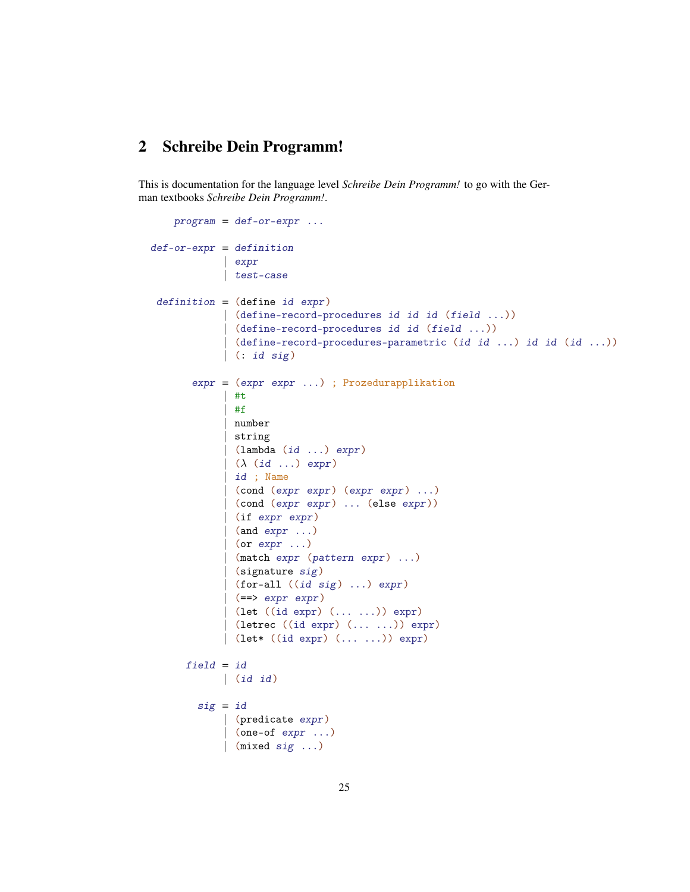## <span id="page-24-0"></span>2 Schreibe Dein Programm!

This is documentation for the language level *Schreibe Dein Programm!* to go with the German textbooks *Schreibe Dein Programm!*.

```
program = def-or-expr ...def-cr-expr = definition| expr
             | test-case
 definition = (define id expr)(define-record-procedures id id id (field ...))
             | (define-record-procedures id id (field ...))
             | (define-record-procedures-parametric (id id ...) id id (id ...))
             | (: id sig)
       expr = (expr expr ...) ; Prozedurapplikation
             | #t
             | #f
             | number
             | string
             \vert (lambda (id ...) expr)
             (\lambda (id ...) expr)
             | id ; Name
             | (cond (expr expr) (expr expr) ...)
               | (cond (expr expr) ... (else expr))
             | (if expr expr)
              (and expr \dots)| (or expr \ldots)
               (match expr (pattern expr) ...)
               (signature sig)
              (for-all ((id sig) ...) expr)| (=-> expr expr)(\text{let } ((id \text{ expr}) (... ...)) \text{ expr})(letrec ((id expr) (... ...)) expr)
             | (let* ((id expr) (... ...)) expr)
      field = id| (id id)
        sig = id| (predicate expr)
               (one-of expr ...)\vert (mixed sig ...)
```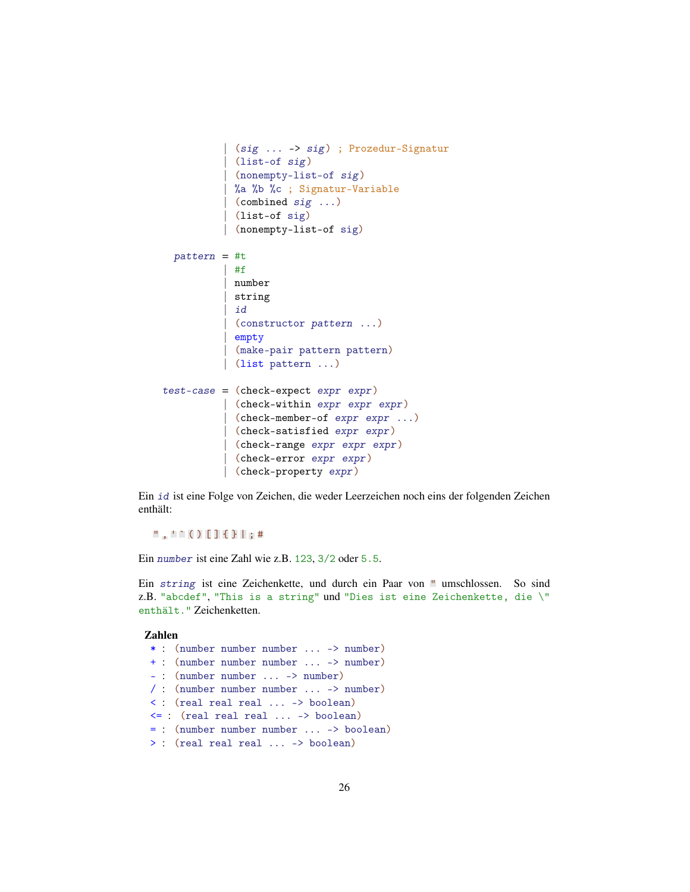```
| (sig ... -> sig) ; Prozedur-Signatur
           | (list-of sig)
          | (nonempty-list-of sig)
          | %a %b %c ; Signatur-Variable
           (combined sig ...)
           | (list-of sig)
          | (nonempty-list-of sig)
 pattern = #t| #f
          | number
          | string
           | id
          | (constructor pattern ...)
          | empty
          | (make-pair pattern pattern)
          | (list pattern ...)
test-case = (check-expect expr expr)
          | (check-within expr expr expr)
           | (check-member-of expr expr ...)
          | (check-satisfied expr expr)
          | (check-range expr expr expr)
            | (check-error expr expr)
          | (check-property expr)
```
Ein id ist eine Folge von Zeichen, die weder Leerzeichen noch eins der folgenden Zeichen enthält:

 $" , '` ( ) [ ] { } \{ } \} | ;#$ 

Ein number ist eine Zahl wie z.B. 123, 3/2 oder 5.5.

Ein string ist eine Zeichenkette, und durch ein Paar von " umschlossen. So sind z.B. "abcdef", "This is a string" und "Dies ist eine Zeichenkette, die \" enthält." Zeichenketten.

#### Zahlen

```
* : (number number number ... -> number)
+ : (number number number ... -> number)
- : (number number ... -> number)
/ : (number number number ... -> number)
< : (real real real ... -> boolean)
<= : (real real real ... -> boolean)
= : (number number number ... -> boolean)
> : (real real real ... -> boolean)
```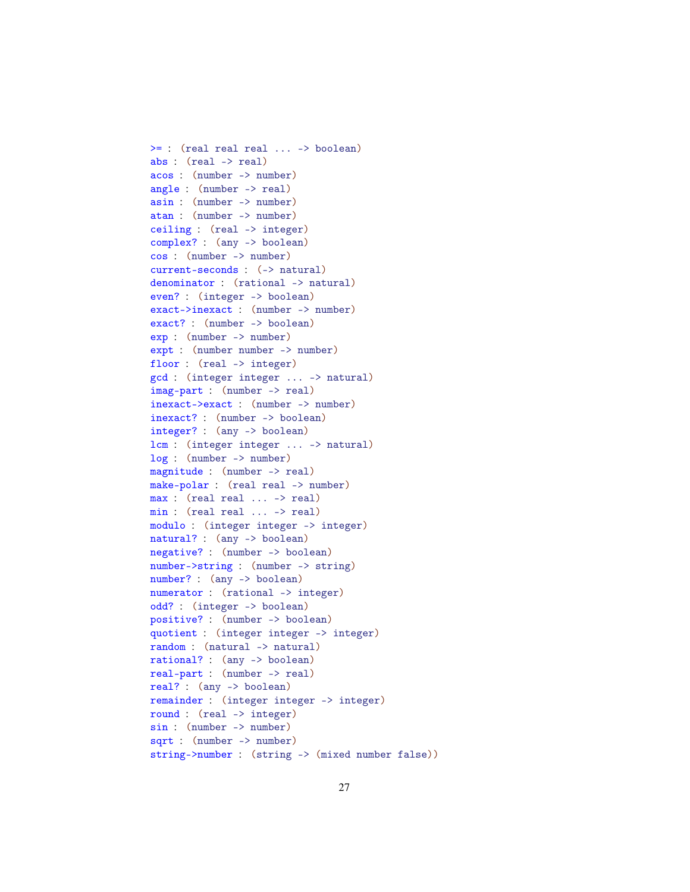>= : (real real real ... -> boolean) abs : (real -> real) acos : (number -> number) angle : (number -> real) asin : (number -> number) atan : (number -> number) ceiling : (real -> integer) complex? : (any -> boolean) cos : (number -> number) current-seconds : (-> natural) denominator : (rational -> natural) even? : (integer -> boolean) exact->inexact : (number -> number) exact? : (number -> boolean) exp : (number -> number) expt : (number number -> number) floor : (real -> integer) gcd : (integer integer ... -> natural) imag-part : (number -> real) inexact->exact : (number -> number) inexact? : (number -> boolean) integer? : (any -> boolean) lcm : (integer integer ... -> natural) log : (number -> number) magnitude : (number -> real) make-polar : (real real -> number) max : (real real ... -> real) min : (real real ... -> real) modulo : (integer integer -> integer) natural? : (any -> boolean) negative? : (number -> boolean) number->string : (number -> string) number? : (any -> boolean) numerator : (rational -> integer) odd? : (integer -> boolean) positive? : (number -> boolean) quotient : (integer integer -> integer) random : (natural -> natural) rational? : (any -> boolean) real-part : (number -> real) real? : (any -> boolean) remainder : (integer integer -> integer) round : (real -> integer) sin : (number -> number) sqrt : (number -> number) string->number : (string -> (mixed number false))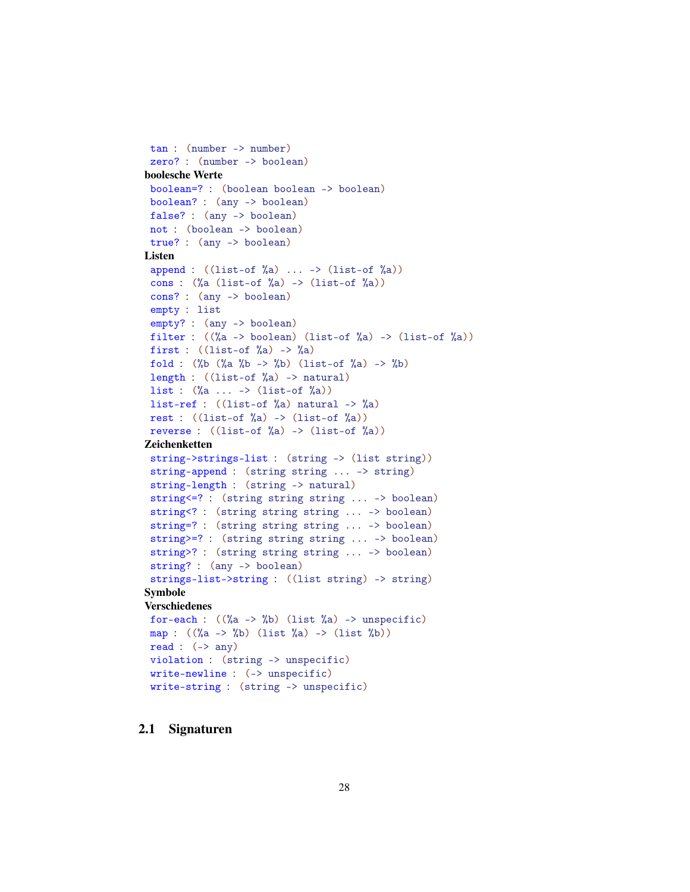```
tan : (number -> number)
 zero? : (number -> boolean)
boolesche Werte
 boolean=? : (boolean boolean -> boolean)
 boolean? : (any -> boolean)
 false? : (any -> boolean)
 not : (boolean -> boolean)
 true? : (any -> boolean)
Listen
 append : ((list-of)_{a} ) ... -> (iist-of)_{a} )cons : (\%a \text{ (list-of)}\&a) \rightarrow (\text{list-of)}\&a))cons? : (any -> boolean)
 empty : list
 empty? : (any -> boolean)
 filter : ((\%a \rightarrow boolean) (list-of \%a) \rightarrow (list-of \%a))
 first : ((list-of %a) -> %a)fold : (\%b \ (\%a \ \%b \ -> \%) (list-of \%a) -> \%b)length : ((list-of %a) -> natural)
 list : (%a ... -> (list-of %a))
 list-ref : ((list-of %a) natural -> %a)rest : ((list-of)_{a}) \rightarrow (list-of)_{a})reverse : ((list-of)_{a}) \rightarrow (list-of)_{a})Zeichenketten
 string->strings-list : (string -> (list string))
 string-append : (string string ... -> string)
 string-length : (string -> natural)
 string<=? : (string string string ... -> boolean)
 string<? : (string string string ... -> boolean)
 string=? : (string string string ... -> boolean)
 string>=? : (string string string ... -> boolean)
 string>? : (string string string ... -> boolean)
 string? : (any -> boolean)
 strings-list->string : ((list string) -> string)
Symbole
Verschiedenes
 for-each : ((\%a \rightarrow \%b) (list \%a) \rightarrow unspecific)
 map : ((\%a \to \%b) (list \%a) \to (list \%b))
 read : (-) any)
 violation : (string -> unspecific)
 write-newline : (-> unspecific)
 write-string : (string -> unspecific)
```
#### <span id="page-27-0"></span>2.1 Signaturen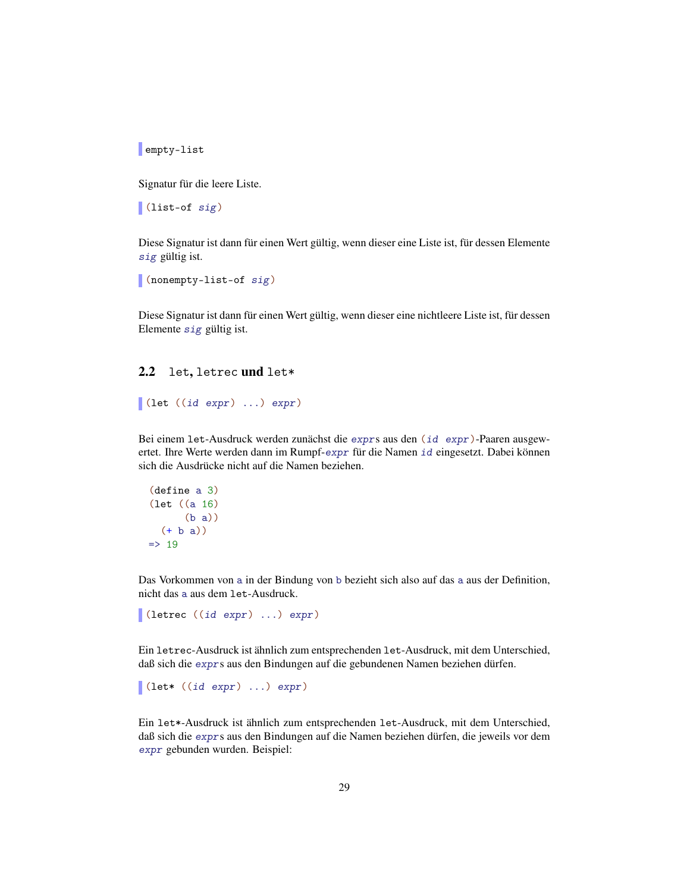empty-list

Signatur für die leere Liste.

(list-of sig)

Diese Signatur ist dann für einen Wert gültig, wenn dieser eine Liste ist, für dessen Elemente sig gültig ist.

```
(nonempty-list-of sig)
```
Diese Signatur ist dann für einen Wert gültig, wenn dieser eine nichtleere Liste ist, für dessen Elemente sig gültig ist.

#### <span id="page-28-0"></span>2.2 let, letrec und let\*

```
(let ((id expr) ...) expr)
```
Bei einem let-Ausdruck werden zunächst die exprs aus den (id expr)-Paaren ausgewertet. Ihre Werte werden dann im Rumpf-expr für die Namen id eingesetzt. Dabei können sich die Ausdrücke nicht auf die Namen beziehen.

```
(define a 3)
(let ((a 16)
       (b a))
  (+ b a))\Rightarrow 19
```
Das Vorkommen von a in der Bindung von b bezieht sich also auf das a aus der Definition, nicht das a aus dem let-Ausdruck.

```
(letrec ((id expr) ...) expr)
```
Ein letrec-Ausdruck ist ähnlich zum entsprechenden let-Ausdruck, mit dem Unterschied, daß sich die exprs aus den Bindungen auf die gebundenen Namen beziehen dürfen.

```
\vert (let* ((id expr) ...) expr)
```
Ein let\*-Ausdruck ist ähnlich zum entsprechenden let-Ausdruck, mit dem Unterschied, daß sich die exprs aus den Bindungen auf die Namen beziehen dürfen, die jeweils vor dem expr gebunden wurden. Beispiel: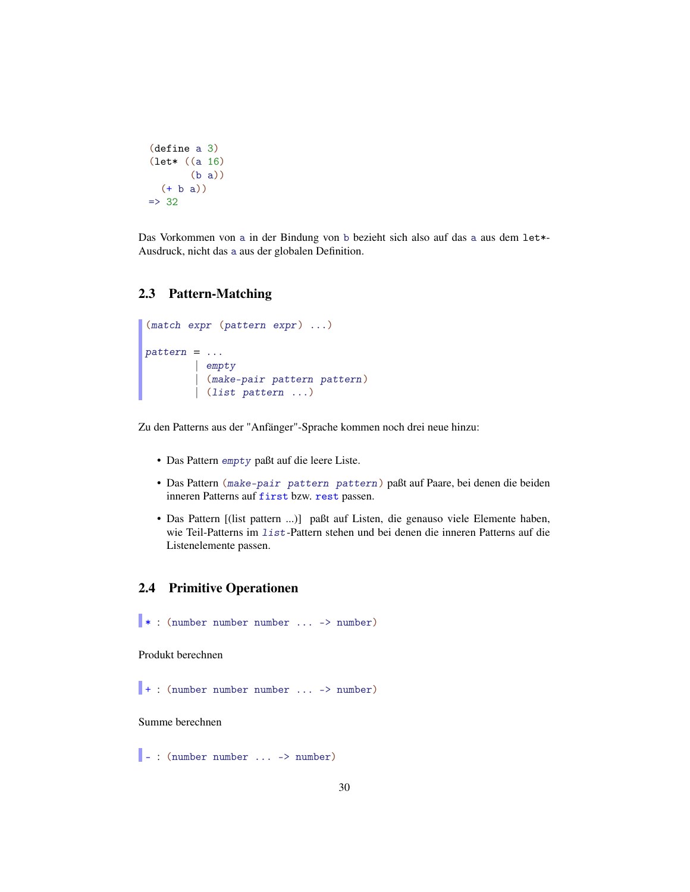```
(define a 3)
(let* ((a 16)
        (b a))
  (+ b a))
\Rightarrow 32
```
Das Vorkommen von a in der Bindung von b bezieht sich also auf das a aus dem let\*- Ausdruck, nicht das a aus der globalen Definition.

## <span id="page-29-0"></span>2.3 Pattern-Matching

```
(match expr (pattern expr) ...)
pattern = ...| empty
        | (make-pair pattern pattern )
        | (list pattern ...)
```
Zu den Patterns aus der "Anfänger"-Sprache kommen noch drei neue hinzu:

- Das Pattern empty paßt auf die leere Liste.
- Das Pattern (make-pair pattern pattern ) paßt auf Paare, bei denen die beiden inneren Patterns auf first bzw. rest passen.
- Das Pattern [(list pattern ...)] paßt auf Listen, die genauso viele Elemente haben, wie Teil-Patterns im list-Pattern stehen und bei denen die inneren Patterns auf die Listenelemente passen.

## <span id="page-29-1"></span>2.4 Primitive Operationen

```
* : (number number number ... -> number)
```
Produkt berechnen

 $+$ : (number number number ... -> number)

Summe berechnen

- : (number number ... -> number)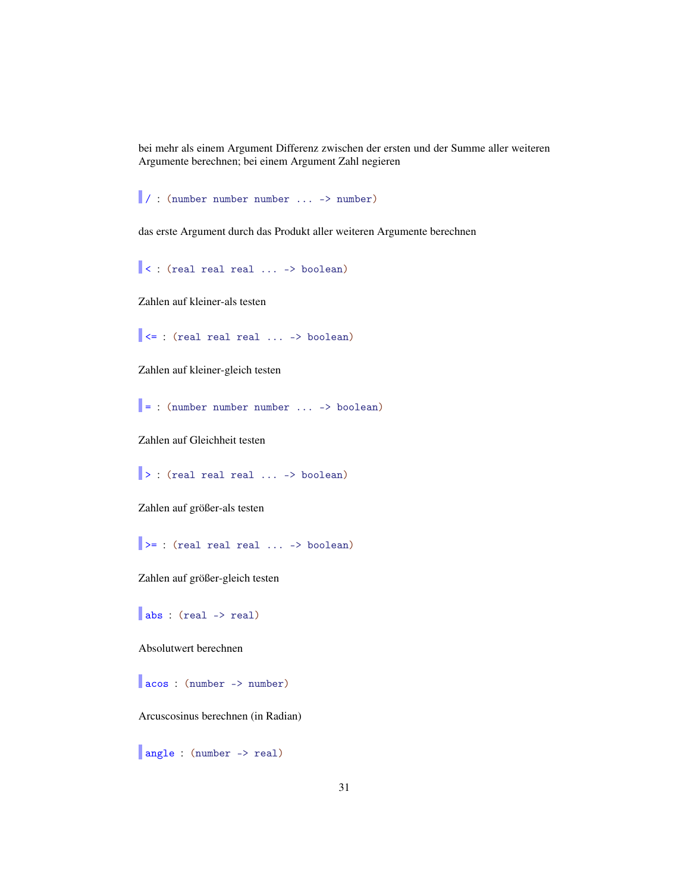bei mehr als einem Argument Differenz zwischen der ersten und der Summe aller weiteren Argumente berechnen; bei einem Argument Zahl negieren

/ : (number number number ... -> number)

das erste Argument durch das Produkt aller weiteren Argumente berechnen

< : (real real real ... -> boolean)

Zahlen auf kleiner-als testen

 $\vert \vert$  <= : (real real real ... -> boolean)

Zahlen auf kleiner-gleich testen

 $=$  : (number number number ... -> boolean)

Zahlen auf Gleichheit testen

|> : (real real real ... -> boolean)

Zahlen auf größer-als testen

 $\Rightarrow$  : (real real real ... -> boolean)

Zahlen auf größer-gleich testen

abs : (real -> real)

Absolutwert berechnen

acos : (number -> number)

Arcuscosinus berechnen (in Radian)

angle : (number -> real)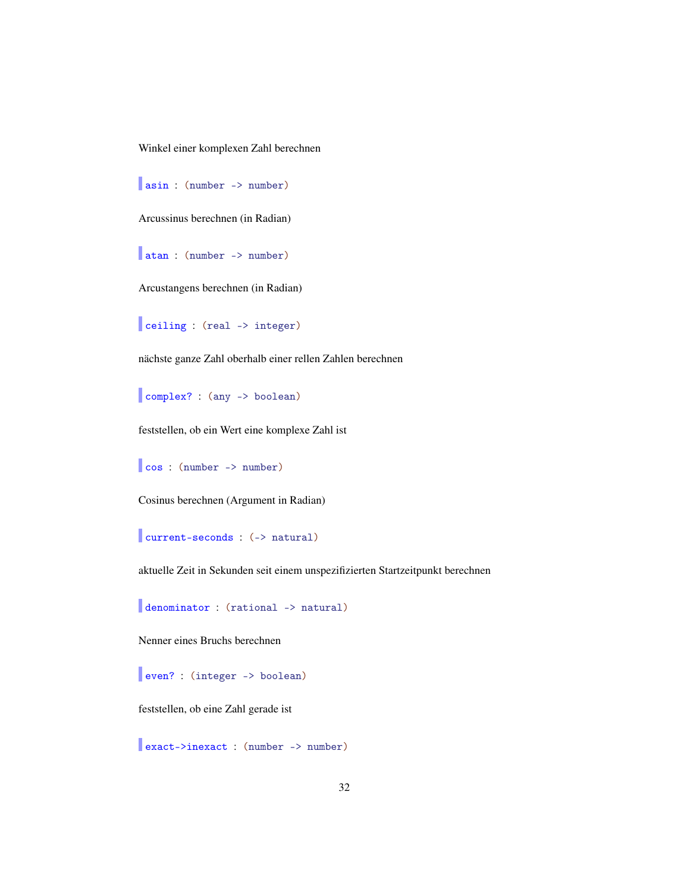Winkel einer komplexen Zahl berechnen

asin : (number -> number)

Arcussinus berechnen (in Radian)

atan : (number -> number)

Arcustangens berechnen (in Radian)

ceiling : (real -> integer)

nächste ganze Zahl oberhalb einer rellen Zahlen berechnen

complex? : (any -> boolean)

feststellen, ob ein Wert eine komplexe Zahl ist

cos : (number -> number)

Cosinus berechnen (Argument in Radian)

current-seconds : (-> natural)

aktuelle Zeit in Sekunden seit einem unspezifizierten Startzeitpunkt berechnen

denominator : (rational -> natural)

Nenner eines Bruchs berechnen

even? : (integer -> boolean)

feststellen, ob eine Zahl gerade ist

exact->inexact : (number -> number)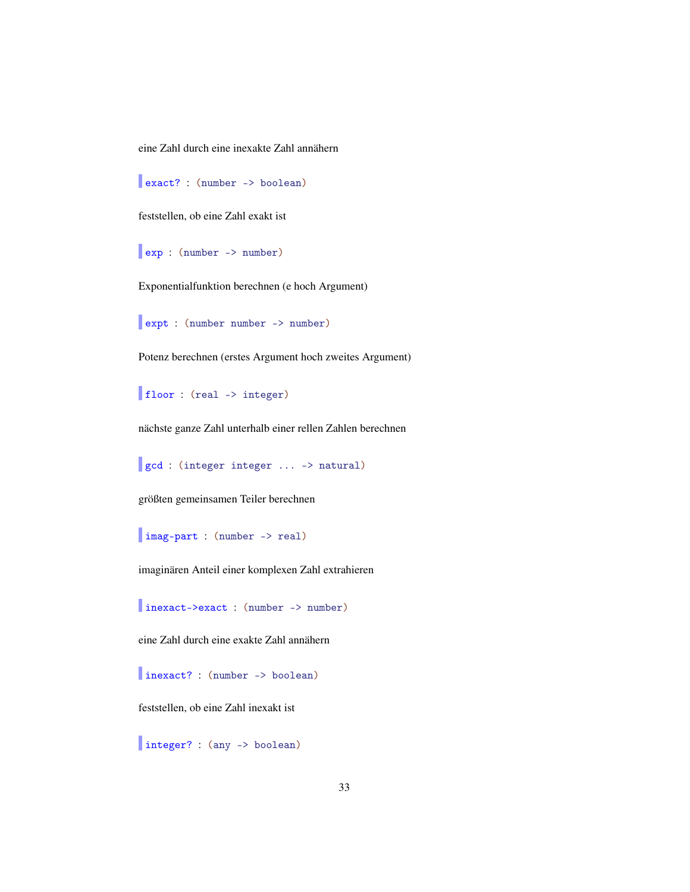eine Zahl durch eine inexakte Zahl annähern

exact? : (number -> boolean)

feststellen, ob eine Zahl exakt ist

exp : (number -> number)

Exponentialfunktion berechnen (e hoch Argument)

expt : (number number -> number)

Potenz berechnen (erstes Argument hoch zweites Argument)

floor : (real -> integer)

nächste ganze Zahl unterhalb einer rellen Zahlen berechnen

gcd : (integer integer ... -> natural)

größten gemeinsamen Teiler berechnen

imag-part : (number -> real)

imaginären Anteil einer komplexen Zahl extrahieren

inexact->exact : (number -> number)

eine Zahl durch eine exakte Zahl annähern

inexact? : (number -> boolean)

feststellen, ob eine Zahl inexakt ist

integer? : (any -> boolean)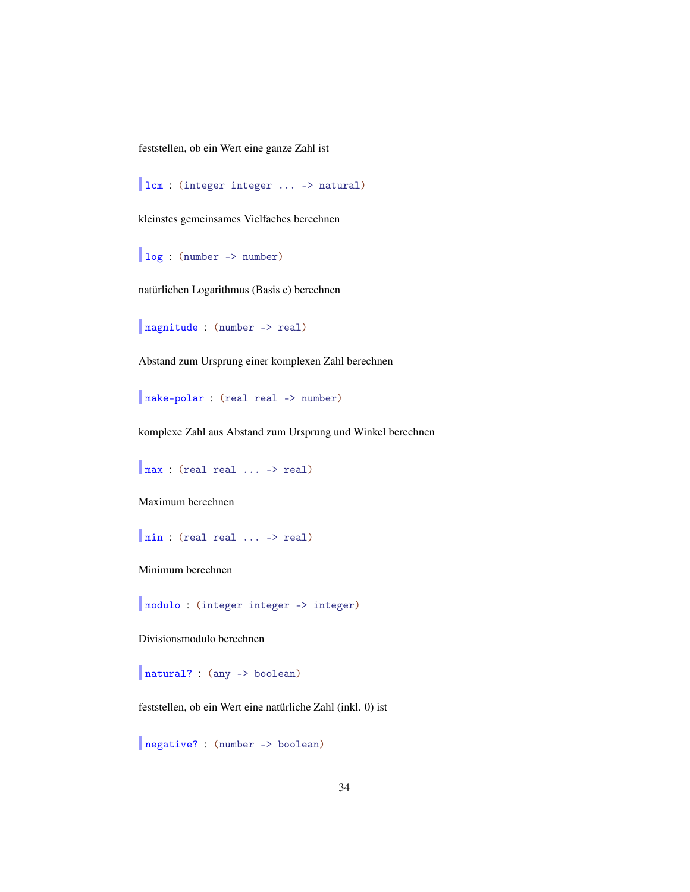feststellen, ob ein Wert eine ganze Zahl ist

```
lcm : (integer integer ... -> natural)
```
kleinstes gemeinsames Vielfaches berechnen

log : (number -> number)

natürlichen Logarithmus (Basis e) berechnen

```
magnitude : (number -> real)
```
Abstand zum Ursprung einer komplexen Zahl berechnen

make-polar : (real real -> number)

komplexe Zahl aus Abstand zum Ursprung und Winkel berechnen

max : (real real ... -> real)

Maximum berechnen

min : (real real ... -> real)

Minimum berechnen

modulo : (integer integer -> integer)

Divisionsmodulo berechnen

natural? : (any -> boolean)

feststellen, ob ein Wert eine natürliche Zahl (inkl. 0) ist

negative? : (number -> boolean)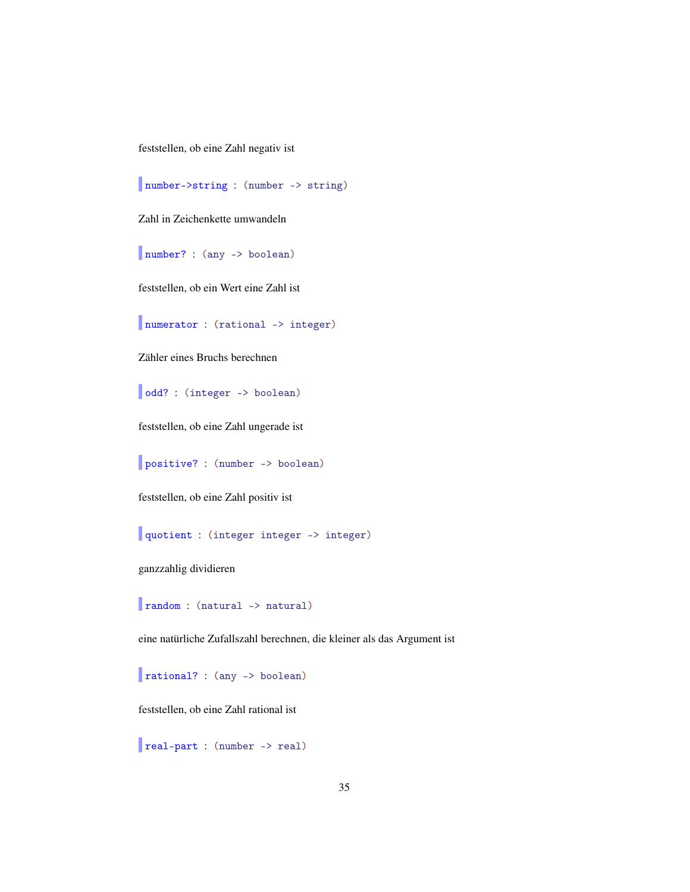feststellen, ob eine Zahl negativ ist

number->string : (number -> string)

Zahl in Zeichenkette umwandeln

number? : (any -> boolean)

feststellen, ob ein Wert eine Zahl ist

numerator : (rational -> integer)

Zähler eines Bruchs berechnen

odd? : (integer -> boolean)

feststellen, ob eine Zahl ungerade ist

positive? : (number -> boolean)

feststellen, ob eine Zahl positiv ist

quotient : (integer integer -> integer)

ganzzahlig dividieren

random : (natural -> natural)

eine natürliche Zufallszahl berechnen, die kleiner als das Argument ist

rational? : (any -> boolean)

feststellen, ob eine Zahl rational ist

real-part : (number -> real)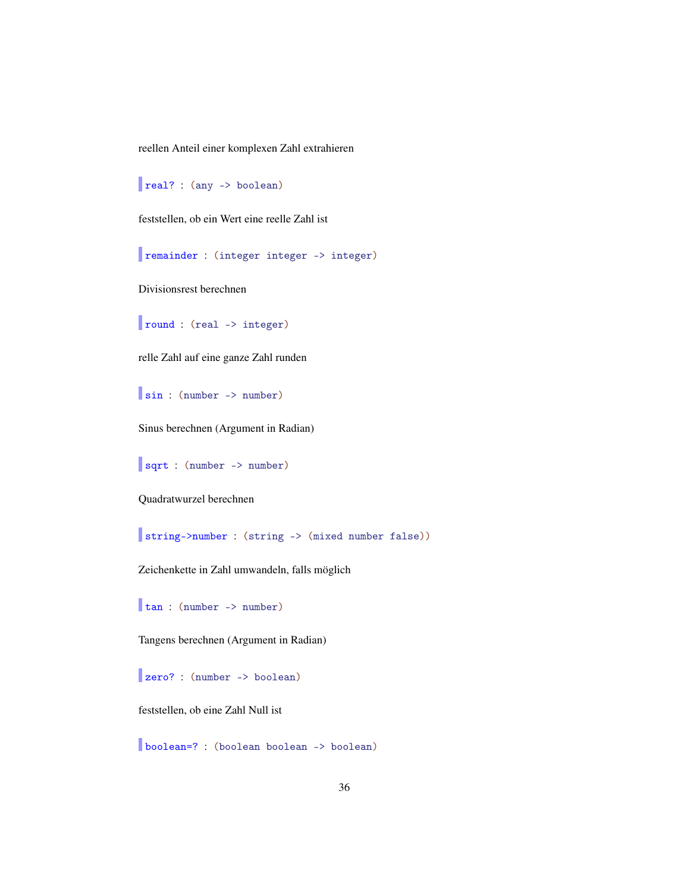reellen Anteil einer komplexen Zahl extrahieren

```
real? : (any -> boolean)
```
feststellen, ob ein Wert eine reelle Zahl ist

remainder : (integer integer -> integer)

Divisionsrest berechnen

round : (real -> integer)

relle Zahl auf eine ganze Zahl runden

sin : (number -> number)

Sinus berechnen (Argument in Radian)

sqrt : (number -> number)

Quadratwurzel berechnen

string->number : (string -> (mixed number false))

Zeichenkette in Zahl umwandeln, falls möglich

tan : (number -> number)

Tangens berechnen (Argument in Radian)

zero? : (number -> boolean)

feststellen, ob eine Zahl Null ist

boolean=? : (boolean boolean -> boolean)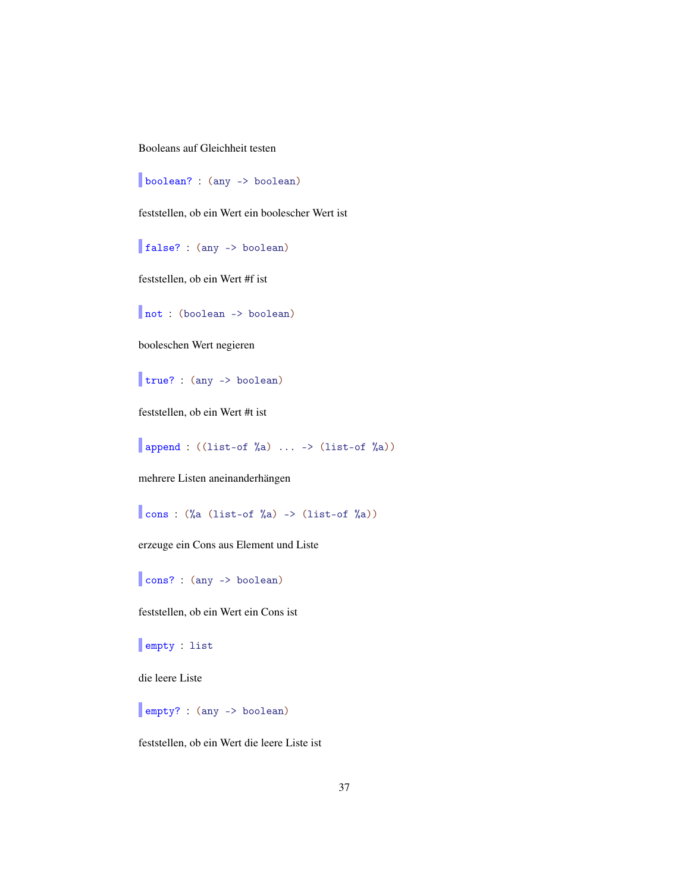Booleans auf Gleichheit testen

boolean? : (any -> boolean)

feststellen, ob ein Wert ein boolescher Wert ist

false? : (any -> boolean)

feststellen, ob ein Wert #f ist

not : (boolean -> boolean)

booleschen Wert negieren

true? : (any -> boolean)

feststellen, ob ein Wert #t ist

append :  $(\text{list-of }\%a) \dots \rightarrow (\text{list-of }\%a))$ 

mehrere Listen aneinanderhängen

cons :  $(\%a \text{ (list-of)}\&a) \rightarrow (\text{list-of)}\&a))$ 

erzeuge ein Cons aus Element und Liste

cons? : (any -> boolean)

feststellen, ob ein Wert ein Cons ist

empty : list

die leere Liste

empty? : (any -> boolean)

feststellen, ob ein Wert die leere Liste ist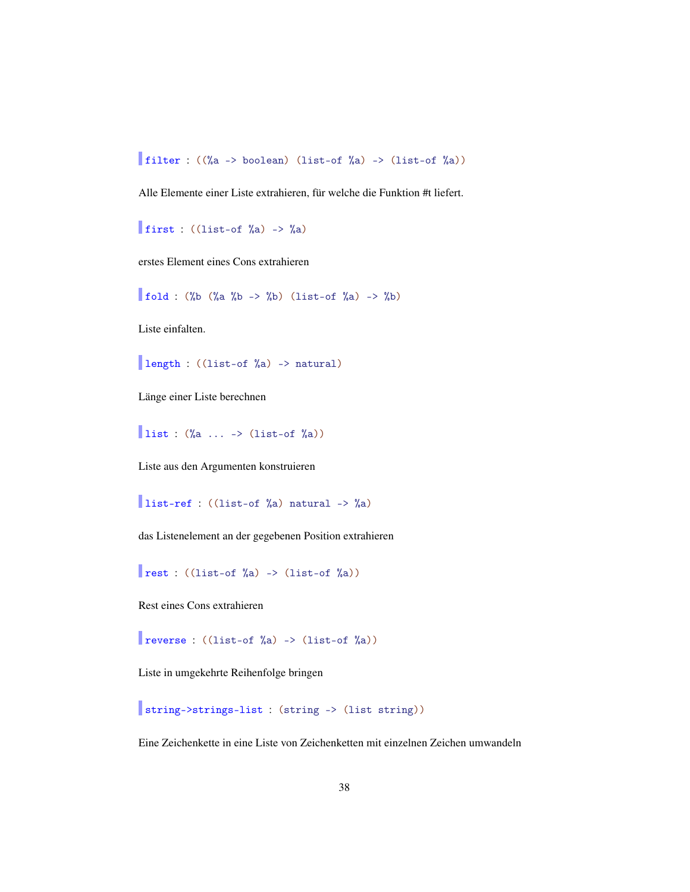filter :  $((\%a \rightarrow boolean)$  (list-of  $\%a) \rightarrow$  (list-of  $\%a)$ )

Alle Elemente einer Liste extrahieren, für welche die Funktion #t liefert.

first : ((list-of  $\%$ a) ->  $\%$ a)

erstes Element eines Cons extrahieren

fold : (%b (%a %b -> %b) (list-of %a) -> %b)

Liste einfalten.

length : ((list-of %a) -> natural)

Länge einer Liste berechnen

list :  $(\%a \dots \rightarrow (\text{list-of } %a))$ 

Liste aus den Argumenten konstruieren

list-ref : ((list-of %a) natural -> %a)

das Listenelement an der gegebenen Position extrahieren

rest :  $((list-of %a) -> (list-of %a))$ 

Rest eines Cons extrahieren

reverse : ((list-of %a) -> (list-of %a))

Liste in umgekehrte Reihenfolge bringen

string->strings-list : (string -> (list string))

Eine Zeichenkette in eine Liste von Zeichenketten mit einzelnen Zeichen umwandeln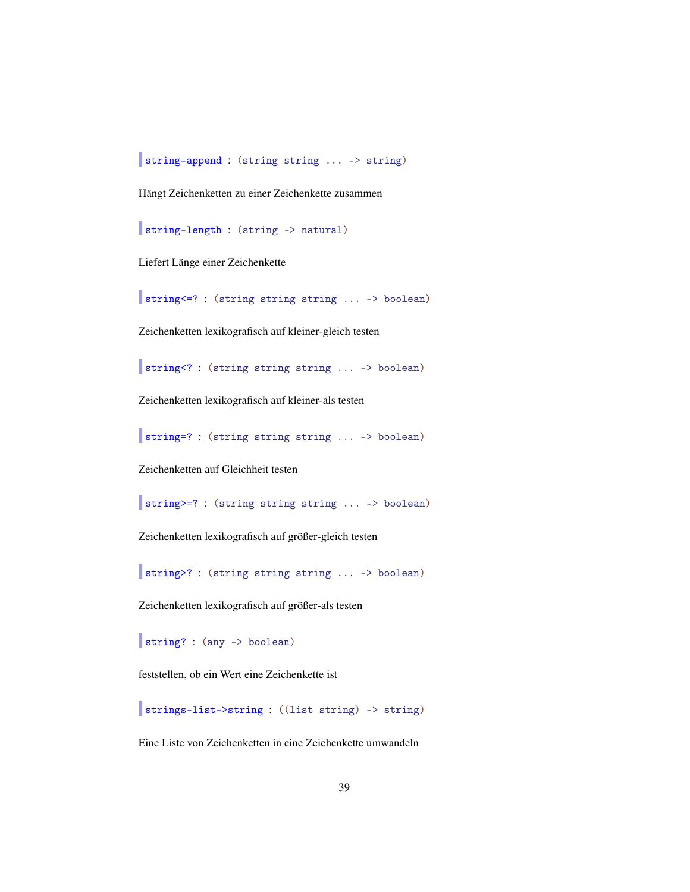string-append : (string string ... -> string)

Hängt Zeichenketten zu einer Zeichenkette zusammen

string-length : (string -> natural)

Liefert Länge einer Zeichenkette

string<=? : (string string string ... -> boolean)

Zeichenketten lexikografisch auf kleiner-gleich testen

string<? : (string string string ... -> boolean)

Zeichenketten lexikografisch auf kleiner-als testen

string=? : (string string string ... -> boolean)

Zeichenketten auf Gleichheit testen

string>=? : (string string string ... -> boolean)

Zeichenketten lexikografisch auf größer-gleich testen

string>? : (string string string ... -> boolean)

Zeichenketten lexikografisch auf größer-als testen

string? : (any -> boolean)

feststellen, ob ein Wert eine Zeichenkette ist

strings-list->string : ((list string) -> string)

Eine Liste von Zeichenketten in eine Zeichenkette umwandeln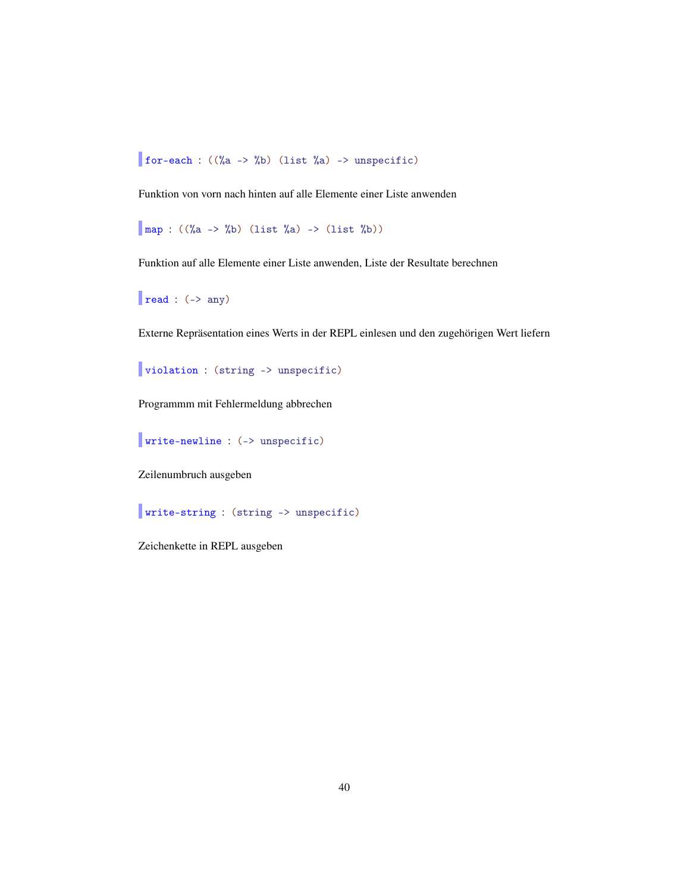for-each :  $((\%a \rightarrow \%b)$  (list  $\%a) \rightarrow$  unspecific)

Funktion von vorn nach hinten auf alle Elemente einer Liste anwenden

 $\Box$  map : ((%a -> %b) (list %a) -> (list %b))

Funktion auf alle Elemente einer Liste anwenden, Liste der Resultate berechnen

 $\vert$  read : (-> any)

Externe Repräsentation eines Werts in der REPL einlesen und den zugehörigen Wert liefern

violation : (string -> unspecific)

Programmm mit Fehlermeldung abbrechen

write-newline : (-> unspecific)

Zeilenumbruch ausgeben

write-string : (string -> unspecific)

Zeichenkette in REPL ausgeben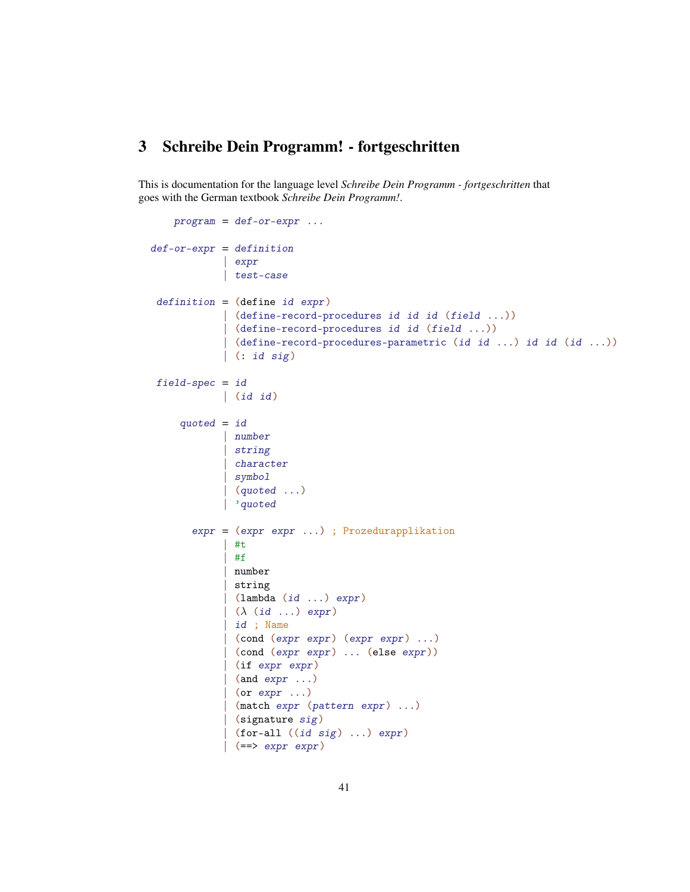## <span id="page-40-0"></span>3 Schreibe Dein Programm! - fortgeschritten

This is documentation for the language level *Schreibe Dein Programm - fortgeschritten* that goes with the German textbook *Schreibe Dein Programm!*.

```
program = def-or-expr ...def-cr-expr = definition| expr
            | test-case
 definition = (define id expr)
             (define-record-procedures id id id (field ...))
             | (define-record-procedures id id (field ...))
            | (define-record-procedures-parametric (id id ...) id id (id ...))
            | (: id sig)
 field-spec = id| (id id)
     quoted = id| number
             | string
              | character
             | symbol
             | (quoted ...)
            | 'quoted
       expr = (expr expr ...) ; Prozedurapplikation
             | #t
             | #f
              | number
             | string
             \vert (lambda (id ...) expr)
             ( \lambda (id ...) expr)
             | id ; Name
             | (cond (expr expr) (expr expr) ...)
             | (cond (expr expr) ... (else expr))
             (if expr expr)
              (and \; expr \ldots)(or expr ...)
              (match expr (pattern expr) ...)
              (signature sig)
              (for-all ((id sig) ...) expr)( == > expr expr)
```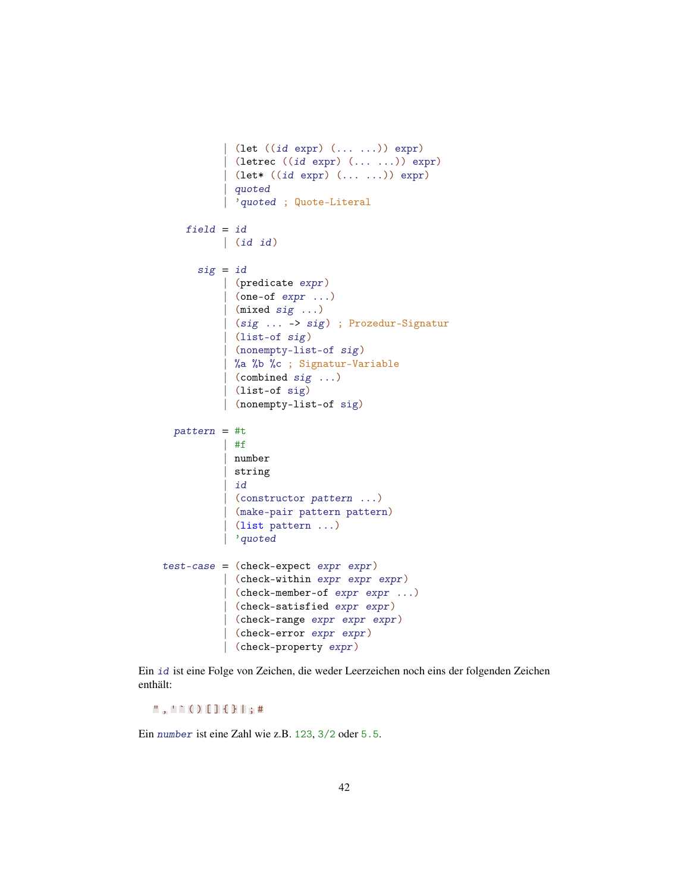```
| (let ((id expr) (... ...)) expr)
            (letrec ((id expr) (... ...)) expr)
          | (let* ((id expr) (... ...)) expr)
            | quoted
            'quoted ; Quote-Literal
   field = id| (id id)
      sig = id| (predicate expr)
          | (one-of expr ...)
           | (mixed sig ...)
          | (sig ... -> sig) ; Prozedur-Signatur
          | (list-of sig)
           | (nonempty-list-of sig)
          | %a %b %c ; Signatur-Variable
          | (combined sig ...)
          | (list-of sig)
          | (nonempty-list-of sig)
 pattern = #t| #f
          | number
          | string
          | id
          | (constructor pattern ...)
          | (make-pair pattern pattern)
          | (list pattern ...)
          | 'quoted
test-case = (check-expect expr expr)| (check-within expr expr expr)
          | (check-member-of expr expr ...)
           (check-satisfied expr expr)
           | (check-range expr expr expr)
           | (check-error expr expr)
          | (check-property expr)
```
Ein id ist eine Folge von Zeichen, die weder Leerzeichen noch eins der folgenden Zeichen enthält:

 $" , '': () []$  { } | ; #

Ein number ist eine Zahl wie z.B. 123, 3/2 oder 5.5.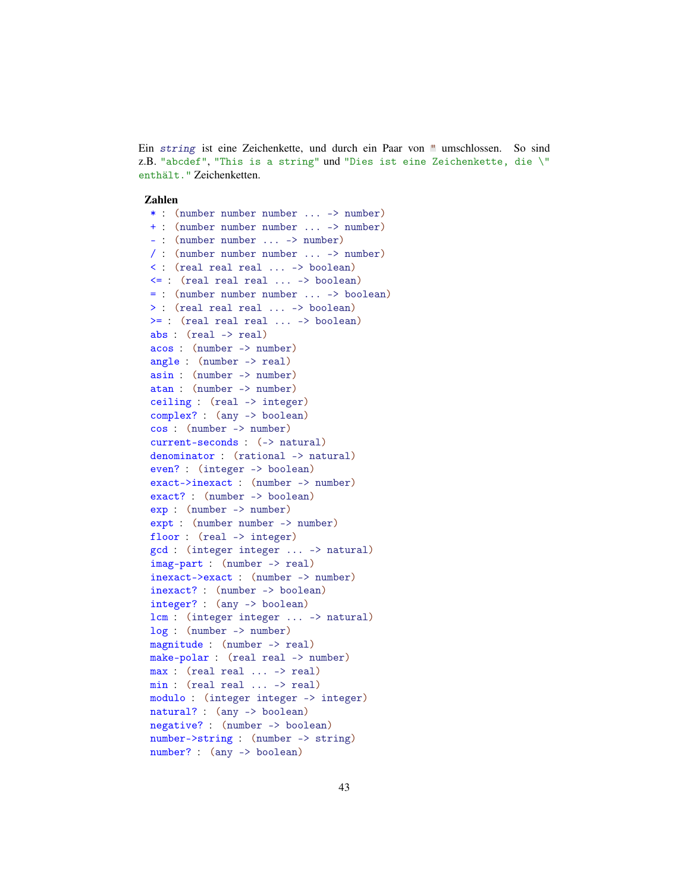Ein string ist eine Zeichenkette, und durch ein Paar von " umschlossen. So sind z.B. "abcdef", "This is a string" und "Dies ist eine Zeichenkette, die \" enthält." Zeichenketten.

#### Zahlen

\* : (number number number ... -> number) + : (number number number ... -> number) - : (number number ... -> number) / : (number number number ... -> number) < : (real real real ... -> boolean) <= : (real real real ... -> boolean) = : (number number number ... -> boolean) > : (real real real ... -> boolean) >= : (real real real ... -> boolean) abs : (real -> real) acos : (number -> number) angle : (number -> real) asin : (number -> number) atan : (number -> number) ceiling : (real -> integer) complex? : (any -> boolean) cos : (number -> number) current-seconds : (-> natural) denominator : (rational -> natural) even? : (integer -> boolean) exact->inexact : (number -> number) exact? : (number -> boolean) exp : (number -> number) expt : (number number -> number) floor : (real -> integer) gcd : (integer integer ... -> natural) imag-part : (number -> real) inexact->exact : (number -> number) inexact? : (number -> boolean) integer? : (any -> boolean) lcm : (integer integer ... -> natural) log : (number -> number) magnitude : (number -> real) make-polar : (real real -> number) max : (real real ... -> real) min : (real real ... -> real) modulo : (integer integer -> integer) natural? : (any -> boolean) negative? : (number -> boolean) number->string : (number -> string) number? : (any -> boolean)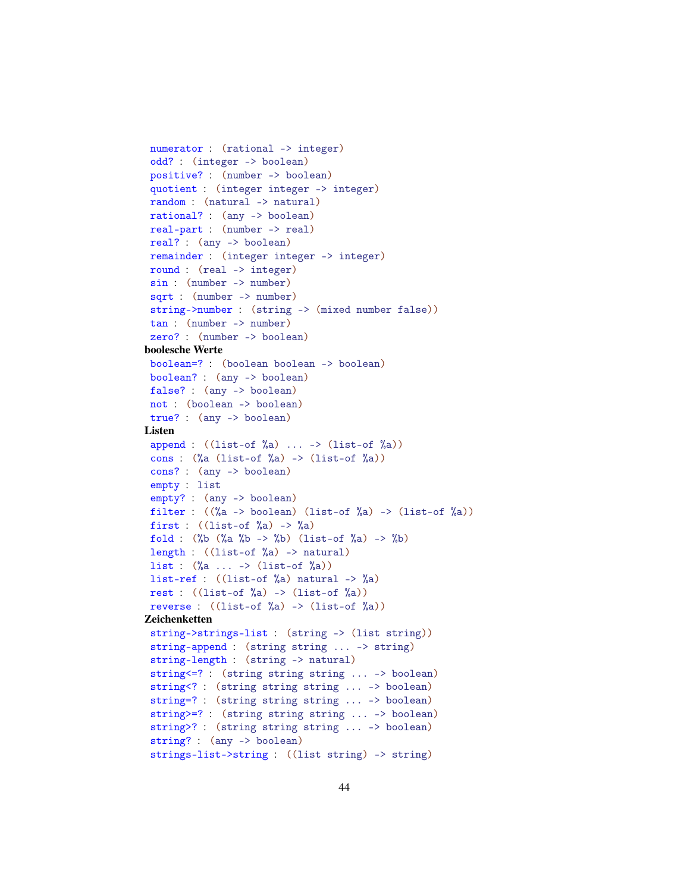```
numerator : (rational -> integer)
 odd? : (integer -> boolean)
 positive? : (number -> boolean)
 quotient : (integer integer -> integer)
 random : (natural -> natural)
 rational? : (any -> boolean)
 real-part : (number -> real)
 real? : (any -> boolean)
 remainder : (integer integer -> integer)
 round : (real -> integer)
 sin : (number -> number)
 sqrt : (number -> number)
 string->number : (string -> (mixed number false))
 tan : (number -> number)
 zero? : (number -> boolean)
boolesche Werte
 boolean=? : (boolean boolean -> boolean)
 boolean? : (any -> boolean)
 false? : (any -> boolean)
 not : (boolean -> boolean)
 true? : (any -> boolean)
Listen
 append : ((list-of %a) ... \rightarrow (list-of %a))cons : (\%a \text{ (list-of)}\&a) \rightarrow (\text{list-of)}\&a))cons? : (any -> boolean)
 empty : list
 empty? : (any -> boolean)
 filter : ((\%a \rightarrow boolean) (list-of \%a) \rightarrow (list-of \%a))
 first : ((list-of) %a) \rightarrow %a)fold : (\%b \ (\%a \ \%b \ -> \%) (list-of \%a) -> \%b)length : ((list-of %a) -> natural)
 list : (\%a \dots \rightarrow (\text{list-of }\%a))list-ref : ((list-of %a) natural -> %a)rest : ((list-of %a) -> (list-of %a))reverse : ((list-of %a) -> (list-of %a))Zeichenketten
 string->strings-list : (string -> (list string))
 string-append : (string string ... -> string)
 string-length : (string -> natural)
 string<=? : (string string string ... -> boolean)
 string<? : (string string string ... -> boolean)
 string=? : (string string string ... -> boolean)
 string>=? : (string string string ... -> boolean)
 string>? : (string string string ... -> boolean)
 string? : (any -> boolean)
 strings-list->string : ((list string) -> string)
```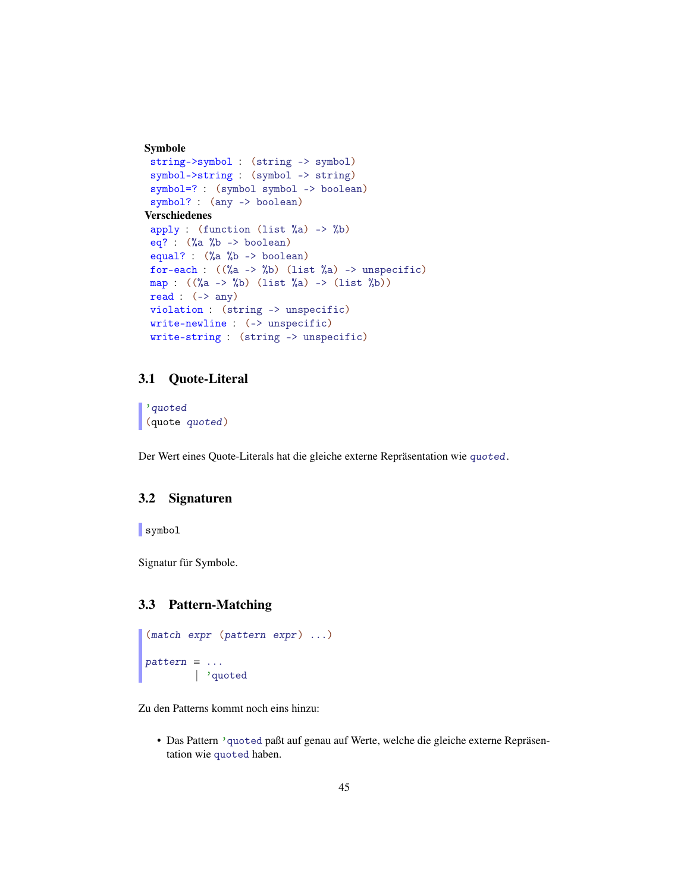```
Symbole
 string->symbol : (string -> symbol)
symbol->string : (symbol -> string)
 symbol=? : (symbol symbol -> boolean)
 symbol? : (any -> boolean)
Verschiedenes
 apply : (function (list \%a) -> \%b)
eq? : (%a %b -> boolean)
 equal? : (%a %b -> boolean)
for-each : ((\%a \rightarrow \%b) (list \%a) \rightarrow unspecific)
map : ((\%a \ -> \%) (list a) \ -> (list (b)))
read : (-) any)
violation : (string -> unspecific)
write-newline : (-> unspecific)
write-string : (string -> unspecific)
```
## <span id="page-44-0"></span>3.1 Quote-Literal

'quoted (quote quoted)

Der Wert eines Quote-Literals hat die gleiche externe Repräsentation wie quoted.

### <span id="page-44-1"></span>3.2 Signaturen

symbol

Signatur für Symbole.

#### <span id="page-44-2"></span>3.3 Pattern-Matching

```
(match expr (pattern expr) ...)
pattern = ...| 'quoted
```
Zu den Patterns kommt noch eins hinzu:

• Das Pattern 'quoted paßt auf genau auf Werte, welche die gleiche externe Repräsentation wie quoted haben.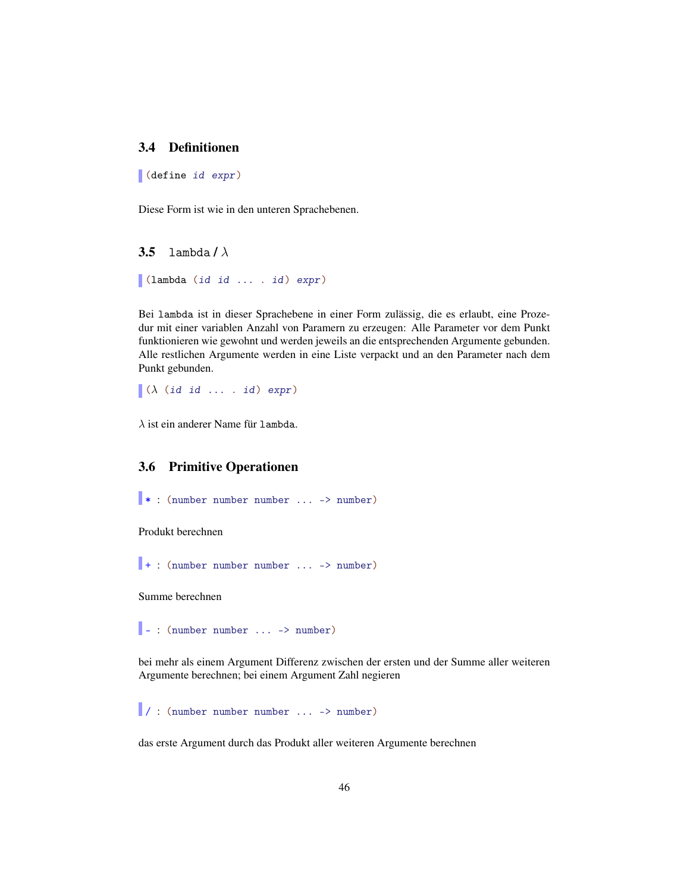## <span id="page-45-0"></span>3.4 Definitionen

(define id expr)

Diese Form ist wie in den unteren Sprachebenen.

<span id="page-45-1"></span>**3.5** lambda /  $\lambda$ 

(lambda (id id ... . id) expr)

Bei lambda ist in dieser Sprachebene in einer Form zulässig, die es erlaubt, eine Prozedur mit einer variablen Anzahl von Paramern zu erzeugen: Alle Parameter vor dem Punkt funktionieren wie gewohnt und werden jeweils an die entsprechenden Argumente gebunden. Alle restlichen Argumente werden in eine Liste verpackt und an den Parameter nach dem Punkt gebunden.

 $\big[ (\lambda \text{ (id id } ... \text{ .}) \text{ expr})$ 

 $\lambda$  ist ein anderer Name für lambda.

## <span id="page-45-2"></span>3.6 Primitive Operationen

```
* : (number number number ... -> number)
```
Produkt berechnen

+ : (number number number ... -> number)

Summe berechnen

 $\vert \cdot \vert$  : (number number ... -> number)

bei mehr als einem Argument Differenz zwischen der ersten und der Summe aller weiteren Argumente berechnen; bei einem Argument Zahl negieren

/ : (number number number ... -> number)

das erste Argument durch das Produkt aller weiteren Argumente berechnen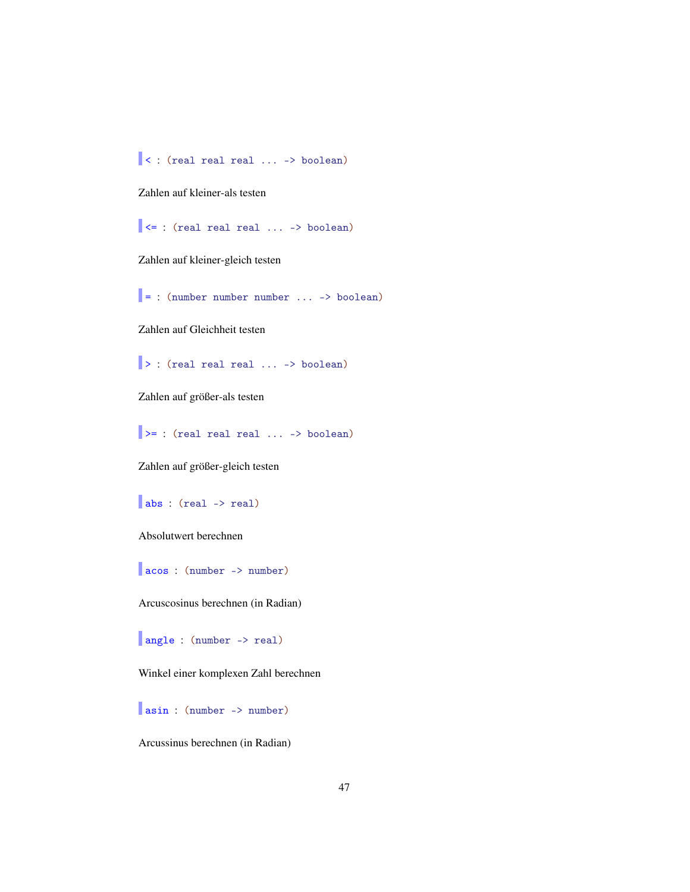< : (real real real ... -> boolean)

Zahlen auf kleiner-als testen

 $\vert \vert$  <= : (real real real ... -> boolean)

Zahlen auf kleiner-gleich testen

 $\vert$  = : (number number number ... -> boolean)

Zahlen auf Gleichheit testen

> : (real real real ... -> boolean)

Zahlen auf größer-als testen

 $\Rightarrow$  : (real real real ... -> boolean)

Zahlen auf größer-gleich testen

abs : (real -> real)

Absolutwert berechnen

acos : (number -> number)

Arcuscosinus berechnen (in Radian)

angle : (number -> real)

Winkel einer komplexen Zahl berechnen

asin : (number -> number)

Arcussinus berechnen (in Radian)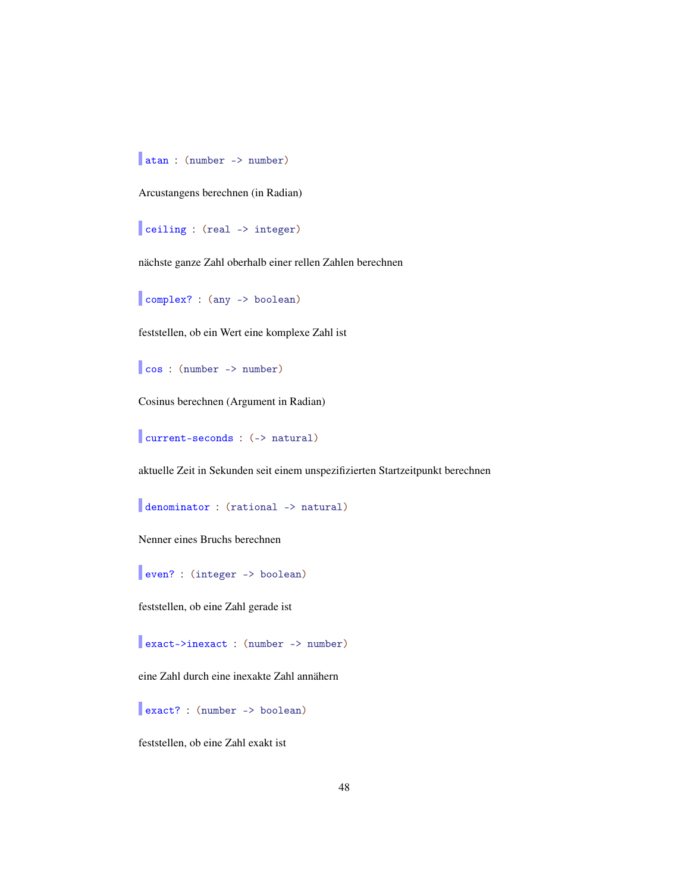atan : (number -> number)

Arcustangens berechnen (in Radian)

ceiling : (real -> integer)

nächste ganze Zahl oberhalb einer rellen Zahlen berechnen

complex? : (any -> boolean)

feststellen, ob ein Wert eine komplexe Zahl ist

cos : (number -> number)

Cosinus berechnen (Argument in Radian)

current-seconds : (-> natural)

aktuelle Zeit in Sekunden seit einem unspezifizierten Startzeitpunkt berechnen

denominator : (rational -> natural)

Nenner eines Bruchs berechnen

even? : (integer -> boolean)

feststellen, ob eine Zahl gerade ist

exact->inexact : (number -> number)

eine Zahl durch eine inexakte Zahl annähern

exact? : (number -> boolean)

feststellen, ob eine Zahl exakt ist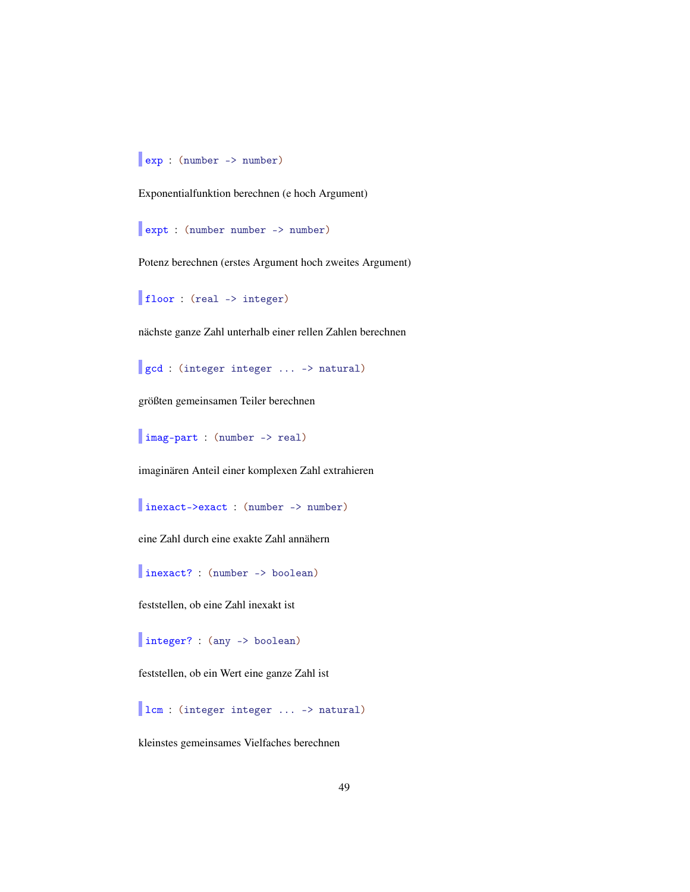exp : (number -> number)

Exponentialfunktion berechnen (e hoch Argument)

expt : (number number -> number)

Potenz berechnen (erstes Argument hoch zweites Argument)

floor : (real -> integer)

nächste ganze Zahl unterhalb einer rellen Zahlen berechnen

gcd : (integer integer ... -> natural)

größten gemeinsamen Teiler berechnen

imag-part : (number -> real)

imaginären Anteil einer komplexen Zahl extrahieren

inexact->exact : (number -> number)

eine Zahl durch eine exakte Zahl annähern

inexact? : (number -> boolean)

feststellen, ob eine Zahl inexakt ist

integer? : (any -> boolean)

feststellen, ob ein Wert eine ganze Zahl ist

lcm : (integer integer ... -> natural)

kleinstes gemeinsames Vielfaches berechnen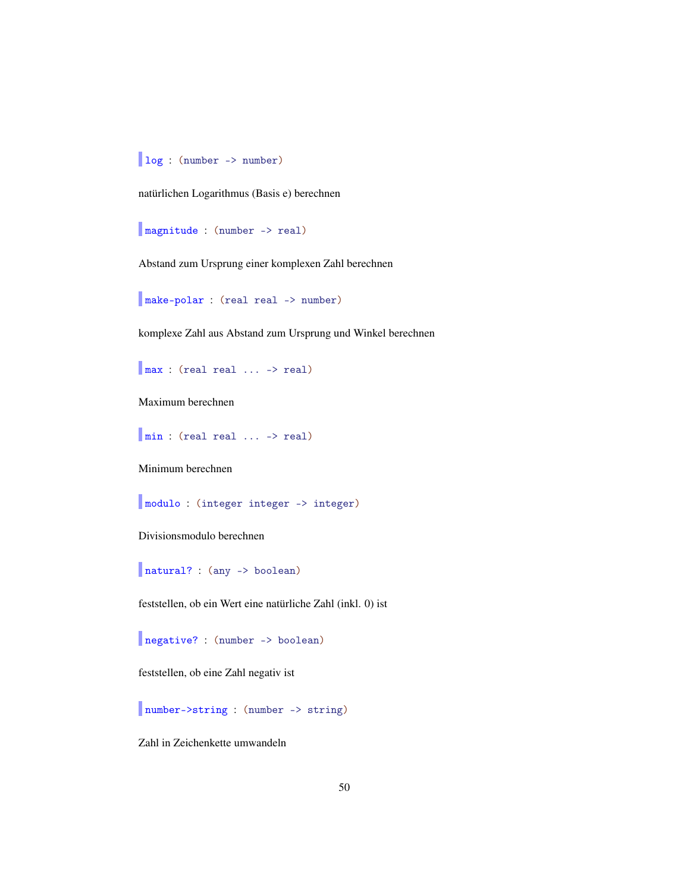log : (number -> number)

natürlichen Logarithmus (Basis e) berechnen

magnitude : (number -> real)

Abstand zum Ursprung einer komplexen Zahl berechnen

make-polar : (real real -> number)

komplexe Zahl aus Abstand zum Ursprung und Winkel berechnen

max : (real real ... -> real)

Maximum berechnen

min : (real real ... -> real)

Minimum berechnen

modulo : (integer integer -> integer)

Divisionsmodulo berechnen

natural? : (any -> boolean)

feststellen, ob ein Wert eine natürliche Zahl (inkl. 0) ist

negative? : (number -> boolean)

feststellen, ob eine Zahl negativ ist

number->string : (number -> string)

Zahl in Zeichenkette umwandeln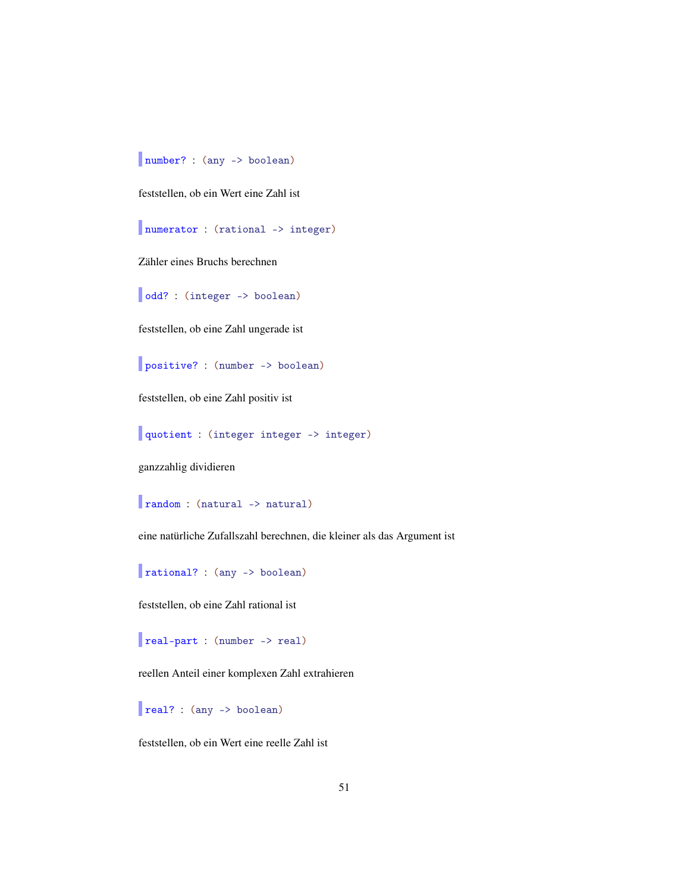number? : (any -> boolean)

feststellen, ob ein Wert eine Zahl ist

numerator : (rational -> integer)

Zähler eines Bruchs berechnen

odd? : (integer -> boolean)

feststellen, ob eine Zahl ungerade ist

positive? : (number -> boolean)

feststellen, ob eine Zahl positiv ist

quotient : (integer integer -> integer)

ganzzahlig dividieren

random : (natural -> natural)

eine natürliche Zufallszahl berechnen, die kleiner als das Argument ist

rational? : (any -> boolean)

feststellen, ob eine Zahl rational ist

real-part : (number -> real)

reellen Anteil einer komplexen Zahl extrahieren

real? : (any -> boolean)

feststellen, ob ein Wert eine reelle Zahl ist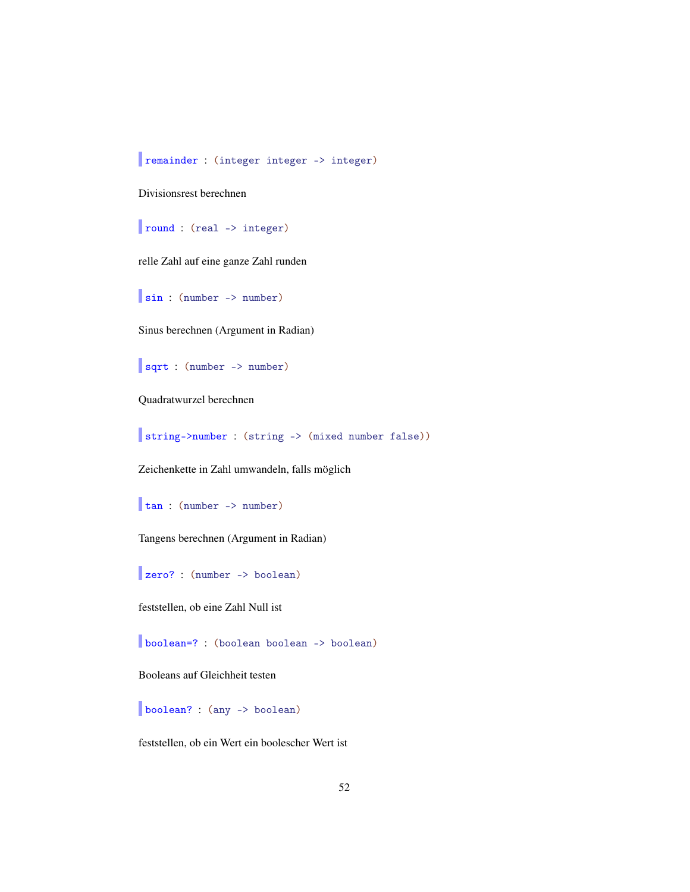remainder : (integer integer -> integer)

Divisionsrest berechnen

round : (real -> integer)

relle Zahl auf eine ganze Zahl runden

sin : (number -> number)

Sinus berechnen (Argument in Radian)

sqrt : (number -> number)

Quadratwurzel berechnen

string->number : (string -> (mixed number false))

Zeichenkette in Zahl umwandeln, falls möglich

tan : (number -> number)

Tangens berechnen (Argument in Radian)

zero? : (number -> boolean)

feststellen, ob eine Zahl Null ist

boolean=? : (boolean boolean -> boolean)

Booleans auf Gleichheit testen

boolean? : (any -> boolean)

feststellen, ob ein Wert ein boolescher Wert ist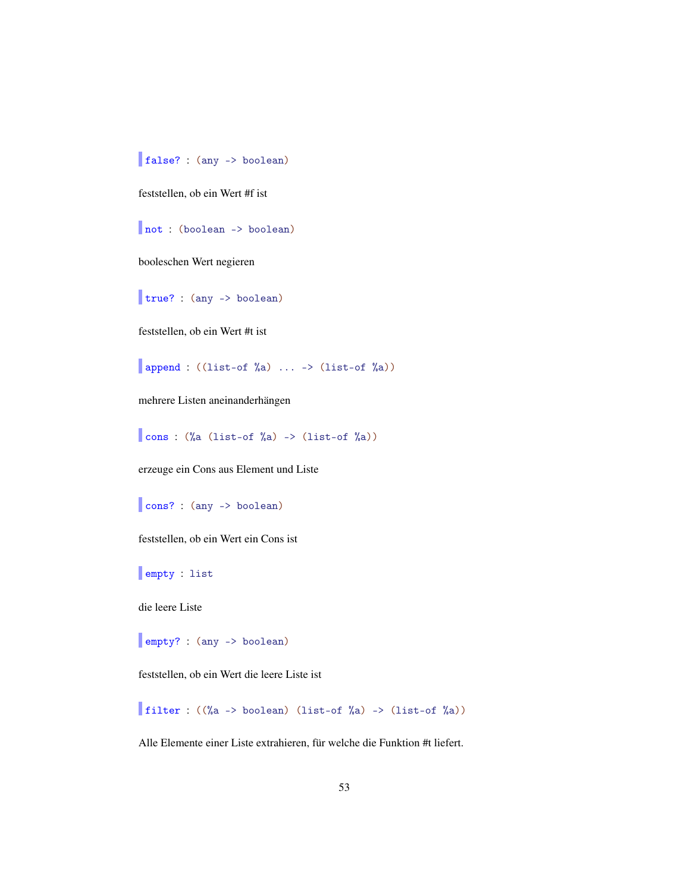false? : (any -> boolean)

feststellen, ob ein Wert #f ist

not : (boolean -> boolean)

booleschen Wert negieren

true? : (any -> boolean)

feststellen, ob ein Wert #t ist

append :  $((list-of %a) ... > (list-of %a))$ 

mehrere Listen aneinanderhängen

cons :  $(\%a \text{ (list-of)}\&a) \rightarrow (\text{list-of)}\&a))$ 

erzeuge ein Cons aus Element und Liste

```
cons? : (any -> boolean)
```
feststellen, ob ein Wert ein Cons ist

empty : list

die leere Liste

empty? : (any -> boolean)

feststellen, ob ein Wert die leere Liste ist

filter :  $(\%a \rightarrow boolean)$  (list-of  $a) \rightarrow (list-of \%)$ )

Alle Elemente einer Liste extrahieren, für welche die Funktion #t liefert.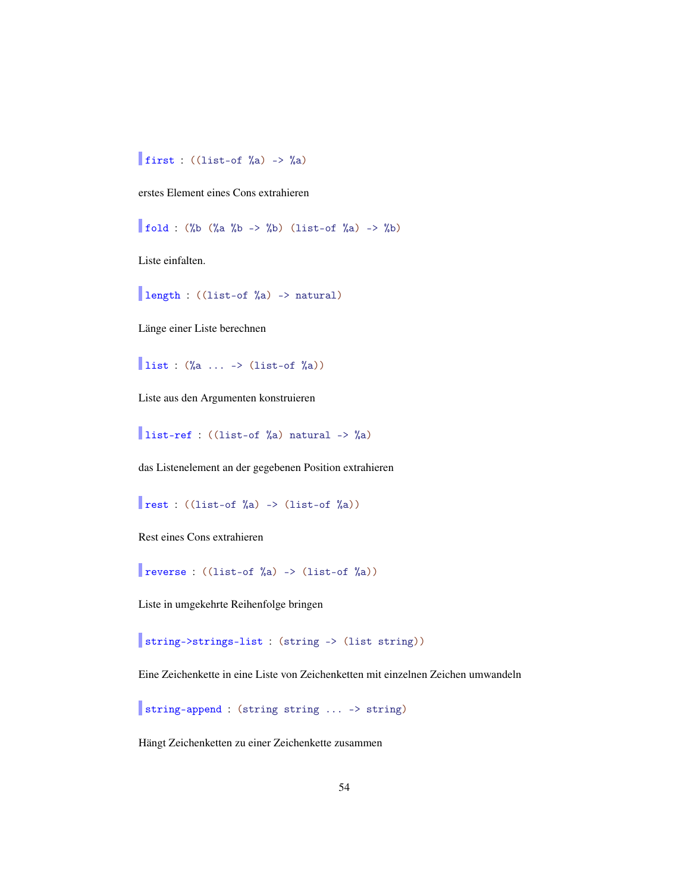## first : ((list-of  $\%$ a) ->  $\%$ a)

erstes Element eines Cons extrahieren

fold : (%b (%a %b -> %b) (list-of %a) -> %b)

Liste einfalten.

length : ((list-of %a) -> natural)

Länge einer Liste berechnen

list :  $(\%a \ldots \rightarrow (\text{list-of }\%a))$ 

Liste aus den Argumenten konstruieren

list-ref : ((list-of %a) natural -> %a)

das Listenelement an der gegebenen Position extrahieren

rest :  $(\text{list-of }\%a) \rightarrow (\text{list-of }\%a))$ 

Rest eines Cons extrahieren

**reverse** :  $((list-of  $\lambda a) \rightarrow (list-of  $\lambda a)$ )$$ 

Liste in umgekehrte Reihenfolge bringen

string->strings-list : (string -> (list string))

Eine Zeichenkette in eine Liste von Zeichenketten mit einzelnen Zeichen umwandeln

string-append : (string string ... -> string)

Hängt Zeichenketten zu einer Zeichenkette zusammen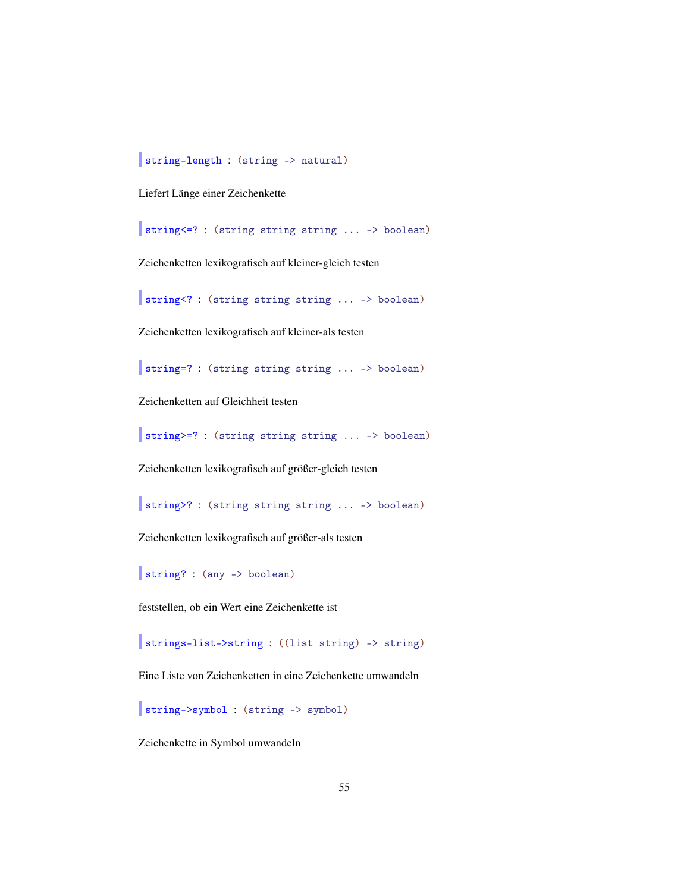string-length : (string -> natural)

Liefert Länge einer Zeichenkette

string<=? : (string string string ... -> boolean)

Zeichenketten lexikografisch auf kleiner-gleich testen

string<? : (string string string ... -> boolean)

Zeichenketten lexikografisch auf kleiner-als testen

string=? : (string string string ... -> boolean)

Zeichenketten auf Gleichheit testen

string>=? : (string string string ... -> boolean)

Zeichenketten lexikografisch auf größer-gleich testen

string>? : (string string string ... -> boolean)

Zeichenketten lexikografisch auf größer-als testen

string? : (any -> boolean)

feststellen, ob ein Wert eine Zeichenkette ist

strings-list->string : ((list string) -> string)

Eine Liste von Zeichenketten in eine Zeichenkette umwandeln

string->symbol : (string -> symbol)

Zeichenkette in Symbol umwandeln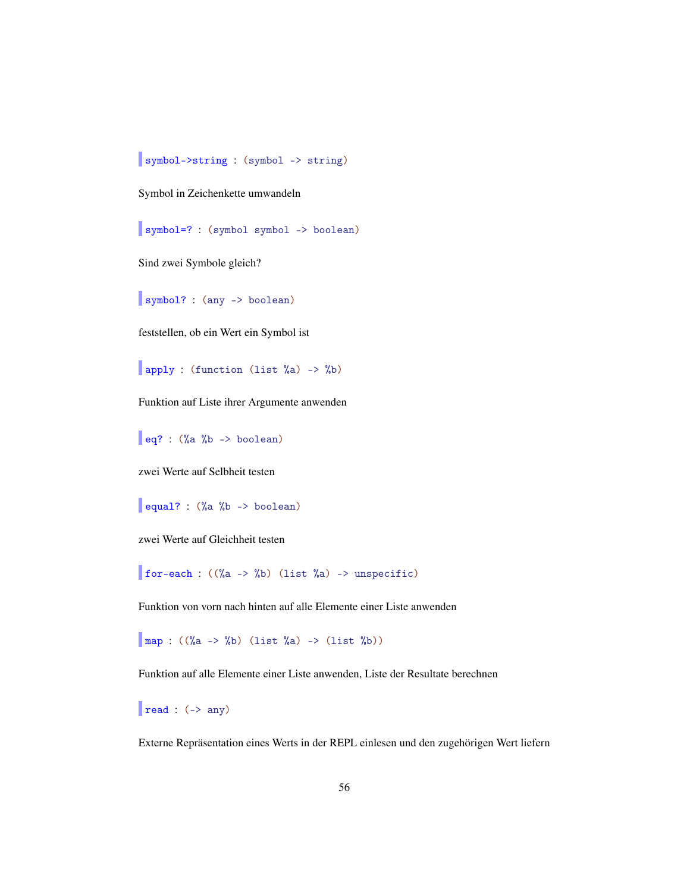symbol->string : (symbol -> string)

Symbol in Zeichenkette umwandeln

symbol=? : (symbol symbol -> boolean)

Sind zwei Symbole gleich?

symbol? : (any -> boolean)

feststellen, ob ein Wert ein Symbol ist

apply : (function (list %a) -> %b)

Funktion auf Liste ihrer Argumente anwenden

eq? :  $(\%a \ \%b \rightarrow boolean)$ 

zwei Werte auf Selbheit testen

equal? : (%a %b -> boolean)

zwei Werte auf Gleichheit testen

for-each :  $((\%a \rightarrow \%b)$  (list  $\%a) \rightarrow$  unspecific)

Funktion von vorn nach hinten auf alle Elemente einer Liste anwenden

 $\boxed{\text{map} : ((\%a -> \%b) \text{ (list } \%a) -> (\text{list } \%b))}$ 

Funktion auf alle Elemente einer Liste anwenden, Liste der Resultate berechnen

 $\vert$  read : (-> any)

Externe Repräsentation eines Werts in der REPL einlesen und den zugehörigen Wert liefern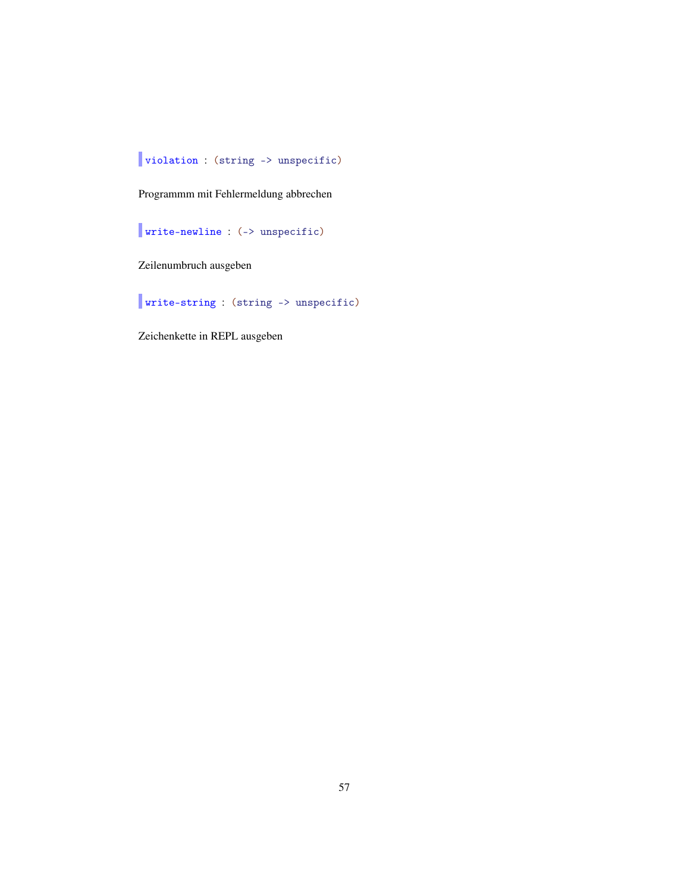# violation : (string -> unspecific)

Programmm mit Fehlermeldung abbrechen

write-newline : (-> unspecific)

Zeilenumbruch ausgeben

write-string : (string -> unspecific)

Zeichenkette in REPL ausgeben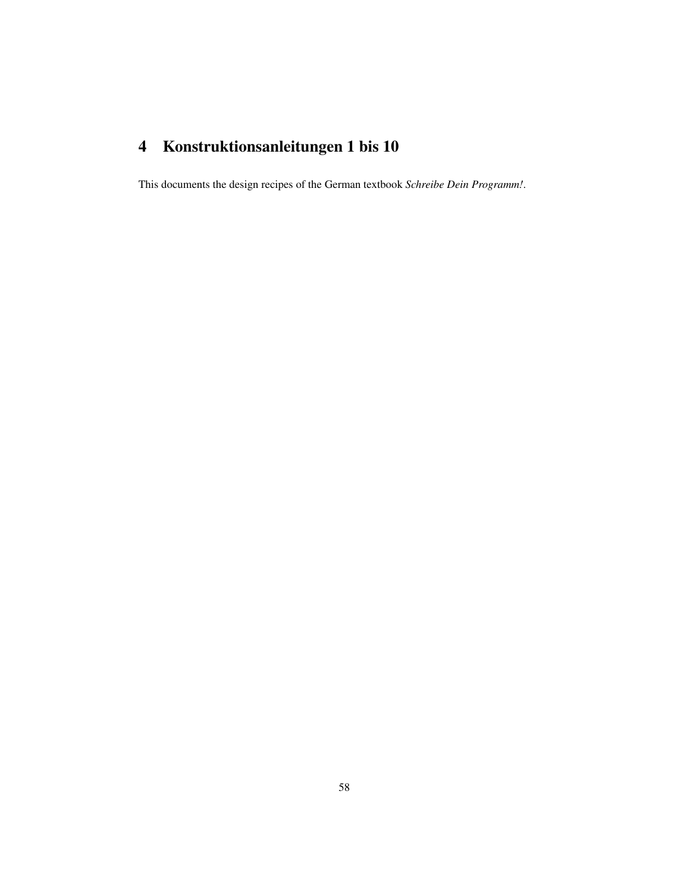# <span id="page-57-0"></span>4 Konstruktionsanleitungen 1 bis 10

This documents the design recipes of the German textbook *Schreibe Dein Programm!*.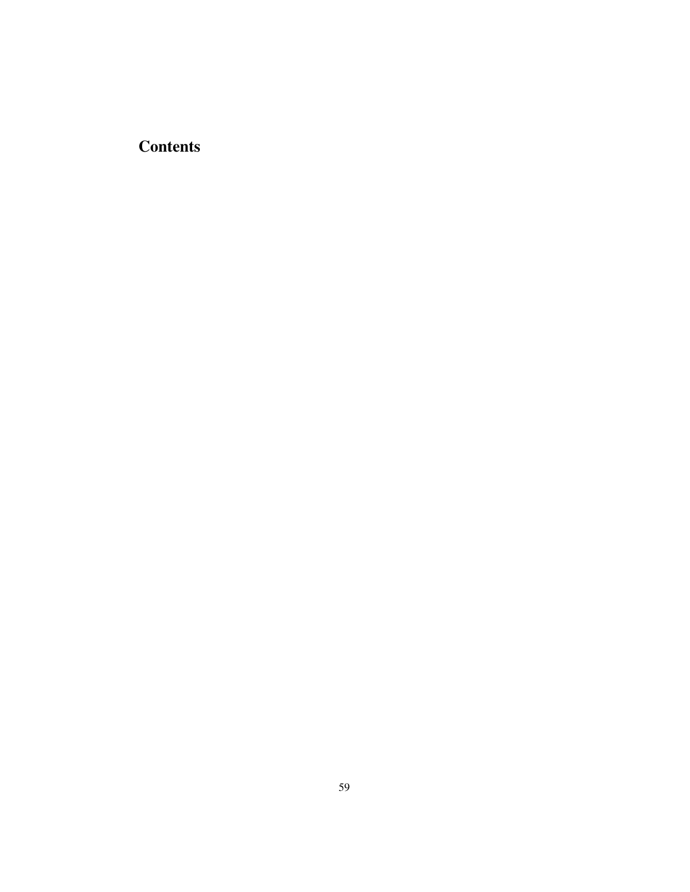# **Contents**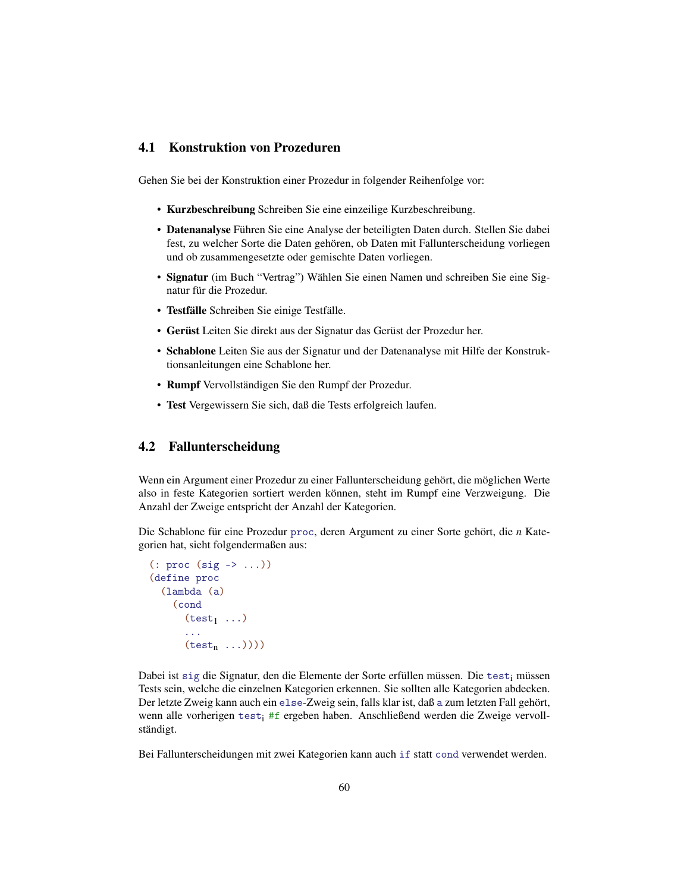#### <span id="page-59-0"></span>4.1 Konstruktion von Prozeduren

Gehen Sie bei der Konstruktion einer Prozedur in folgender Reihenfolge vor:

- Kurzbeschreibung Schreiben Sie eine einzeilige Kurzbeschreibung.
- Datenanalyse Führen Sie eine Analyse der beteiligten Daten durch. Stellen Sie dabei fest, zu welcher Sorte die Daten gehören, ob Daten mit Fallunterscheidung vorliegen und ob zusammengesetzte oder gemischte Daten vorliegen.
- Signatur (im Buch "Vertrag") Wählen Sie einen Namen und schreiben Sie eine Signatur für die Prozedur.
- Testfälle Schreiben Sie einige Testfälle.
- Gerüst Leiten Sie direkt aus der Signatur das Gerüst der Prozedur her.
- Schablone Leiten Sie aus der Signatur und der Datenanalyse mit Hilfe der Konstruktionsanleitungen eine Schablone her.
- Rumpf Vervollständigen Sie den Rumpf der Prozedur.
- Test Vergewissern Sie sich, daß die Tests erfolgreich laufen.

## <span id="page-59-1"></span>4.2 Fallunterscheidung

Wenn ein Argument einer Prozedur zu einer Fallunterscheidung gehört, die möglichen Werte also in feste Kategorien sortiert werden können, steht im Rumpf eine Verzweigung. Die Anzahl der Zweige entspricht der Anzahl der Kategorien.

Die Schablone für eine Prozedur proc, deren Argument zu einer Sorte gehört, die *n* Kategorien hat, sieht folgendermaßen aus:

```
(: proc (sig -> ...))
(define proc
  (lambda (a)
    (cond
      (test_1 \dots)...
      (test<sub>n</sub> ...)))
```
Dabei ist sig die Signatur, den die Elemente der Sorte erfüllen müssen. Die test<sub>i</sub> müssen Tests sein, welche die einzelnen Kategorien erkennen. Sie sollten alle Kategorien abdecken. Der letzte Zweig kann auch ein else-Zweig sein, falls klar ist, daß a zum letzten Fall gehört, wenn alle vorherigen test<sup>i</sup> #f ergeben haben. Anschließend werden die Zweige vervollständigt.

Bei Fallunterscheidungen mit zwei Kategorien kann auch if statt cond verwendet werden.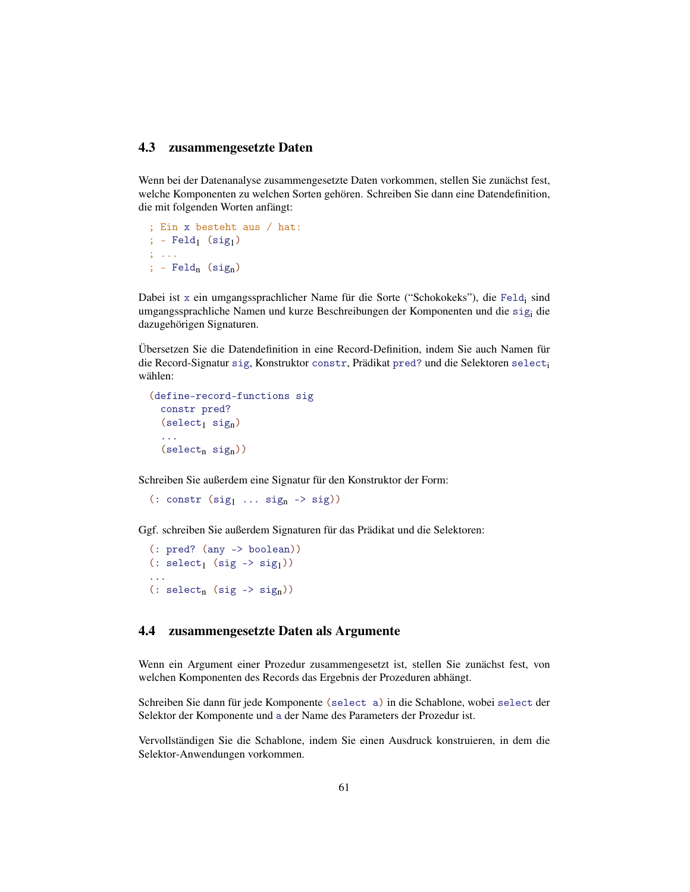#### <span id="page-60-0"></span>4.3 zusammengesetzte Daten

Wenn bei der Datenanalyse zusammengesetzte Daten vorkommen, stellen Sie zunächst fest, welche Komponenten zu welchen Sorten gehören. Schreiben Sie dann eine Datendefinition, die mit folgenden Worten anfängt:

; Ein x besteht aus / hat: ;  $-Feld_1$  (sig<sub>1</sub>)  $; \ldots$ ;  $-Feld_n (sig_n)$ 

Dabei ist x ein umgangssprachlicher Name für die Sorte ("Schokokeks"), die Feld<sub>i</sub> sind umgangssprachliche Namen und kurze Beschreibungen der Komponenten und die sig<sup>i</sup> die dazugehörigen Signaturen.

Übersetzen Sie die Datendefinition in eine Record-Definition, indem Sie auch Namen für die Record-Signatur sig, Konstruktor constr. Prädikat pred? und die Selektoren select<sub>i</sub> wählen:

```
(define-record-functions sig
  constr pred?
  (self, sign)...
  (select<sub>n</sub> sig<sub>n</sub>))
```
Schreiben Sie außerdem eine Signatur für den Konstruktor der Form:

```
(: constr (sig_1 \ldots sig_n \rightarrow sig))
```
Ggf. schreiben Sie außerdem Signaturen für das Prädikat und die Selektoren:

```
(: pred? (any -> boolean))
(: select<sub>1</sub> (sig -> sig<sub>1</sub>))
...
(: select<sub>n</sub> (sig -> sig<sub>n</sub>))
```
## <span id="page-60-1"></span>4.4 zusammengesetzte Daten als Argumente

Wenn ein Argument einer Prozedur zusammengesetzt ist, stellen Sie zunächst fest, von welchen Komponenten des Records das Ergebnis der Prozeduren abhängt.

Schreiben Sie dann für jede Komponente (select a) in die Schablone, wobei select der Selektor der Komponente und a der Name des Parameters der Prozedur ist.

Vervollständigen Sie die Schablone, indem Sie einen Ausdruck konstruieren, in dem die Selektor-Anwendungen vorkommen.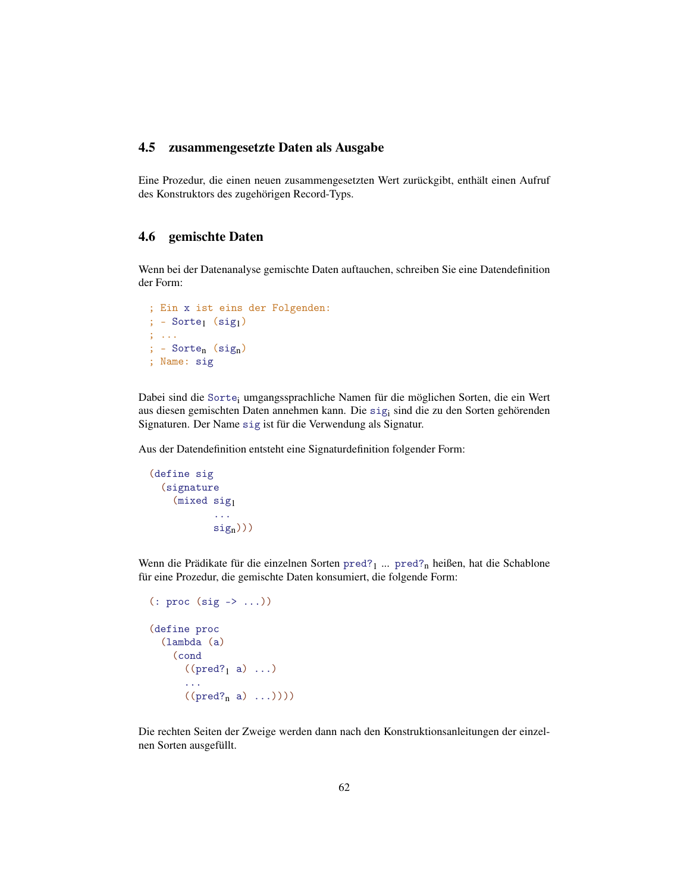#### <span id="page-61-0"></span>4.5 zusammengesetzte Daten als Ausgabe

Eine Prozedur, die einen neuen zusammengesetzten Wert zurückgibt, enthält einen Aufruf des Konstruktors des zugehörigen Record-Typs.

### <span id="page-61-1"></span>4.6 gemischte Daten

Wenn bei der Datenanalyse gemischte Daten auftauchen, schreiben Sie eine Datendefinition der Form:

```
; Ein x ist eins der Folgenden:
; - Sorte<sub>1</sub> (sig<sub>1</sub>)
; ...
; - Sorte<sub>n</sub> (sig<sub>n</sub>)
; Name: sig
```
Dabei sind die Sorte<sup>i</sup> umgangssprachliche Namen für die möglichen Sorten, die ein Wert aus diesen gemischten Daten annehmen kann. Die sig<sup>i</sup> sind die zu den Sorten gehörenden Signaturen. Der Name sig ist für die Verwendung als Signatur.

Aus der Datendefinition entsteht eine Signaturdefinition folgender Form:

```
(define sig
 (signature
    (mixed sig1
           ...
           sign))
```
Wenn die Prädikate für die einzelnen Sorten pred? $1 \dots$  pred?<sub>n</sub> heißen, hat die Schablone für eine Prozedur, die gemischte Daten konsumiert, die folgende Form:

```
(: proc (sig -> ...))
(define proc
  (lambda (a)
     (cond
       ((pred?<sub>1</sub> a) ...)...
       ((pred?<sub>n</sub> a) ...)))
```
Die rechten Seiten der Zweige werden dann nach den Konstruktionsanleitungen der einzelnen Sorten ausgefüllt.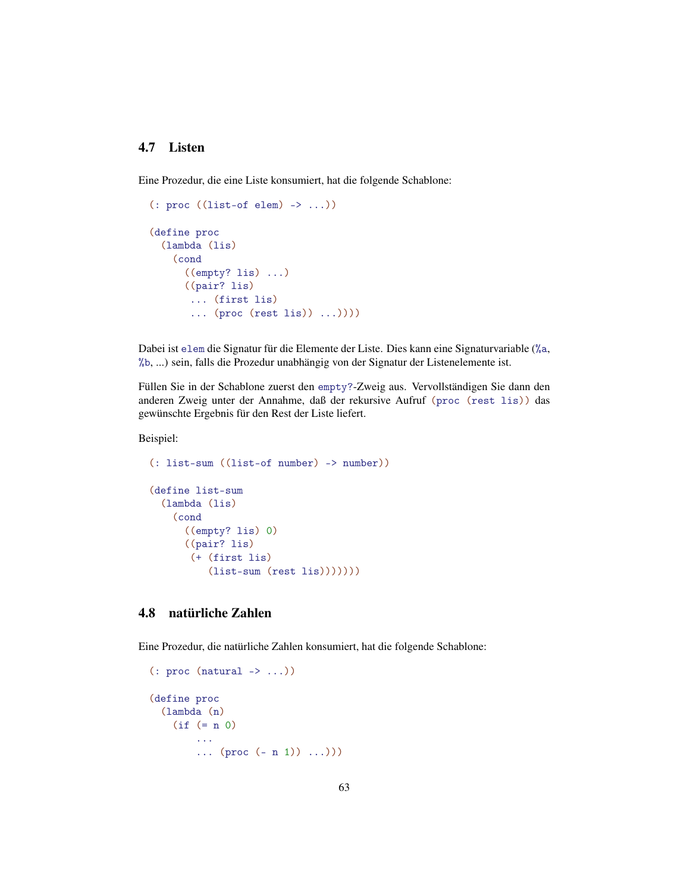#### <span id="page-62-0"></span>4.7 Listen

Eine Prozedur, die eine Liste konsumiert, hat die folgende Schablone:

```
(: proc ((list-of elem) -> ...))
(define proc
  (lambda (lis)
    (cond
      ((empty? lis) ...)
      ((pair? lis)
       ... (first lis)
       ... (proc (rest lis)) ...))))
```
Dabei ist elem die Signatur für die Elemente der Liste. Dies kann eine Signaturvariable (%a, %b, ...) sein, falls die Prozedur unabhängig von der Signatur der Listenelemente ist.

Füllen Sie in der Schablone zuerst den empty?-Zweig aus. Vervollständigen Sie dann den anderen Zweig unter der Annahme, daß der rekursive Aufruf (proc (rest lis)) das gewünschte Ergebnis für den Rest der Liste liefert.

Beispiel:

```
(: list-sum ((list-of number) -> number))
(define list-sum
 (lambda (lis)
    (cond
      ((empty? lis) 0)
     ((pair? lis)
       (+ (first lis)
          (list-sum (rest lis))))))
```
## <span id="page-62-1"></span>4.8 natürliche Zahlen

Eine Prozedur, die natürliche Zahlen konsumiert, hat die folgende Schablone:

```
(: proc (natural -> ...))
(define proc
  (lambda (n)
    (if (= n 0)
         ...
         ... (\text{proc} (- n 1)) \dots ))
```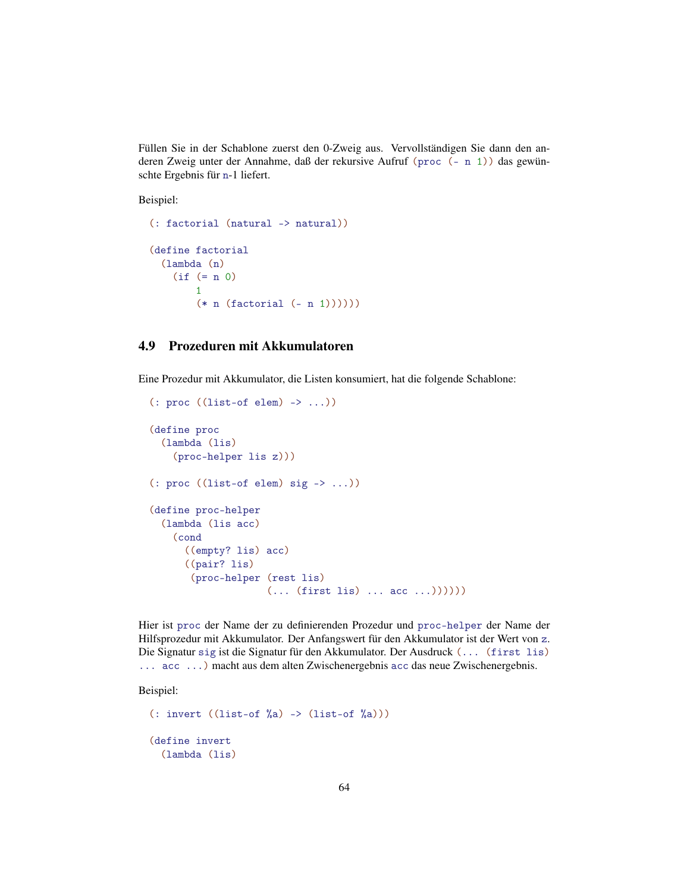Füllen Sie in der Schablone zuerst den 0-Zweig aus. Vervollständigen Sie dann den anderen Zweig unter der Annahme, daß der rekursive Aufruf (proc (- n 1)) das gewünschte Ergebnis für n-1 liefert.

Beispiel:

```
(: factorial (natural -> natural))
(define factorial
 (lambda (n)
   (if (= n 0)1
        (* n (factorial (- n 1)))))
```
### <span id="page-63-0"></span>4.9 Prozeduren mit Akkumulatoren

Eine Prozedur mit Akkumulator, die Listen konsumiert, hat die folgende Schablone:

```
(: proc ((list-of elem) -> ...))
(define proc
  (lambda (lis)
    (proc-helper lis z)))
(: proc ((list-of elem) sig -> ...))
(define proc-helper
  (lambda (lis acc)
   (cond
      ((empty? lis) acc)
      ((pair? lis)
       (proc-helper (rest lis)
                    (... (first lis) ... acc ...))))
```
Hier ist proc der Name der zu definierenden Prozedur und proc-helper der Name der Hilfsprozedur mit Akkumulator. Der Anfangswert für den Akkumulator ist der Wert von z. Die Signatur sig ist die Signatur für den Akkumulator. Der Ausdruck (... (first lis) ... acc ...) macht aus dem alten Zwischenergebnis acc das neue Zwischenergebnis.

Beispiel:

```
(: invert ((list-of <math>\sqrt[n]{a}) \rightarrow (list-of <math>\sqrt[n]{a})</math>))(define invert
   (lambda (lis)
```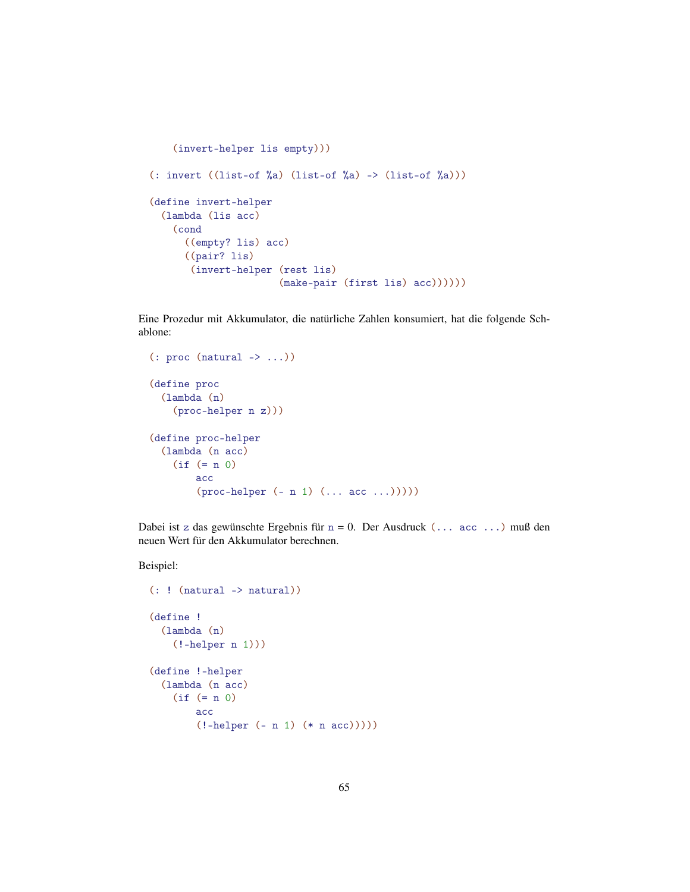```
(invert-helper lis empty)))
(: invert ((list-of \%a) (list-of \%a) -> (list-of \%a)))
(define invert-helper
  (lambda (lis acc)
    (cond
      ((empty? lis) acc)
      ((pair? lis)
       (invert-helper (rest lis)
                       (make-pair (first lis) acc))))))
```
Eine Prozedur mit Akkumulator, die natürliche Zahlen konsumiert, hat die folgende Schablone:

```
(: proc (natural -> ...))
(define proc
  (lambda (n)
    (proc-helper n z)))
(define proc-helper
  (lambda (n acc)
    (if (= n 0)
        acc
        (proc-helper (- n 1) (... acc ...)))))
```
Dabei ist z das gewünschte Ergebnis für n = 0. Der Ausdruck (... acc ...) muß den neuen Wert für den Akkumulator berechnen.

Beispiel:

```
(: ! (natural -> natural))
(define !
  (lambda (n)
    (!-helper n 1)))
(define !-helper
  (lambda (n acc)
    (if (= n 0)
        acc
        (!-helper (- n 1) (* n acc)))))
```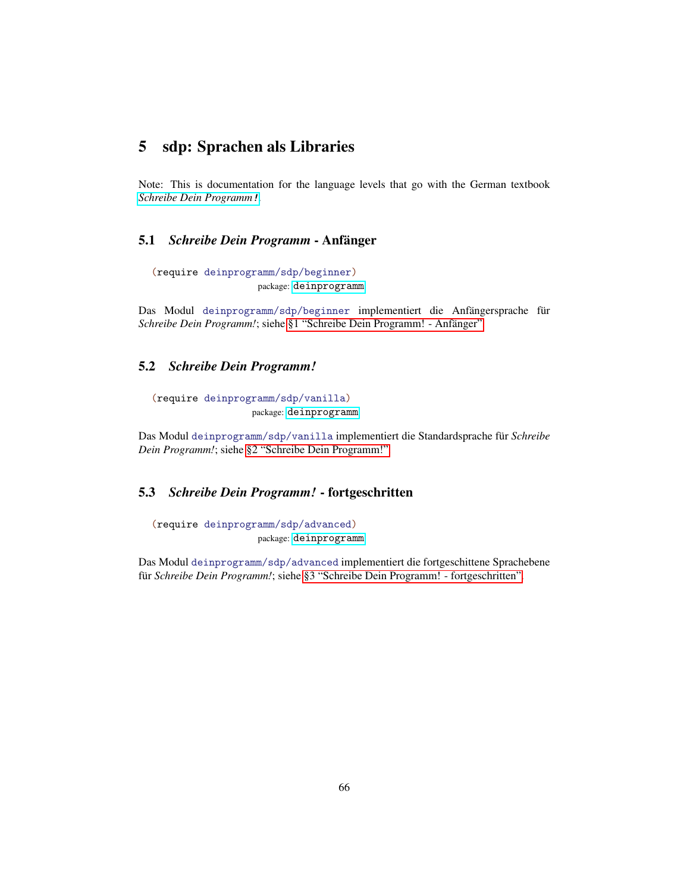## <span id="page-65-0"></span>5 sdp: Sprachen als Libraries

Note: This is documentation for the language levels that go with the German textbook *[Schreibe Dein Programm](http://www.deinprogramm.de/sdp/)*!.

#### <span id="page-65-1"></span>5.1 *Schreibe Dein Programm* - Anfänger

```
(require deinprogramm/sdp/beginner)
                   package: deinprogramm
```
Das Modul deinprogramm/sdp/beginner implementiert die Anfängersprache für *Schreibe Dein Programm!*; siehe [§1 "Schreibe Dein Programm! - Anfänger".](#page-3-0)

#### <span id="page-65-2"></span>5.2 *Schreibe Dein Programm!*

(require deinprogramm/sdp/vanilla) package: [deinprogramm](https://pkgs.racket-lang.org/package/deinprogramm)

Das Modul deinprogramm/sdp/vanilla implementiert die Standardsprache für *Schreibe Dein Programm!*; siehe [§2 "Schreibe Dein Programm!".](#page-24-0)

## <span id="page-65-3"></span>5.3 *Schreibe Dein Programm!* - fortgeschritten

(require deinprogramm/sdp/advanced) package: [deinprogramm](https://pkgs.racket-lang.org/package/deinprogramm)

Das Modul deinprogramm/sdp/advanced implementiert die fortgeschittene Sprachebene für *Schreibe Dein Programm!*; siehe [§3 "Schreibe Dein Programm! - fortgeschritten".](#page-40-0)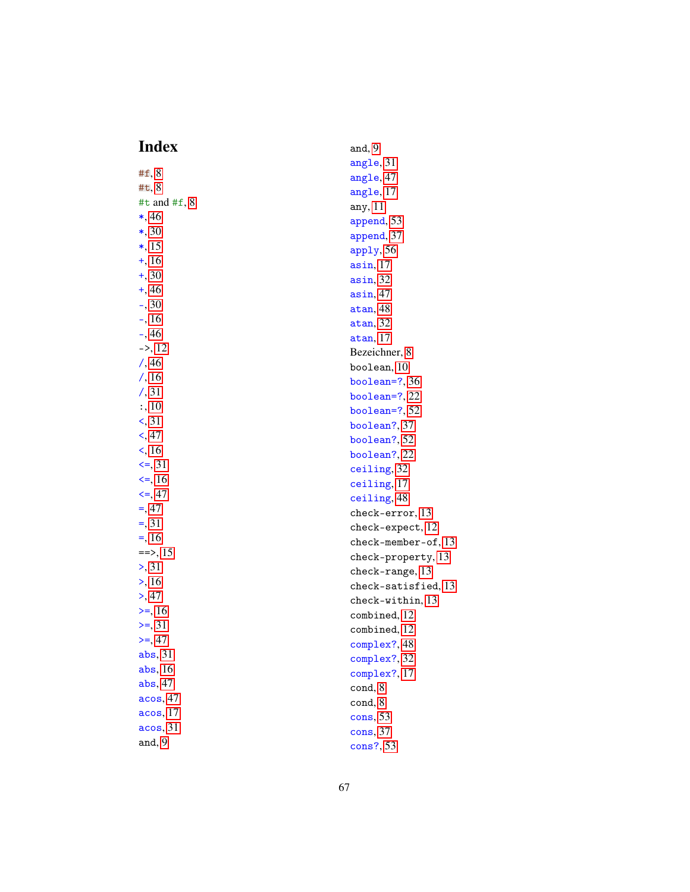# Index

<span id="page-66-0"></span>

| Index                | and, $9$               |
|----------------------|------------------------|
|                      | angle, 31              |
| #f, 8                | angle, 47              |
| #t, 8                | angle, 17              |
| #t and $#f$ , 8      | any, 11                |
| $*, 46$              | append, 53             |
| $*, 30$              | append, 37             |
| $*, 15$              | apply, 56              |
| $+, 16$              | asin, 17               |
| $+, 30$              | asin, 32               |
| $+, 46$              | asin, 47               |
| $-$ , 30             | atan, 48               |
| $-$ , 16             | atan, 32               |
| $-, 46$              | atan, 17               |
| $\Rightarrow$ , 12   | Bezeichner, 8          |
| /, 46                | boolean, 10            |
| $/$ , 16             | boolean= $?, 36$       |
| $/$ , 31             | boolean= $?$ , 22      |
| : 10                 | boolean= $?$ , 52      |
| $\leq$ , 31          | boolean?, 37           |
| $\leq$ , 47          | boolean?, 52           |
| $\leq$ , 16          | boolean?, 22           |
| $\leq$ = 31          | ceiling, 32            |
| $\leq$ , 16          | ceiling, 17            |
| $\leq$ = 47          | ceiling, 48            |
| $=,47$               | check-error, 13        |
| $=$ , 31             | check-expect, 12       |
| $=, 16$              | $check$ -member-of, 13 |
| $==$ , 15            | check-property, 13     |
| $\ge$ , 31           | check-range, 13        |
| > 16                 | check-satisfied, 13    |
| > 47                 | $check-within, 13$     |
| $>=, 16$             | combined, 12           |
| $>=, 31$             | combined, 12           |
| $>=, 47$             | complex?, 48           |
| abs, 31              | complex?, 32           |
| abs, 16              | complex?, 17           |
| abs, 47              | cond, 8                |
| acos, 47<br>acos, 17 | cond, 8                |
|                      | cons, 53               |
| acos, 31             | cons, 37               |
| and, $9$             | cons?, 53              |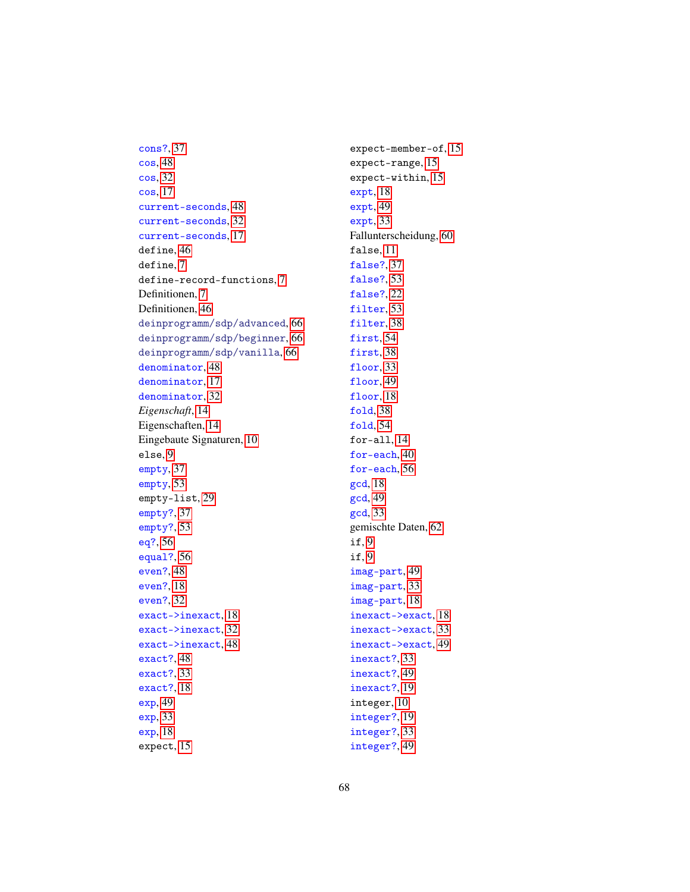cons?, [37](#page-29-1) cos, [48](#page-45-2) cos, [32](#page-29-1) cos, [17](#page-14-0) current-seconds, [48](#page-45-2) current-seconds, [32](#page-29-1) current-seconds, [17](#page-14-0) define, [46](#page-45-0) define, [7](#page-6-0) define-record-functions, [7](#page-6-1) Definitionen, [7](#page-6-0) Definitionen, [46](#page-45-0) deinprogramm/sdp/advanced, [66](#page-65-3) deinprogramm/sdp/beginner, [66](#page-65-1) deinprogramm/sdp/vanilla, [66](#page-65-2) denominator, [48](#page-45-2) denominator, [17](#page-14-0) denominator, [32](#page-29-1) *Eigenschaft*, [14](#page-13-1) Eigenschaften, [14](#page-13-1) Eingebaute Signaturen, [10](#page-9-2) else, [9](#page-7-3) empty, [37](#page-29-1) empty, [53](#page-45-2) empty-list, [29](#page-27-0) empty?, [37](#page-29-1) empty?, [53](#page-45-2) eq?, [56](#page-45-2) equal?, [56](#page-45-2) even?, [48](#page-45-2) even?, [18](#page-14-0) even?, [32](#page-29-1) exact->inexact, [18](#page-14-0) exact->inexact, [32](#page-29-1) exact->inexact, [48](#page-45-2) exact?, [48](#page-45-2) exact?, [33](#page-29-1) exact?, [18](#page-14-0) exp, [49](#page-45-2) exp, [33](#page-29-1) exp, [18](#page-14-0)

expect, [15](#page-13-1)

expect-member-of, [15](#page-13-1) expect-range, [15](#page-13-1) expect-within, [15](#page-13-1) expt, [18](#page-14-0) expt, [49](#page-45-2) expt, [33](#page-29-1) Fallunterscheidung, [60](#page-59-1) false, [11](#page-9-2) false?, [37](#page-29-1) false?, [53](#page-45-2) false?, [22](#page-14-0) filter, [53](#page-45-2) filter, [38](#page-29-1) first, [54](#page-45-2) first, [38](#page-29-1) floor, [33](#page-29-1) floor, [49](#page-45-2) floor, [18](#page-14-0) fold, [38](#page-29-1) fold, [54](#page-45-2) for-all, [14](#page-13-1) for-each, [40](#page-29-1) for-each, [56](#page-45-2) gcd, [18](#page-14-0) gcd, [49](#page-45-2) gcd, [33](#page-29-1) gemischte Daten, [62](#page-61-1) if, [9](#page-8-0) if, [9](#page-8-0) imag-part, [49](#page-45-2) imag-part, [33](#page-29-1) imag-part, [18](#page-14-0) inexact->exact, [18](#page-14-0) inexact->exact, [33](#page-29-1) inexact->exact, [49](#page-45-2) inexact?, [33](#page-29-1) inexact?, [49](#page-45-2) inexact?, [19](#page-14-0) integer, [10](#page-9-2) integer?, [19](#page-14-0) integer?, [33](#page-29-1) integer?, [49](#page-45-2)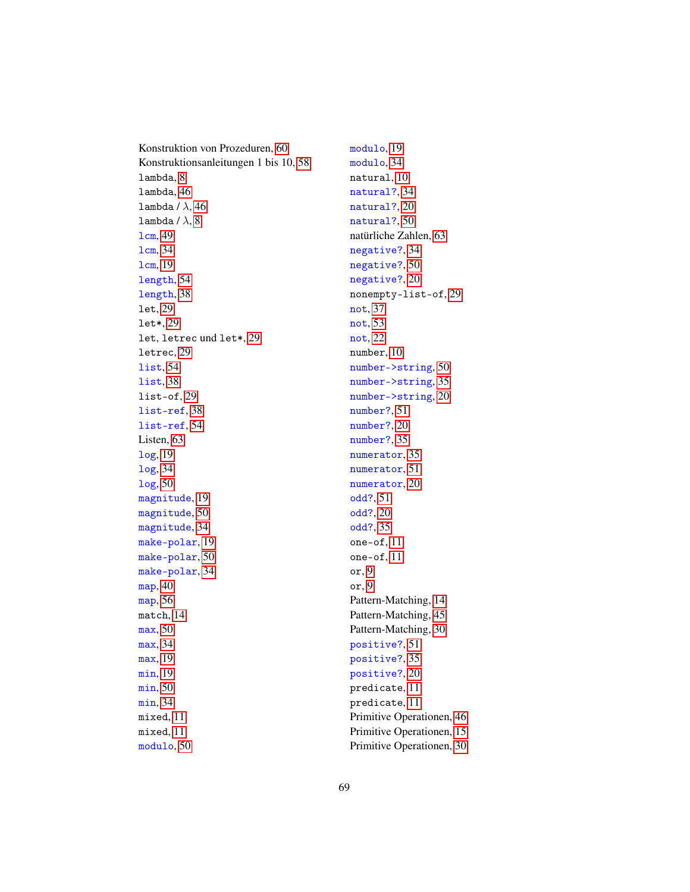Konstruktion von Prozeduren, [60](#page-59-0) Konstruktionsanleitungen 1 bis 10, [58](#page-57-0) lambda, [8](#page-7-1) lambda, [46](#page-45-1) lambda /  $\lambda$ , [46](#page-45-1) lambda /  $\lambda$ , [8](#page-7-1) lcm, [49](#page-45-2) lcm, [34](#page-29-1) lcm, [19](#page-14-0) length, [54](#page-45-2) length, [38](#page-29-1) let, [29](#page-28-0) let\*, [29](#page-28-0) let, letrec und let\*, [29](#page-28-0) letrec, [29](#page-28-0) list, [54](#page-45-2) list, [38](#page-29-1) list-of, [29](#page-27-0) list-ref, [38](#page-29-1) list-ref, [54](#page-45-2) Listen, [63](#page-62-0) log, [19](#page-14-0) log, [34](#page-29-1) log, [50](#page-45-2) magnitude, [19](#page-14-0) magnitude, [50](#page-45-2) magnitude, [34](#page-29-1) make-polar, [19](#page-14-0) make-polar, [50](#page-45-2) make-polar, [34](#page-29-1) map, [40](#page-29-1) map, [56](#page-45-2) match, [14](#page-13-0) max, [50](#page-45-2) max, [34](#page-29-1) max, [19](#page-14-0) min, [19](#page-14-0) min, [50](#page-45-2) min, [34](#page-29-1) mixed, [11](#page-10-2) mixed, [11](#page-10-2) modulo, [50](#page-45-2)

modulo, [19](#page-14-0) modulo, [34](#page-29-1) natural, [10](#page-9-2) natural?, [34](#page-29-1) natural?, [20](#page-14-0) natural?, [50](#page-45-2) natürliche Zahlen, [63](#page-62-1) negative?, [34](#page-29-1) negative?, [50](#page-45-2) negative?, [20](#page-14-0) nonempty-list-of, [29](#page-27-0) not, [37](#page-29-1) not, [53](#page-45-2) not, [22](#page-14-0) number, [10](#page-9-2) number->string, [50](#page-45-2) number->string, [35](#page-29-1) number->string, [20](#page-14-0) number?, [51](#page-45-2) number?, [20](#page-14-0) number?, [35](#page-29-1) numerator, [35](#page-29-1) numerator, [51](#page-45-2) numerator, [20](#page-14-0) odd?, [51](#page-45-2) odd?, [20](#page-14-0) odd?, [35](#page-29-1) one-of, [11](#page-10-1) one-of, [11](#page-10-1) or, [9](#page-8-2) or, [9](#page-8-2) Pattern-Matching, [14](#page-13-0) Pattern-Matching, [45](#page-44-2) Pattern-Matching, [30](#page-29-0) positive?, [51](#page-45-2) positive?, [35](#page-29-1) positive?, [20](#page-14-0) predicate, [11](#page-10-0) predicate, [11](#page-10-0) Primitive Operationen, [46](#page-45-2) Primitive Operationen, [15](#page-14-0) Primitive Operationen, [30](#page-29-1)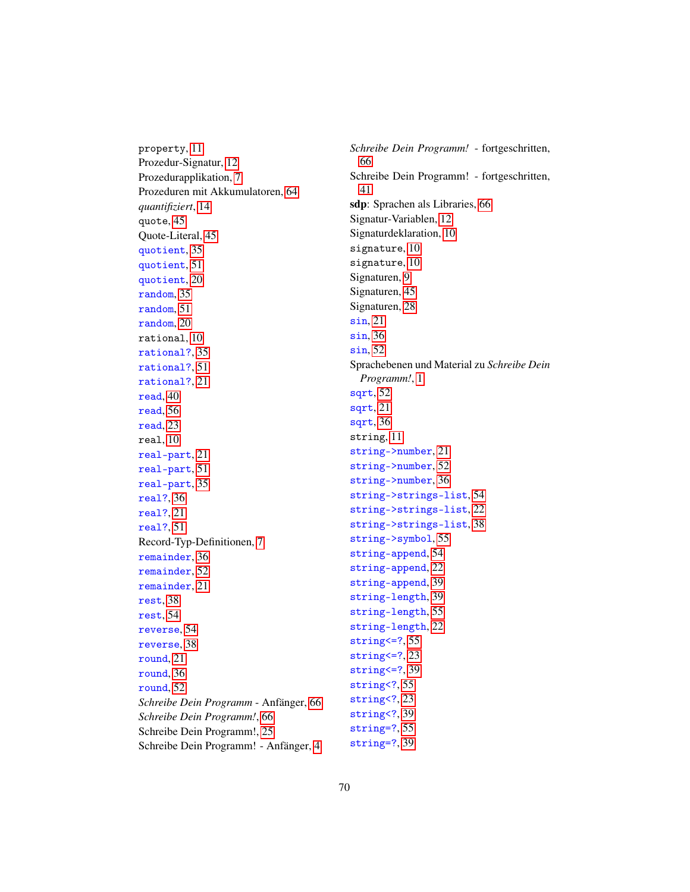property, [11](#page-9-2) Prozedur-Signatur, [12](#page-11-0) Prozedurapplikation, [7](#page-6-2) Prozeduren mit Akkumulatoren, [64](#page-63-0) *quantifiziert*, [14](#page-13-1) quote, [45](#page-44-0) Quote-Literal, [45](#page-44-0) quotient, [35](#page-29-1) quotient, [51](#page-45-2) quotient, [20](#page-14-0) random, [35](#page-29-1) random, [51](#page-45-2) random, [20](#page-14-0) rational, [10](#page-9-2) rational?, [35](#page-29-1) rational?, [51](#page-45-2) rational?, [21](#page-14-0) read, [40](#page-29-1) read, [56](#page-45-2) read, [23](#page-14-0) real, [10](#page-9-2) real-part, [21](#page-14-0) real-part, [51](#page-45-2) real-part, [35](#page-29-1) real?, [36](#page-29-1) real?, [21](#page-14-0) real?, [51](#page-45-2) Record-Typ-Definitionen, [7](#page-6-1) remainder, [36](#page-29-1) remainder, [52](#page-45-2) remainder, [21](#page-14-0) rest, [38](#page-29-1) rest, [54](#page-45-2) reverse, [54](#page-45-2) reverse, [38](#page-29-1) round, [21](#page-14-0) round, [36](#page-29-1) round, [52](#page-45-2) *Schreibe Dein Programm* - Anfänger, [66](#page-65-1) *Schreibe Dein Programm!*, [66](#page-65-2) Schreibe Dein Programm!, [25](#page-24-0) Schreibe Dein Programm! - Anfänger, [4](#page-3-0) *Schreibe Dein Programm!* - fortgeschritten, [66](#page-65-3) Schreibe Dein Programm! - fortgeschritten, [41](#page-40-0) sdp: Sprachen als Libraries, [66](#page-65-0) Signatur-Variablen, [12](#page-11-1) Signaturdeklaration, [10](#page-9-1) signature, [10](#page-9-0) signature, [10](#page-9-0) Signaturen, [9](#page-8-3) Signaturen, [45](#page-44-1) Signaturen, [28](#page-27-0) sin, [21](#page-14-0) sin, [36](#page-29-1) sin, [52](#page-45-2) Sprachebenen und Material zu *Schreibe Dein Programm!*, [1](#page-0-0) sqrt, [52](#page-45-2) sqrt, [21](#page-14-0) sqrt, [36](#page-29-1) string, [11](#page-9-2) string->number, [21](#page-14-0) string->number, [52](#page-45-2) string->number, [36](#page-29-1) string->strings-list, [54](#page-45-2) string->strings-list, [22](#page-14-0) string->strings-list, [38](#page-29-1) string->symbol, [55](#page-45-2) string-append, [54](#page-45-2) string-append, [22](#page-14-0) string-append, [39](#page-29-1) string-length, [39](#page-29-1) string-length, [55](#page-45-2) string-length, [22](#page-14-0) string<=?, [55](#page-45-2) string<=?, [23](#page-14-0) string<=?, [39](#page-29-1) string<?, [55](#page-45-2) string<?, [23](#page-14-0) string<?, [39](#page-29-1) string=?, [55](#page-45-2)

string=?, [39](#page-29-1)